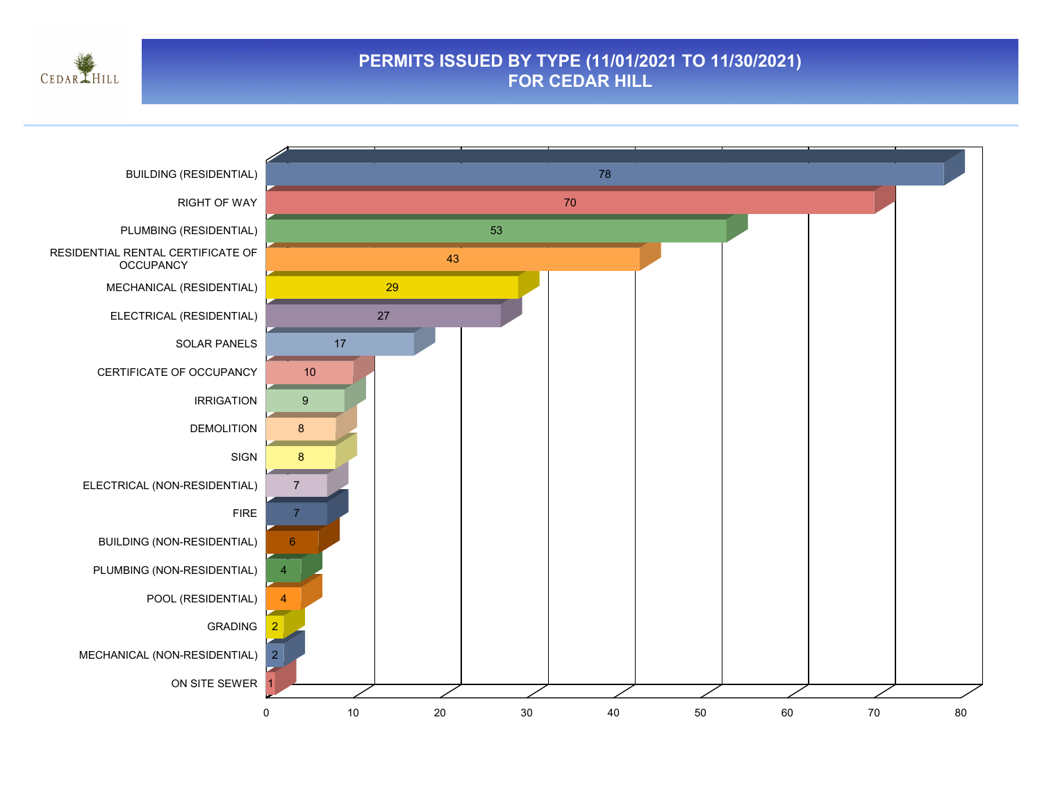

### **PERMITS ISSUED BY TYPE (11/01/2021 TO 11/30/2021) FOR CEDAR HILL**

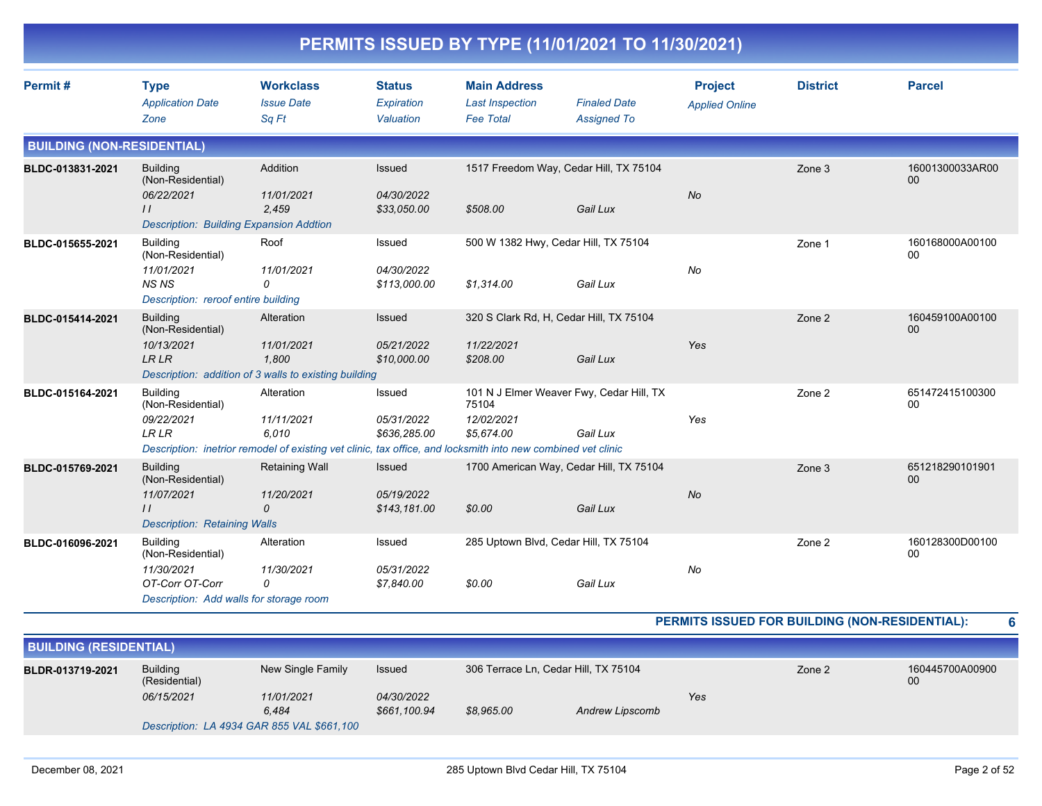|                                   |                                                                                                                       |                                                                                                                                                   |                                             |                                                                               | PERMITS ISSUED BY TYPE (11/01/2021 TO 11/30/2021) |                                         |                 |                       |
|-----------------------------------|-----------------------------------------------------------------------------------------------------------------------|---------------------------------------------------------------------------------------------------------------------------------------------------|---------------------------------------------|-------------------------------------------------------------------------------|---------------------------------------------------|-----------------------------------------|-----------------|-----------------------|
| Permit#                           | <b>Type</b><br><b>Application Date</b><br>Zone                                                                        | <b>Workclass</b><br><b>Issue Date</b><br>Sq Ft                                                                                                    | <b>Status</b><br>Expiration<br>Valuation    | <b>Main Address</b><br><b>Last Inspection</b><br><b>Fee Total</b>             | <b>Finaled Date</b><br><b>Assigned To</b>         | <b>Project</b><br><b>Applied Online</b> | <b>District</b> | <b>Parcel</b>         |
| <b>BUILDING (NON-RESIDENTIAL)</b> |                                                                                                                       |                                                                                                                                                   |                                             |                                                                               |                                                   |                                         |                 |                       |
| BLDC-013831-2021                  | <b>Building</b><br>(Non-Residential)<br>06/22/2021<br>$\frac{1}{2}$<br><b>Description: Building Expansion Addtion</b> | Addition<br>11/01/2021<br>2,459                                                                                                                   | Issued<br>04/30/2022<br>\$33,050.00         | 1517 Freedom Way, Cedar Hill, TX 75104<br>\$508.00                            | Gail Lux                                          | No                                      | Zone 3          | 16001300033AR00<br>00 |
| BLDC-015655-2021                  | Building<br>(Non-Residential)<br>11/01/2021<br><b>NSNS</b><br>Description: reroof entire building                     | Roof<br>11/01/2021<br>0                                                                                                                           | Issued<br>04/30/2022<br>\$113,000.00        | 500 W 1382 Hwy, Cedar Hill, TX 75104<br>\$1,314.00                            | Gail Lux                                          | No                                      | Zone 1          | 160168000A00100<br>00 |
| BLDC-015414-2021                  | <b>Building</b><br>(Non-Residential)<br>10/13/2021<br><b>LRLR</b>                                                     | Alteration<br>11/01/2021<br>1.800<br>Description: addition of 3 walls to existing building                                                        | Issued<br>05/21/2022<br>\$10,000.00         | 320 S Clark Rd, H, Cedar Hill, TX 75104<br>11/22/2021<br>\$208.00             | Gail Lux                                          | Yes                                     | Zone 2          | 160459100A00100<br>00 |
| BLDC-015164-2021                  | <b>Building</b><br>(Non-Residential)<br>09/22/2021<br><b>LR LR</b>                                                    | Alteration<br>11/11/2021<br>6.010<br>Description: inetrior remodel of existing vet clinic, tax office, and locksmith into new combined vet clinic | Issued<br>05/31/2022<br>\$636,285.00        | 101 N J Elmer Weaver Fwy, Cedar Hill, TX<br>75104<br>12/02/2021<br>\$5,674.00 | Gail Lux                                          | Yes                                     | Zone 2          | 651472415100300<br>00 |
| BLDC-015769-2021                  | <b>Building</b><br>(Non-Residential)<br>11/07/2021<br>$\prime\prime$<br><b>Description: Retaining Walls</b>           | <b>Retaining Wall</b><br>11/20/2021<br>0                                                                                                          | <b>Issued</b><br>05/19/2022<br>\$143,181.00 | 1700 American Way, Cedar Hill, TX 75104<br>\$0.00                             | Gail Lux                                          | No                                      | Zone 3          | 651218290101901<br>00 |
| BLDC-016096-2021                  | Building<br>(Non-Residential)<br>11/30/2021<br>OT-Corr OT-Corr<br>Description: Add walls for storage room             | Alteration<br>11/30/2021<br>0                                                                                                                     | Issued<br>05/31/2022<br>\$7,840.00          | 285 Uptown Blvd, Cedar Hill, TX 75104<br>\$0.00                               | Gail Lux                                          | No                                      | Zone 2          | 160128300D00100<br>00 |

#### **PERMITS ISSUED FOR BUILDING (NON-RESIDENTIAL): 6**

| <b>BUILDING (RESIDENTIAL)</b> |                                  |                                            |                            |                                      |                 |     |        |                       |
|-------------------------------|----------------------------------|--------------------------------------------|----------------------------|--------------------------------------|-----------------|-----|--------|-----------------------|
| BLDR-013719-2021              | <b>Building</b><br>(Residential) | New Single Family                          | Issued                     | 306 Terrace Ln, Cedar Hill, TX 75104 |                 |     | Zone 2 | 160445700A00900<br>00 |
|                               | 06/15/2021                       | 11/01/2021<br>6,484                        | 04/30/2022<br>\$661,100.94 | \$8,965.00                           | Andrew Lipscomb | Yes |        |                       |
|                               |                                  | Description: LA 4934 GAR 855 VAL \$661,100 |                            |                                      |                 |     |        |                       |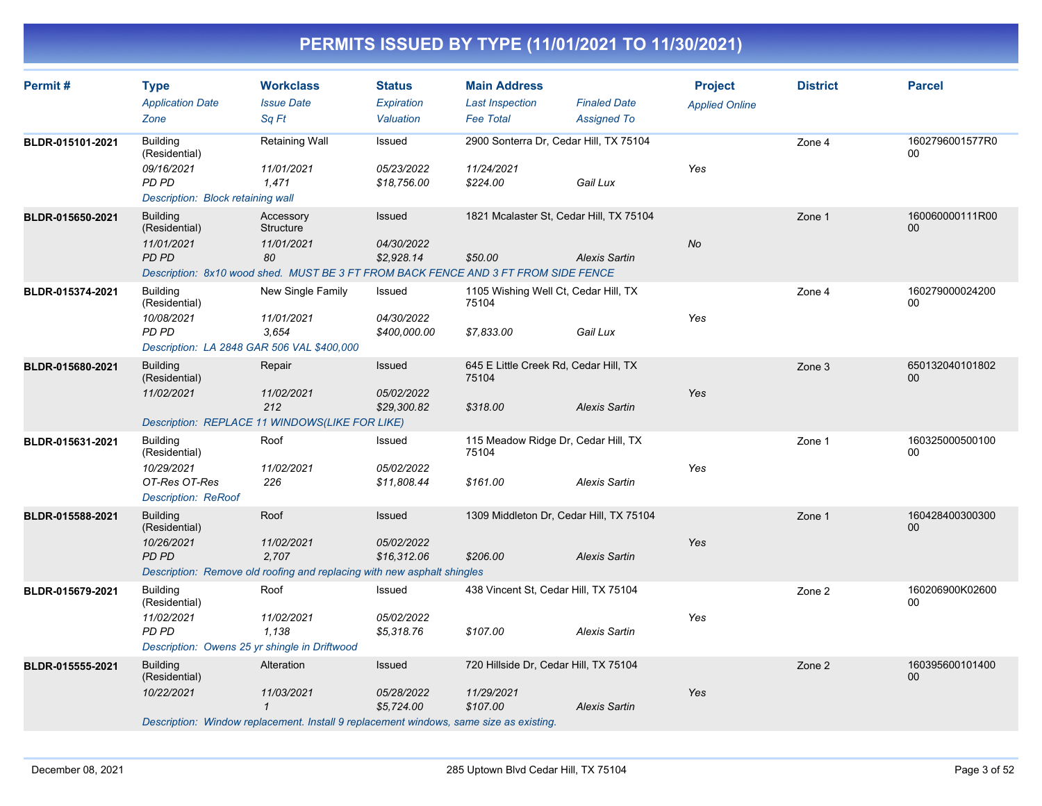| Permit#          | <b>Type</b><br><b>Application Date</b><br>Zone                                                                  | <b>Workclass</b><br><b>Issue Date</b><br>Sa Ft                                                                                     | <b>Status</b><br>Expiration<br>Valuation   | <b>Main Address</b><br><b>Last Inspection</b><br><b>Fee Total</b> | <b>Finaled Date</b><br><b>Assigned To</b> | <b>Project</b><br><b>Applied Online</b> | <b>District</b> | <b>Parcel</b>             |
|------------------|-----------------------------------------------------------------------------------------------------------------|------------------------------------------------------------------------------------------------------------------------------------|--------------------------------------------|-------------------------------------------------------------------|-------------------------------------------|-----------------------------------------|-----------------|---------------------------|
| BLDR-015101-2021 | <b>Building</b><br>(Residential)<br>09/16/2021<br>PD PD<br>Description: Block retaining wall                    | Retaining Wall<br>11/01/2021<br>1.471                                                                                              | Issued<br>05/23/2022<br>\$18,756.00        | 2900 Sonterra Dr, Cedar Hill, TX 75104<br>11/24/2021<br>\$224.00  | Gail Lux                                  | Yes                                     | Zone 4          | 1602796001577R0<br>00     |
| BLDR-015650-2021 | <b>Building</b><br>(Residential)<br>11/01/2021<br><b>PD PD</b>                                                  | Accessory<br>Structure<br>11/01/2021<br>80<br>Description: 8x10 wood shed. MUST BE 3 FT FROM BACK FENCE AND 3 FT FROM SIDE FENCE   | Issued<br>04/30/2022<br>\$2,928.14         | 1821 Mcalaster St, Cedar Hill, TX 75104<br>\$50.00                | <b>Alexis Sartin</b>                      | No                                      | Zone 1          | 160060000111R00<br>00     |
| BLDR-015374-2021 | <b>Building</b><br>(Residential)<br>10/08/2021<br><b>PD PD</b><br>Description: LA 2848 GAR 506 VAL \$400,000    | New Single Family<br>11/01/2021<br>3.654                                                                                           | Issued<br>04/30/2022<br>\$400,000.00       | 1105 Wishing Well Ct, Cedar Hill, TX<br>75104<br>\$7,833.00       | Gail Lux                                  | Yes                                     | Zone 4          | 160279000024200<br>00     |
| BLDR-015680-2021 | <b>Building</b><br>(Residential)<br>11/02/2021                                                                  | Repair<br>11/02/2021<br>212<br>Description: REPLACE 11 WINDOWS(LIKE FOR LIKE)                                                      | <b>Issued</b><br>05/02/2022<br>\$29,300.82 | 645 E Little Creek Rd, Cedar Hill, TX<br>75104<br>\$318.00        | Alexis Sartin                             | Yes                                     | Zone 3          | 650132040101802<br>00     |
| BLDR-015631-2021 | <b>Building</b><br>(Residential)<br>10/29/2021<br>OT-Res OT-Res<br><b>Description: ReRoof</b>                   | Roof<br>11/02/2021<br>226                                                                                                          | Issued<br>05/02/2022<br>\$11,808.44        | 115 Meadow Ridge Dr, Cedar Hill, TX<br>75104<br>\$161.00          | <b>Alexis Sartin</b>                      | Yes                                     | Zone 1          | 160325000500100<br>00     |
| BLDR-015588-2021 | <b>Building</b><br>(Residential)<br>10/26/2021<br><b>PD PD</b>                                                  | Roof<br>11/02/2021<br>2,707<br>Description: Remove old roofing and replacing with new asphalt shingles                             | Issued<br>05/02/2022<br>\$16,312.06        | 1309 Middleton Dr, Cedar Hill, TX 75104<br>\$206.00               | <b>Alexis Sartin</b>                      | Yes                                     | Zone 1          | 160428400300300<br>00     |
| BLDR-015679-2021 | <b>Building</b><br>(Residential)<br>11/02/2021<br><b>PD PD</b><br>Description: Owens 25 yr shingle in Driftwood | Roof<br>11/02/2021<br>1.138                                                                                                        | Issued<br>05/02/2022<br>\$5,318.76         | 438 Vincent St, Cedar Hill, TX 75104<br>\$107.00                  | Alexis Sartin                             | Yes                                     | Zone 2          | 160206900K02600<br>00     |
| BLDR-015555-2021 | <b>Building</b><br>(Residential)<br>10/22/2021                                                                  | Alteration<br>11/03/2021<br>$\mathcal I$<br>Description: Window replacement. Install 9 replacement windows, same size as existing. | Issued<br>05/28/2022<br>\$5,724.00         | 720 Hillside Dr, Cedar Hill, TX 75104<br>11/29/2021<br>\$107.00   | <b>Alexis Sartin</b>                      | Yes                                     | Zone 2          | 160395600101400<br>$00\,$ |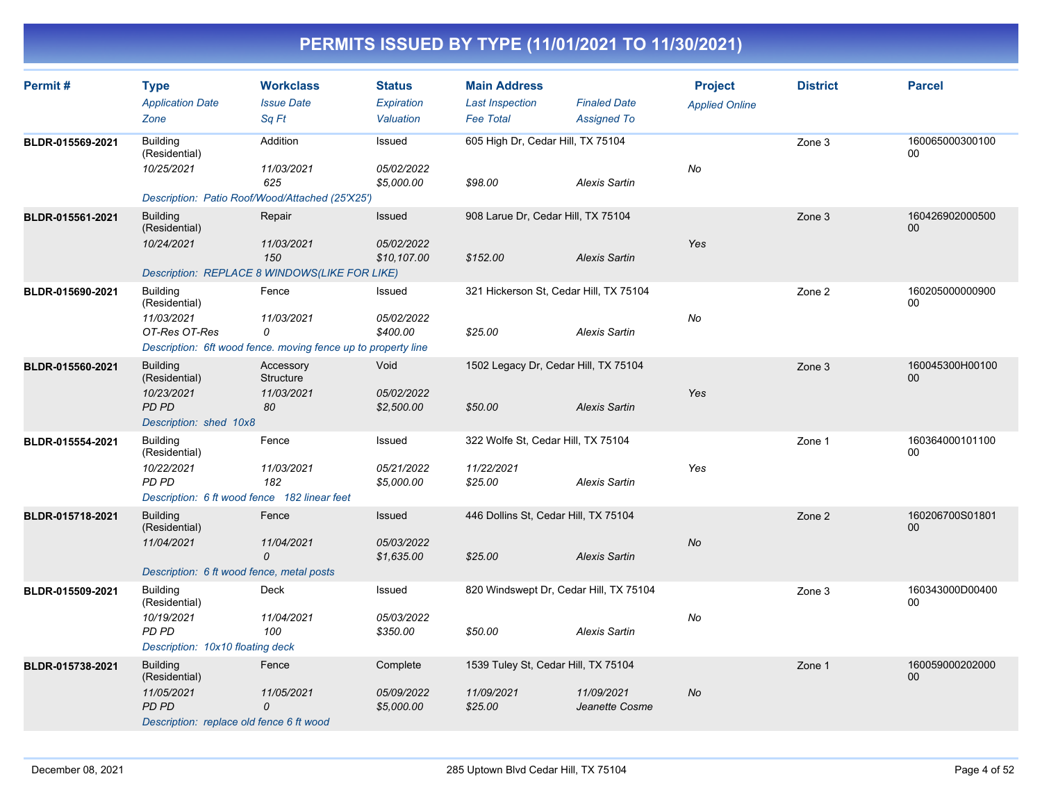| Permit#          | <b>Type</b><br><b>Application Date</b><br>Zone                                                                                   | <b>Workclass</b><br><b>Issue Date</b><br>Sq Ft | <b>Status</b><br>Expiration<br>Valuation | <b>Main Address</b><br><b>Last Inspection</b><br><b>Fee Total</b> | <b>Finaled Date</b><br><b>Assigned To</b> | <b>Project</b><br><b>Applied Online</b> | <b>District</b> | <b>Parcel</b>         |
|------------------|----------------------------------------------------------------------------------------------------------------------------------|------------------------------------------------|------------------------------------------|-------------------------------------------------------------------|-------------------------------------------|-----------------------------------------|-----------------|-----------------------|
| BLDR-015569-2021 | <b>Building</b><br>(Residential)<br>10/25/2021<br>Description: Patio Roof/Wood/Attached (25'X25')                                | Addition<br>11/03/2021<br>625                  | Issued<br>05/02/2022<br>\$5,000.00       | 605 High Dr, Cedar Hill, TX 75104<br>\$98.00                      | <b>Alexis Sartin</b>                      | No                                      | Zone 3          | 160065000300100<br>00 |
| BLDR-015561-2021 | <b>Building</b><br>(Residential)<br>10/24/2021<br>Description: REPLACE 8 WINDOWS(LIKE FOR LIKE)                                  | Repair<br>11/03/2021<br>150                    | Issued<br>05/02/2022<br>\$10,107.00      | 908 Larue Dr, Cedar Hill, TX 75104<br>\$152.00                    | <b>Alexis Sartin</b>                      | Yes                                     | Zone 3          | 160426902000500<br>00 |
| BLDR-015690-2021 | <b>Building</b><br>(Residential)<br>11/03/2021<br>OT-Res OT-Res<br>Description: 6ft wood fence. moving fence up to property line | Fence<br>11/03/2021<br>0                       | Issued<br>05/02/2022<br>\$400.00         | 321 Hickerson St, Cedar Hill, TX 75104<br>\$25.00                 | <b>Alexis Sartin</b>                      | No                                      | Zone 2          | 160205000000900<br>00 |
| BLDR-015560-2021 | <b>Building</b><br>(Residential)<br>10/23/2021<br>PD PD<br>Description: shed 10x8                                                | Accessory<br>Structure<br>11/03/2021<br>80     | Void<br>05/02/2022<br>\$2,500.00         | 1502 Legacy Dr, Cedar Hill, TX 75104<br>\$50.00                   | <b>Alexis Sartin</b>                      | Yes                                     | Zone 3          | 160045300H00100<br>00 |
| BLDR-015554-2021 | <b>Building</b><br>(Residential)<br>10/22/2021<br><b>PD PD</b><br>Description: 6 ft wood fence 182 linear feet                   | Fence<br>11/03/2021<br>182                     | Issued<br>05/21/2022<br>\$5,000.00       | 322 Wolfe St, Cedar Hill, TX 75104<br>11/22/2021<br>\$25.00       | <b>Alexis Sartin</b>                      | Yes                                     | Zone 1          | 160364000101100<br>00 |
| BLDR-015718-2021 | <b>Building</b><br>(Residential)<br>11/04/2021<br>Description: 6 ft wood fence, metal posts                                      | Fence<br>11/04/2021<br>$\Omega$                | Issued<br>05/03/2022<br>\$1,635.00       | 446 Dollins St, Cedar Hill, TX 75104<br>\$25.00                   | <b>Alexis Sartin</b>                      | <b>No</b>                               | Zone 2          | 160206700S01801<br>00 |
| BLDR-015509-2021 | <b>Building</b><br>(Residential)<br>10/19/2021<br><b>PD PD</b><br>Description: 10x10 floating deck                               | Deck<br>11/04/2021<br>100                      | Issued<br>05/03/2022<br>\$350.00         | 820 Windswept Dr, Cedar Hill, TX 75104<br>\$50.00                 | <b>Alexis Sartin</b>                      | No                                      | Zone 3          | 160343000D00400<br>00 |
| BLDR-015738-2021 | <b>Building</b><br>(Residential)<br>11/05/2021<br><b>PD PD</b><br>Description: replace old fence 6 ft wood                       | Fence<br>11/05/2021<br>0                       | Complete<br>05/09/2022<br>\$5,000.00     | 1539 Tuley St, Cedar Hill, TX 75104<br>11/09/2021<br>\$25.00      | 11/09/2021<br>Jeanette Cosme              | <b>No</b>                               | Zone 1          | 160059000202000<br>00 |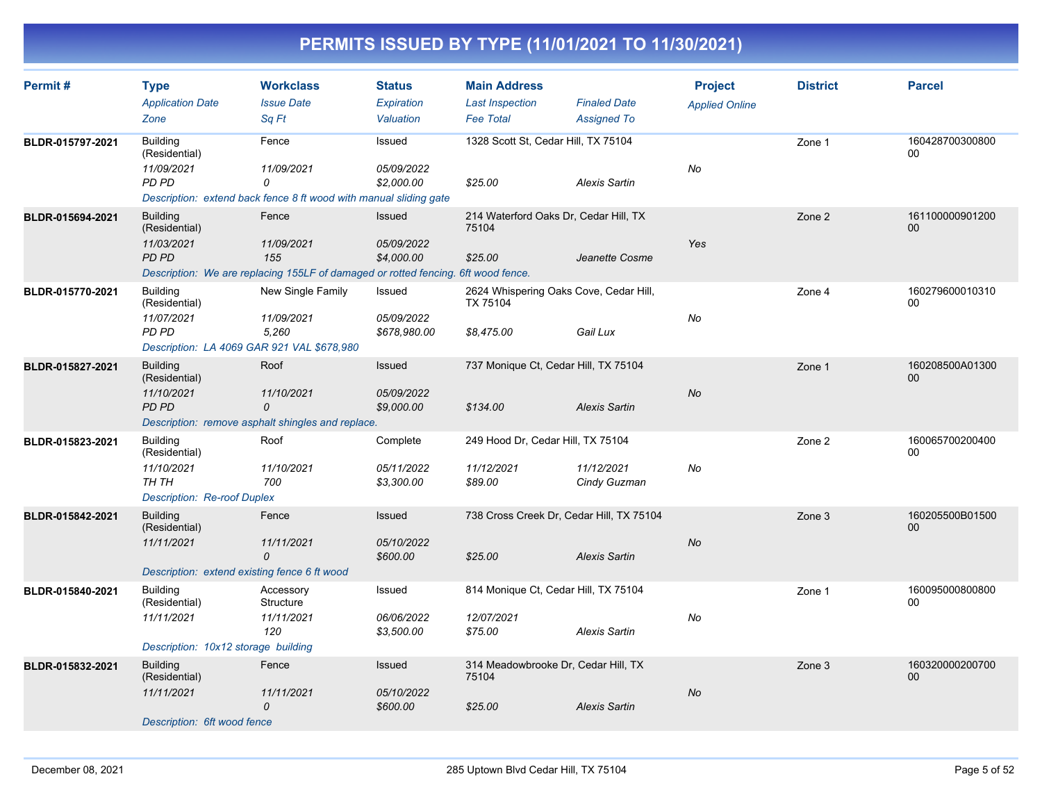| Permit#          | <b>Type</b><br><b>Application Date</b><br>Zone                                                        | <b>Workclass</b><br><b>Issue Date</b><br>Sa Ft                                                                  | <b>Status</b><br><b>Expiration</b><br>Valuation | <b>Main Address</b><br><b>Last Inspection</b><br><b>Fee Total</b> | <b>Finaled Date</b><br><b>Assigned To</b> | <b>Project</b><br><b>Applied Online</b> | <b>District</b> | <b>Parcel</b>             |
|------------------|-------------------------------------------------------------------------------------------------------|-----------------------------------------------------------------------------------------------------------------|-------------------------------------------------|-------------------------------------------------------------------|-------------------------------------------|-----------------------------------------|-----------------|---------------------------|
| BLDR-015797-2021 | <b>Building</b><br>(Residential)<br>11/09/2021<br>PD PD                                               | Fence<br>11/09/2021<br>0<br>Description: extend back fence 8 ft wood with manual sliding gate                   | Issued<br>05/09/2022<br>\$2,000.00              | 1328 Scott St, Cedar Hill, TX 75104<br>\$25.00                    | Alexis Sartin                             | No                                      | Zone 1          | 160428700300800<br>00     |
| BLDR-015694-2021 | <b>Building</b><br>(Residential)<br>11/03/2021<br>PD PD                                               | Fence<br>11/09/2021<br>155<br>Description: We are replacing 155LF of damaged or rotted fencing. 6ft wood fence. | Issued<br>05/09/2022<br>\$4,000.00              | 214 Waterford Oaks Dr, Cedar Hill, TX<br>75104<br>\$25.00         | Jeanette Cosme                            | Yes                                     | Zone 2          | 161100000901200<br>00     |
| BLDR-015770-2021 | <b>Building</b><br>(Residential)<br>11/07/2021<br>PD PD<br>Description: LA 4069 GAR 921 VAL \$678,980 | New Single Family<br>11/09/2021<br>5,260                                                                        | Issued<br>05/09/2022<br>\$678,980.00            | 2624 Whispering Oaks Cove, Cedar Hill,<br>TX 75104<br>\$8,475.00  | Gail Lux                                  | No                                      | Zone 4          | 160279600010310<br>00     |
| BLDR-015827-2021 | <b>Building</b><br>(Residential)<br>11/10/2021<br>PD PD                                               | Roof<br>11/10/2021<br>0<br>Description: remove asphalt shingles and replace.                                    | <b>Issued</b><br>05/09/2022<br>\$9,000.00       | 737 Monique Ct, Cedar Hill, TX 75104<br>\$134.00                  | Alexis Sartin                             | <b>No</b>                               | Zone 1          | 160208500A01300<br>00     |
| BLDR-015823-2021 | <b>Building</b><br>(Residential)<br>11/10/2021<br>TH TH<br><b>Description: Re-roof Duplex</b>         | Roof<br>11/10/2021<br>700                                                                                       | Complete<br>05/11/2022<br>\$3,300.00            | 249 Hood Dr, Cedar Hill, TX 75104<br>11/12/2021<br>\$89.00        | 11/12/2021<br>Cindy Guzman                | No                                      | Zone 2          | 160065700200400<br>00     |
| BLDR-015842-2021 | <b>Building</b><br>(Residential)<br>11/11/2021<br>Description: extend existing fence 6 ft wood        | Fence<br>11/11/2021<br>0                                                                                        | Issued<br>05/10/2022<br>\$600.00                | 738 Cross Creek Dr, Cedar Hill, TX 75104<br>\$25.00               | <b>Alexis Sartin</b>                      | No                                      | Zone 3          | 160205500B01500<br>00     |
| BLDR-015840-2021 | <b>Building</b><br>(Residential)<br>11/11/2021<br>Description: 10x12 storage building                 | Accessory<br>Structure<br>11/11/2021<br>120                                                                     | Issued<br>06/06/2022<br>\$3,500.00              | 814 Monique Ct, Cedar Hill, TX 75104<br>12/07/2021<br>\$75.00     | Alexis Sartin                             | No                                      | Zone 1          | 160095000800800<br>00     |
| BLDR-015832-2021 | <b>Building</b><br>(Residential)<br>11/11/2021<br>Description: 6ft wood fence                         | Fence<br>11/11/2021<br>0                                                                                        | Issued<br>05/10/2022<br>\$600.00                | 314 Meadowbrooke Dr, Cedar Hill, TX<br>75104<br>\$25.00           | <b>Alexis Sartin</b>                      | No                                      | Zone 3          | 160320000200700<br>$00\,$ |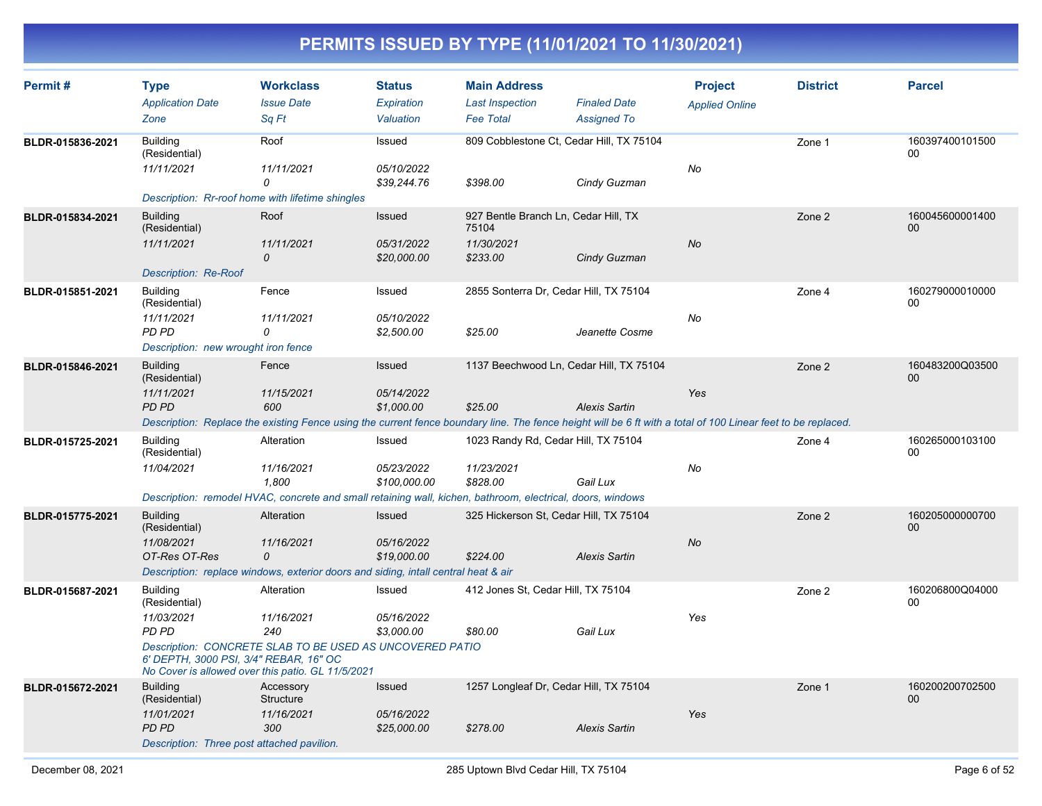| Permit#          | <b>Type</b><br><b>Application Date</b><br>Zone                                                        | <b>Workclass</b><br><b>Issue Date</b><br>Sq Ft                                                                                                                                             | <b>Status</b><br><b>Expiration</b><br>Valuation | <b>Main Address</b><br><b>Last Inspection</b><br><b>Fee Total</b>       | <b>Finaled Date</b><br><b>Assigned To</b> | <b>Project</b><br><b>Applied Online</b> | <b>District</b> | <b>Parcel</b>                     |
|------------------|-------------------------------------------------------------------------------------------------------|--------------------------------------------------------------------------------------------------------------------------------------------------------------------------------------------|-------------------------------------------------|-------------------------------------------------------------------------|-------------------------------------------|-----------------------------------------|-----------------|-----------------------------------|
| BLDR-015836-2021 | <b>Building</b><br>(Residential)<br>11/11/2021                                                        | Roof<br>11/11/2021<br>0<br>Description: Rr-roof home with lifetime shingles                                                                                                                | Issued<br>05/10/2022<br>\$39,244.76             | 809 Cobblestone Ct, Cedar Hill, TX 75104<br>\$398.00                    | Cindy Guzman                              | <b>No</b>                               | Zone 1          | 160397400101500<br>00             |
| BLDR-015834-2021 | <b>Building</b><br>(Residential)<br>11/11/2021<br><b>Description: Re-Roof</b>                         | Roof<br>11/11/2021<br>0                                                                                                                                                                    | Issued<br>05/31/2022<br>\$20,000.00             | 927 Bentle Branch Ln, Cedar Hill, TX<br>75104<br>11/30/2021<br>\$233.00 | Cindy Guzman                              | <b>No</b>                               | Zone 2          | 160045600001400<br>00             |
| BLDR-015851-2021 | <b>Building</b><br>(Residential)<br>11/11/2021<br>PD PD<br>Description: new wrought iron fence        | Fence<br>11/11/2021<br>0                                                                                                                                                                   | Issued<br>05/10/2022<br>\$2,500.00              | 2855 Sonterra Dr, Cedar Hill, TX 75104<br>\$25.00                       | Jeanette Cosme                            | No                                      | Zone 4          | 160279000010000<br>00             |
| BLDR-015846-2021 | <b>Building</b><br>(Residential)<br>11/11/2021<br>PD PD                                               | Fence<br>11/15/2021<br>600<br>Description: Replace the existing Fence using the current fence boundary line. The fence height will be 6 ft with a total of 100 Linear feet to be replaced. | <b>Issued</b><br>05/14/2022<br>\$1,000.00       | 1137 Beechwood Ln, Cedar Hill, TX 75104<br>\$25.00                      | <b>Alexis Sartin</b>                      | Yes                                     | Zone 2          | 160483200Q03500<br>0 <sub>0</sub> |
| BLDR-015725-2021 | <b>Building</b><br>(Residential)<br>11/04/2021                                                        | Alteration<br>11/16/2021<br>1,800<br>Description: remodel HVAC, concrete and small retaining wall, kichen, bathroom, electrical, doors, windows                                            | Issued<br>05/23/2022<br>\$100,000.00            | 1023 Randy Rd, Cedar Hill, TX 75104<br>11/23/2021<br>\$828.00           | Gail Lux                                  | No                                      | Zone 4          | 160265000103100<br>00             |
| BLDR-015775-2021 | <b>Building</b><br>(Residential)<br>11/08/2021<br>OT-Res OT-Res                                       | Alteration<br>11/16/2021<br>0<br>Description: replace windows, exterior doors and siding, intall central heat & air                                                                        | Issued<br>05/16/2022<br>\$19,000.00             | 325 Hickerson St, Cedar Hill, TX 75104<br>\$224.00                      | <b>Alexis Sartin</b>                      | No                                      | Zone 2          | 160205000000700<br>00             |
| BLDR-015687-2021 | <b>Building</b><br>(Residential)<br>11/03/2021<br>PD PD<br>6' DEPTH, 3000 PSI, 3/4" REBAR, 16" OC     | Alteration<br>11/16/2021<br>240<br>Description: CONCRETE SLAB TO BE USED AS UNCOVERED PATIO<br>No Cover is allowed over this patio. GL 11/5/2021                                           | Issued<br>05/16/2022<br>\$3,000.00              | 412 Jones St, Cedar Hill, TX 75104<br>\$80.00                           | Gail Lux                                  | Yes                                     | Zone 2          | 160206800Q04000<br>00             |
| BLDR-015672-2021 | <b>Building</b><br>(Residential)<br>11/01/2021<br>PD PD<br>Description: Three post attached pavilion. | Accessory<br><b>Structure</b><br>11/16/2021<br>300                                                                                                                                         | Issued<br>05/16/2022<br>\$25,000.00             | 1257 Longleaf Dr, Cedar Hill, TX 75104<br>\$278.00                      | <b>Alexis Sartin</b>                      | Yes                                     | Zone 1          | 160200200702500<br>00             |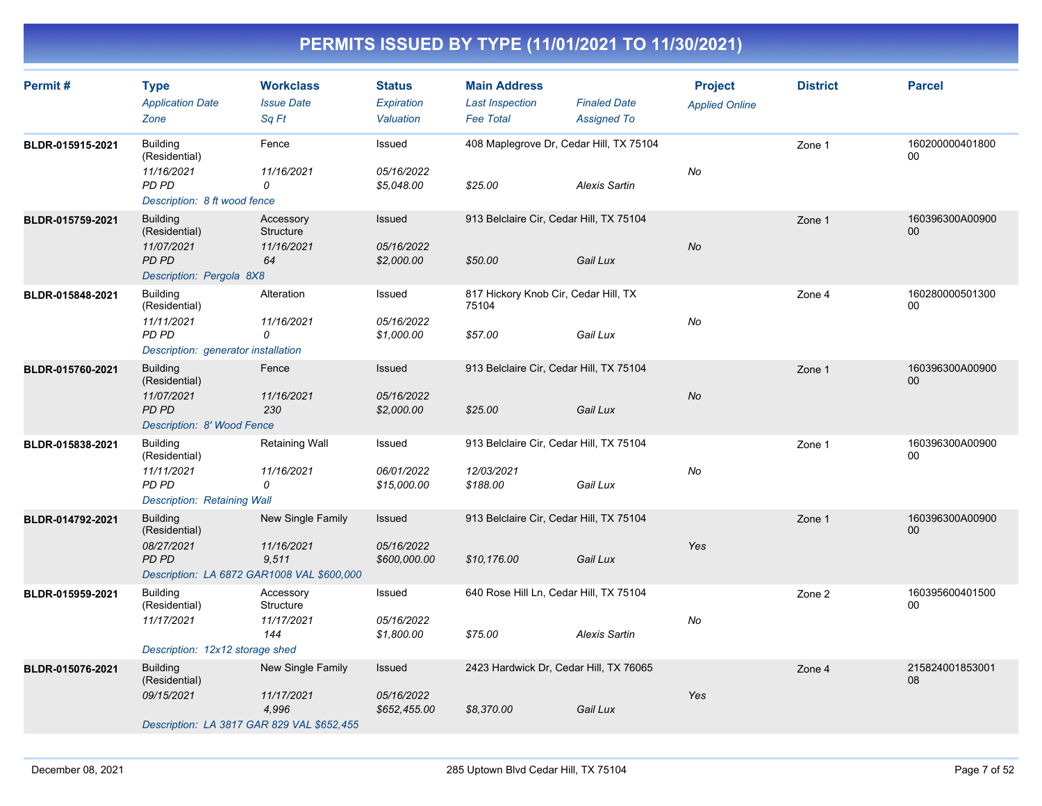| Permit#          | <b>Type</b><br><b>Application Date</b><br>Zone                                                               | <b>Workclass</b><br><b>Issue Date</b><br>Sq Ft | <b>Status</b><br>Expiration<br>Valuation | <b>Main Address</b><br><b>Last Inspection</b><br><b>Fee Total</b> | <b>Finaled Date</b><br><b>Assigned To</b> | <b>Project</b><br><b>Applied Online</b> | <b>District</b> | <b>Parcel</b>             |
|------------------|--------------------------------------------------------------------------------------------------------------|------------------------------------------------|------------------------------------------|-------------------------------------------------------------------|-------------------------------------------|-----------------------------------------|-----------------|---------------------------|
| BLDR-015915-2021 | <b>Building</b><br>(Residential)<br>11/16/2021<br>PD PD<br>Description: 8 ft wood fence                      | Fence<br>11/16/2021<br>0                       | Issued<br>05/16/2022<br>\$5,048.00       | 408 Maplegrove Dr, Cedar Hill, TX 75104<br>\$25.00                | <b>Alexis Sartin</b>                      | No                                      | Zone 1          | 160200000401800<br>00     |
| BLDR-015759-2021 | <b>Building</b><br>(Residential)<br>11/07/2021<br><b>PD PD</b><br>Description: Pergola 8X8                   | Accessory<br>Structure<br>11/16/2021<br>64     | Issued<br>05/16/2022<br>\$2,000.00       | 913 Belclaire Cir, Cedar Hill, TX 75104<br>\$50.00                | Gail Lux                                  | <b>No</b>                               | Zone 1          | 160396300A00900<br>$00\,$ |
| BLDR-015848-2021 | <b>Building</b><br>(Residential)<br>11/11/2021<br>PD PD<br>Description: generator installation               | Alteration<br>11/16/2021<br>0                  | Issued<br>05/16/2022<br>\$1,000.00       | 817 Hickory Knob Cir, Cedar Hill, TX<br>75104<br>\$57.00          | Gail Lux                                  | No                                      | Zone 4          | 160280000501300<br>00     |
| BLDR-015760-2021 | <b>Building</b><br>(Residential)<br>11/07/2021<br><b>PD PD</b><br>Description: 8' Wood Fence                 | Fence<br>11/16/2021<br>230                     | Issued<br>05/16/2022<br>\$2,000.00       | 913 Belclaire Cir, Cedar Hill, TX 75104<br>\$25.00                | Gail Lux                                  | No                                      | Zone 1          | 160396300A00900<br>00     |
| BLDR-015838-2021 | <b>Building</b><br>(Residential)<br>11/11/2021<br>PD PD<br>Description: Retaining Wall                       | Retaining Wall<br>11/16/2021<br>0              | Issued<br>06/01/2022<br>\$15,000.00      | 913 Belclaire Cir, Cedar Hill, TX 75104<br>12/03/2021<br>\$188.00 | Gail Lux                                  | No                                      | Zone 1          | 160396300A00900<br>$00\,$ |
| BLDR-014792-2021 | <b>Building</b><br>(Residential)<br>08/27/2021<br><b>PD PD</b><br>Description: LA 6872 GAR1008 VAL \$600,000 | New Single Family<br>11/16/2021<br>9,511       | Issued<br>05/16/2022<br>\$600,000.00     | 913 Belclaire Cir, Cedar Hill, TX 75104<br>\$10,176.00            | Gail Lux                                  | Yes                                     | Zone 1          | 160396300A00900<br>00     |
| BLDR-015959-2021 | <b>Building</b><br>(Residential)<br>11/17/2021<br>Description: 12x12 storage shed                            | Accessory<br>Structure<br>11/17/2021<br>144    | Issued<br>05/16/2022<br>\$1,800.00       | 640 Rose Hill Ln, Cedar Hill, TX 75104<br>\$75.00                 | <b>Alexis Sartin</b>                      | No                                      | Zone 2          | 160395600401500<br>00     |
| BLDR-015076-2021 | <b>Building</b><br>(Residential)<br>09/15/2021<br>Description: LA 3817 GAR 829 VAL \$652,455                 | New Single Family<br>11/17/2021<br>4,996       | Issued<br>05/16/2022<br>\$652,455.00     | 2423 Hardwick Dr, Cedar Hill, TX 76065<br>\$8,370.00              | Gail Lux                                  | Yes                                     | Zone 4          | 215824001853001<br>08     |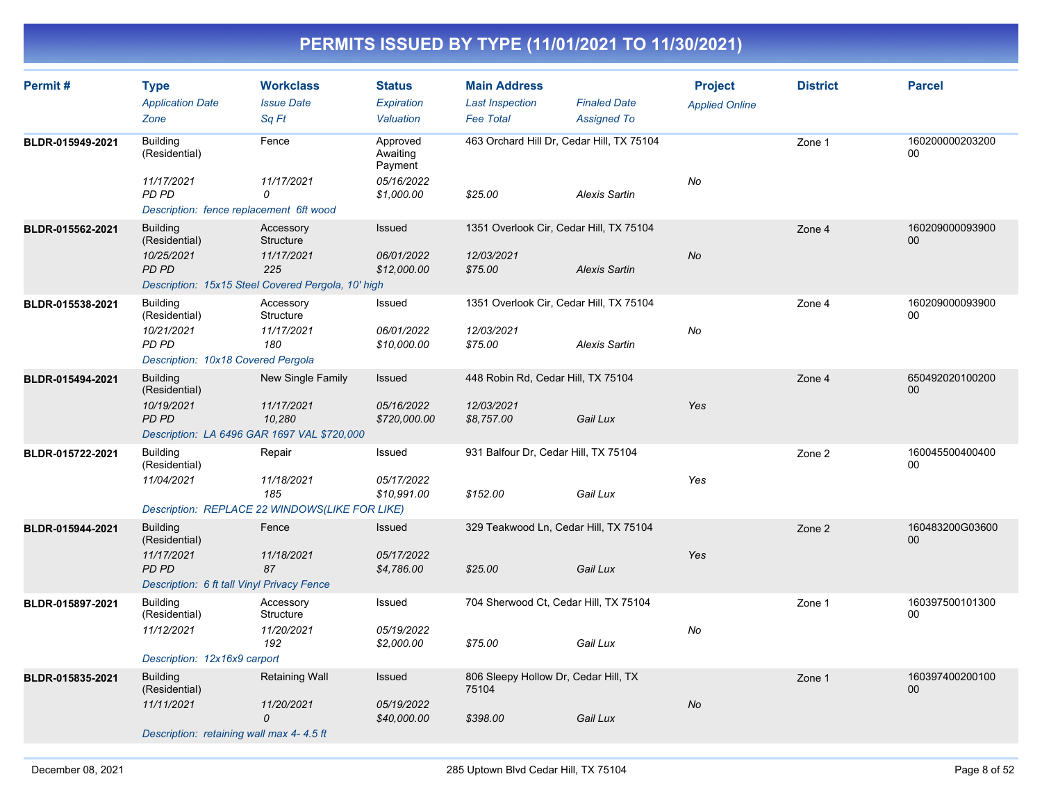| Permit#          | <b>Type</b><br><b>Application Date</b><br>Zone                                                               | <b>Workclass</b><br><b>Issue Date</b><br>Sq Ft                                                    | <b>Status</b><br>Expiration<br>Valuation                    | <b>Main Address</b><br><b>Last Inspection</b><br><b>Fee Total</b> | <b>Finaled Date</b><br><b>Assigned To</b> | <b>Project</b><br><b>Applied Online</b> | <b>District</b> | <b>Parcel</b>             |
|------------------|--------------------------------------------------------------------------------------------------------------|---------------------------------------------------------------------------------------------------|-------------------------------------------------------------|-------------------------------------------------------------------|-------------------------------------------|-----------------------------------------|-----------------|---------------------------|
| BLDR-015949-2021 | <b>Building</b><br>(Residential)<br>11/17/2021<br>PD PD                                                      | Fence<br>11/17/2021<br>$\Omega$                                                                   | Approved<br>Awaiting<br>Payment<br>05/16/2022<br>\$1,000.00 | 463 Orchard Hill Dr, Cedar Hill, TX 75104<br>\$25.00              | <b>Alexis Sartin</b>                      | No                                      | Zone 1          | 160200000203200<br>$00\,$ |
|                  | Description: fence replacement 6ft wood                                                                      |                                                                                                   |                                                             |                                                                   |                                           |                                         |                 |                           |
| BLDR-015562-2021 | <b>Building</b><br>(Residential)<br>10/25/2021<br><b>PD PD</b>                                               | Accessory<br>Structure<br>11/17/2021<br>225<br>Description: 15x15 Steel Covered Pergola, 10' high | Issued<br>06/01/2022<br>\$12,000.00                         | 1351 Overlook Cir, Cedar Hill, TX 75104<br>12/03/2021<br>\$75.00  | <b>Alexis Sartin</b>                      | <b>No</b>                               | Zone 4          | 160209000093900<br>00     |
| BLDR-015538-2021 | <b>Building</b><br>(Residential)<br>10/21/2021<br>PD PD<br>Description: 10x18 Covered Pergola                | Accessory<br>Structure<br>11/17/2021<br>180                                                       | Issued<br>06/01/2022<br>\$10,000.00                         | 1351 Overlook Cir, Cedar Hill, TX 75104<br>12/03/2021<br>\$75.00  | <b>Alexis Sartin</b>                      | No                                      | Zone 4          | 160209000093900<br>00     |
| BLDR-015494-2021 | <b>Building</b><br>(Residential)<br>10/19/2021<br><b>PD PD</b>                                               | New Single Family<br>11/17/2021<br>10,280<br>Description: LA 6496 GAR 1697 VAL \$720,000          | Issued<br>05/16/2022<br>\$720,000.00                        | 448 Robin Rd, Cedar Hill, TX 75104<br>12/03/2021<br>\$8,757.00    | Gail Lux                                  | Yes                                     | Zone 4          | 650492020100200<br>00     |
| BLDR-015722-2021 | <b>Building</b><br>(Residential)<br>11/04/2021                                                               | Repair<br>11/18/2021<br>185<br>Description: REPLACE 22 WINDOWS(LIKE FOR LIKE)                     | Issued<br>05/17/2022<br>\$10,991.00                         | 931 Balfour Dr, Cedar Hill, TX 75104<br>\$152.00                  | Gail Lux                                  | Yes                                     | Zone 2          | 160045500400400<br>00     |
| BLDR-015944-2021 | <b>Building</b><br>(Residential)<br>11/17/2021<br><b>PD PD</b><br>Description: 6 ft tall Vinyl Privacy Fence | Fence<br>11/18/2021<br>87                                                                         | <b>Issued</b><br>05/17/2022<br>\$4,786.00                   | 329 Teakwood Ln, Cedar Hill, TX 75104<br>\$25.00                  | Gail Lux                                  | Yes                                     | Zone 2          | 160483200G03600<br>00     |
| BLDR-015897-2021 | <b>Building</b><br>(Residential)<br>11/12/2021<br>Description: 12x16x9 carport                               | Accessory<br>Structure<br>11/20/2021<br>192                                                       | Issued<br>05/19/2022<br>\$2,000.00                          | 704 Sherwood Ct, Cedar Hill, TX 75104<br>\$75.00                  | Gail Lux                                  | No                                      | Zone 1          | 160397500101300<br>00     |
| BLDR-015835-2021 | <b>Building</b><br>(Residential)<br>11/11/2021<br>Description: retaining wall max 4-4.5 ft                   | <b>Retaining Wall</b><br>11/20/2021<br>$\overline{O}$                                             | Issued<br>05/19/2022<br>\$40,000.00                         | 806 Sleepy Hollow Dr, Cedar Hill, TX<br>75104<br>\$398.00         | Gail Lux                                  | <b>No</b>                               | Zone 1          | 160397400200100<br>$00\,$ |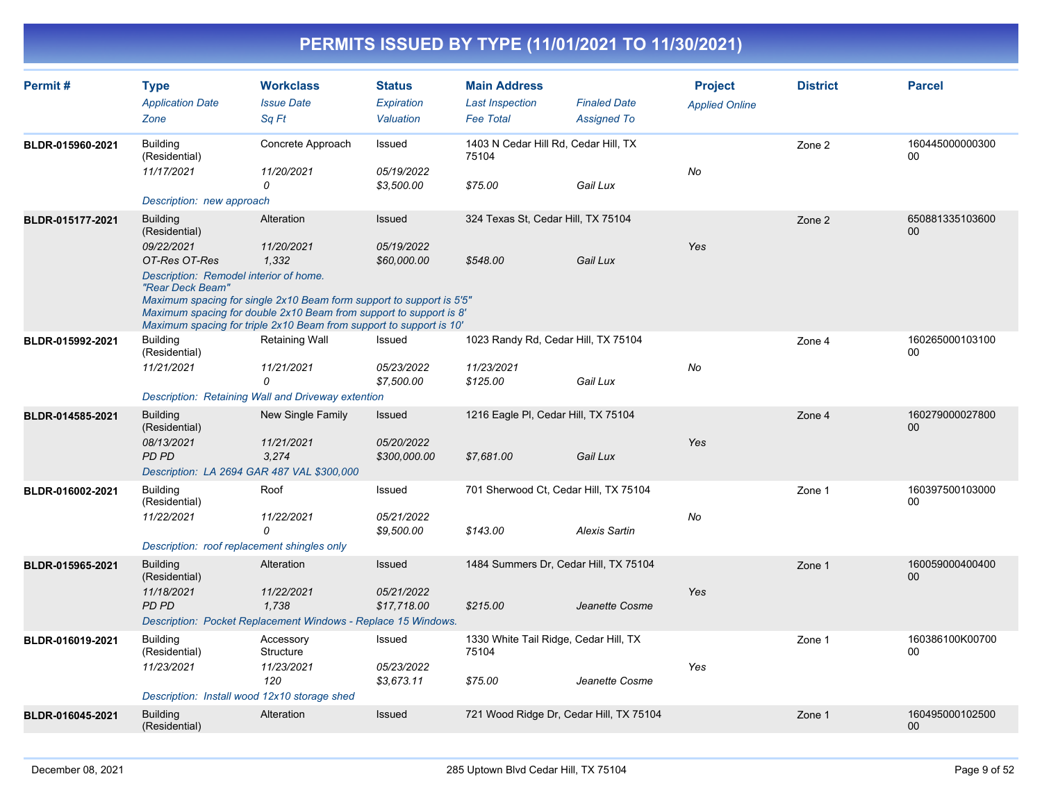| Permit#          | <b>Type</b><br><b>Application Date</b><br>Zone                                                                                | <b>Workclass</b><br><b>Issue Date</b><br>Sa Ft                                                                                                                                                                                                         | <b>Status</b><br>Expiration<br>Valuation    | <b>Main Address</b><br><b>Last Inspection</b><br><b>Fee Total</b> | <b>Finaled Date</b><br><b>Assigned To</b> | <b>Project</b><br><b>Applied Online</b> | <b>District</b> | <b>Parcel</b>         |
|------------------|-------------------------------------------------------------------------------------------------------------------------------|--------------------------------------------------------------------------------------------------------------------------------------------------------------------------------------------------------------------------------------------------------|---------------------------------------------|-------------------------------------------------------------------|-------------------------------------------|-----------------------------------------|-----------------|-----------------------|
| BLDR-015960-2021 | <b>Building</b><br>(Residential)<br>11/17/2021<br>Description: new approach                                                   | Concrete Approach<br>11/20/2021<br>$\Omega$                                                                                                                                                                                                            | Issued<br>05/19/2022<br>\$3,500.00          | 1403 N Cedar Hill Rd, Cedar Hill, TX<br>75104<br>\$75.00          | Gail Lux                                  | No                                      | Zone 2          | 160445000000300<br>00 |
| BLDR-015177-2021 | <b>Building</b><br>(Residential)<br>09/22/2021<br>OT-Res OT-Res<br>Description: Remodel interior of home.<br>"Rear Deck Beam" | Alteration<br>11/20/2021<br>1,332<br>Maximum spacing for single 2x10 Beam form support to support is 5'5"<br>Maximum spacing for double 2x10 Beam from support to support is 8'<br>Maximum spacing for triple 2x10 Beam from support to support is 10' | Issued<br>05/19/2022<br>\$60,000.00         | 324 Texas St, Cedar Hill, TX 75104<br>\$548.00                    | Gail Lux                                  | Yes                                     | Zone 2          | 650881335103600<br>00 |
| BLDR-015992-2021 | <b>Building</b><br>(Residential)<br>11/21/2021                                                                                | <b>Retaining Wall</b><br>11/21/2021<br>$\Omega$<br>Description: Retaining Wall and Driveway extention                                                                                                                                                  | Issued<br>05/23/2022<br>\$7,500.00          | 1023 Randy Rd, Cedar Hill, TX 75104<br>11/23/2021<br>\$125.00     | Gail Lux                                  | No                                      | Zone 4          | 160265000103100<br>00 |
| BLDR-014585-2021 | <b>Building</b><br>(Residential)<br>08/13/2021<br>PD PD<br>Description: LA 2694 GAR 487 VAL \$300,000                         | <b>New Single Family</b><br>11/21/2021<br>3,274                                                                                                                                                                                                        | <b>Issued</b><br>05/20/2022<br>\$300,000.00 | 1216 Eagle PI, Cedar Hill, TX 75104<br>\$7,681.00                 | Gail Lux                                  | Yes                                     | Zone 4          | 160279000027800<br>00 |
| BLDR-016002-2021 | <b>Building</b><br>(Residential)<br>11/22/2021<br>Description: roof replacement shingles only                                 | Roof<br>11/22/2021<br>$\Omega$                                                                                                                                                                                                                         | Issued<br>05/21/2022<br>\$9.500.00          | 701 Sherwood Ct, Cedar Hill, TX 75104<br>\$143.00                 | <b>Alexis Sartin</b>                      | No                                      | Zone 1          | 160397500103000<br>00 |
| BLDR-015965-2021 | <b>Building</b><br>(Residential)<br>11/18/2021<br><b>PD PD</b>                                                                | Alteration<br>11/22/2021<br>1,738<br>Description: Pocket Replacement Windows - Replace 15 Windows.                                                                                                                                                     | Issued<br>05/21/2022<br>\$17,718.00         | 1484 Summers Dr, Cedar Hill, TX 75104<br>\$215.00                 | Jeanette Cosme                            | Yes                                     | Zone 1          | 160059000400400<br>00 |
| BLDR-016019-2021 | <b>Building</b><br>(Residential)<br>11/23/2021<br>Description: Install wood 12x10 storage shed                                | Accessory<br>Structure<br>11/23/2021<br>120                                                                                                                                                                                                            | Issued<br>05/23/2022<br>\$3,673.11          | 1330 White Tail Ridge, Cedar Hill, TX<br>75104<br>\$75.00         | Jeanette Cosme                            | Yes                                     | Zone 1          | 160386100K00700<br>00 |
| BLDR-016045-2021 | <b>Building</b><br>(Residential)                                                                                              | Alteration                                                                                                                                                                                                                                             | Issued                                      | 721 Wood Ridge Dr, Cedar Hill, TX 75104                           |                                           |                                         | Zone 1          | 160495000102500<br>00 |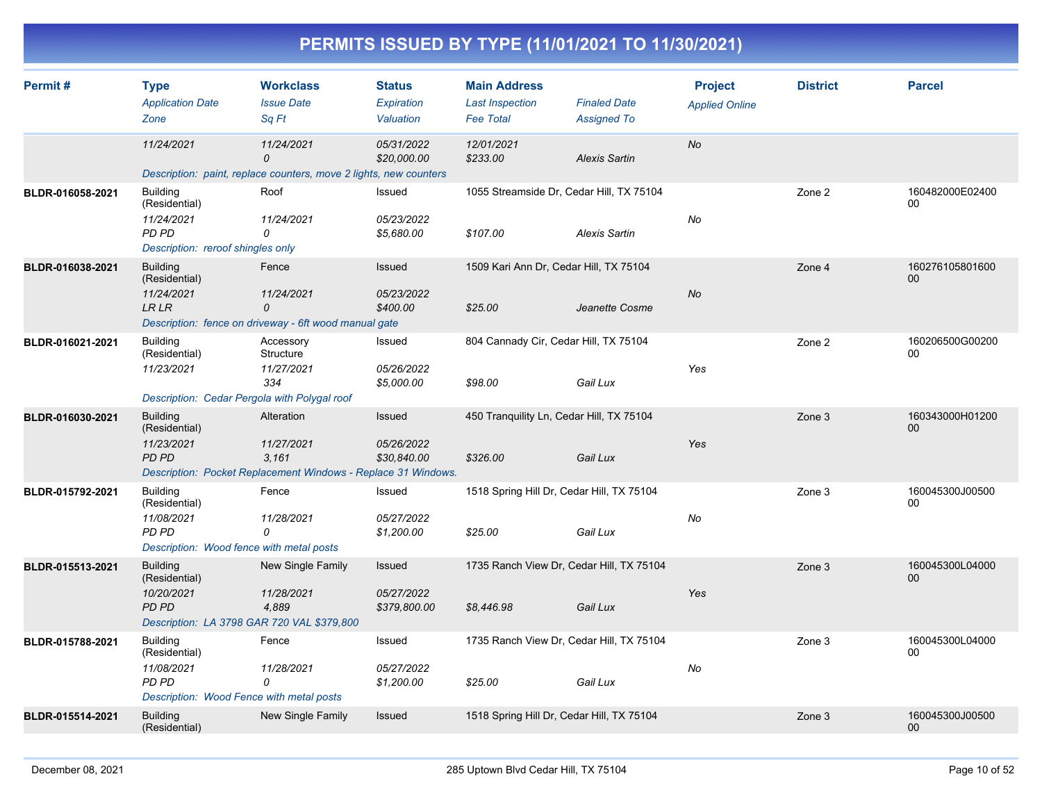| Permit#          | <b>Type</b><br><b>Application Date</b><br>Zone                                                               | <b>Workclass</b><br><b>Issue Date</b><br>Sq Ft                                                     | <b>Status</b><br><b>Expiration</b><br>Valuation | <b>Main Address</b><br><b>Last Inspection</b><br><b>Fee Total</b> | <b>Finaled Date</b><br><b>Assigned To</b> | <b>Project</b><br><b>Applied Online</b> | <b>District</b> | <b>Parcel</b>         |
|------------------|--------------------------------------------------------------------------------------------------------------|----------------------------------------------------------------------------------------------------|-------------------------------------------------|-------------------------------------------------------------------|-------------------------------------------|-----------------------------------------|-----------------|-----------------------|
|                  | 11/24/2021                                                                                                   | 11/24/2021<br>$\mathcal{O}$<br>Description: paint, replace counters, move 2 lights, new counters   | 05/31/2022<br>\$20,000.00                       | 12/01/2021<br>\$233.00                                            | <b>Alexis Sartin</b>                      | <b>No</b>                               |                 |                       |
| BLDR-016058-2021 | <b>Building</b><br>(Residential)<br>11/24/2021<br>PD PD<br>Description: reroof shingles only                 | Roof<br>11/24/2021<br>0                                                                            | Issued<br>05/23/2022<br>\$5,680.00              | 1055 Streamside Dr, Cedar Hill, TX 75104<br>\$107.00              | <b>Alexis Sartin</b>                      | No                                      | Zone 2          | 160482000E02400<br>00 |
| BLDR-016038-2021 | <b>Building</b><br>(Residential)<br>11/24/2021<br><b>LRLR</b>                                                | Fence<br>11/24/2021<br>$\mathcal{O}$<br>Description: fence on driveway - 6ft wood manual gate      | Issued<br>05/23/2022<br>\$400.00                | 1509 Kari Ann Dr, Cedar Hill, TX 75104<br>\$25.00                 | Jeanette Cosme                            | <b>No</b>                               | Zone 4          | 160276105801600<br>00 |
| BLDR-016021-2021 | <b>Building</b><br>(Residential)<br>11/23/2021<br>Description: Cedar Pergola with Polygal roof               | Accessory<br>Structure<br>11/27/2021<br>334                                                        | Issued<br>05/26/2022<br>\$5,000.00              | 804 Cannady Cir, Cedar Hill, TX 75104<br>\$98.00                  | Gail Lux                                  | Yes                                     | Zone 2          | 160206500G00200<br>00 |
| BLDR-016030-2021 | <b>Building</b><br>(Residential)<br>11/23/2021<br><b>PD PD</b>                                               | Alteration<br>11/27/2021<br>3.161<br>Description: Pocket Replacement Windows - Replace 31 Windows. | Issued<br>05/26/2022<br>\$30,840.00             | 450 Tranquility Ln, Cedar Hill, TX 75104<br>\$326.00              | Gail Lux                                  | Yes                                     | Zone 3          | 160343000H01200<br>00 |
| BLDR-015792-2021 | <b>Building</b><br>(Residential)<br>11/08/2021<br><b>PD PD</b><br>Description: Wood fence with metal posts   | Fence<br>11/28/2021<br>0                                                                           | Issued<br>05/27/2022<br>\$1,200.00              | 1518 Spring Hill Dr, Cedar Hill, TX 75104<br>\$25.00              | Gail Lux                                  | No                                      | Zone 3          | 160045300J00500<br>00 |
| BLDR-015513-2021 | <b>Building</b><br>(Residential)<br>10/20/2021<br><b>PD PD</b><br>Description: LA 3798 GAR 720 VAL \$379,800 | New Single Family<br>11/28/2021<br>4,889                                                           | Issued<br>05/27/2022<br>\$379,800.00            | 1735 Ranch View Dr, Cedar Hill, TX 75104<br>\$8,446.98            | Gail Lux                                  | Yes                                     | Zone 3          | 160045300L04000<br>00 |
| BLDR-015788-2021 | <b>Building</b><br>(Residential)<br>11/08/2021<br>PD PD<br>Description: Wood Fence with metal posts          | Fence<br>11/28/2021<br>0                                                                           | Issued<br>05/27/2022<br>\$1,200.00              | 1735 Ranch View Dr, Cedar Hill, TX 75104<br>\$25.00               | Gail Lux                                  | No                                      | Zone 3          | 160045300L04000<br>00 |
| BLDR-015514-2021 | <b>Building</b><br>(Residential)                                                                             | New Single Family                                                                                  | Issued                                          | 1518 Spring Hill Dr, Cedar Hill, TX 75104                         |                                           |                                         | Zone 3          | 160045300J00500<br>00 |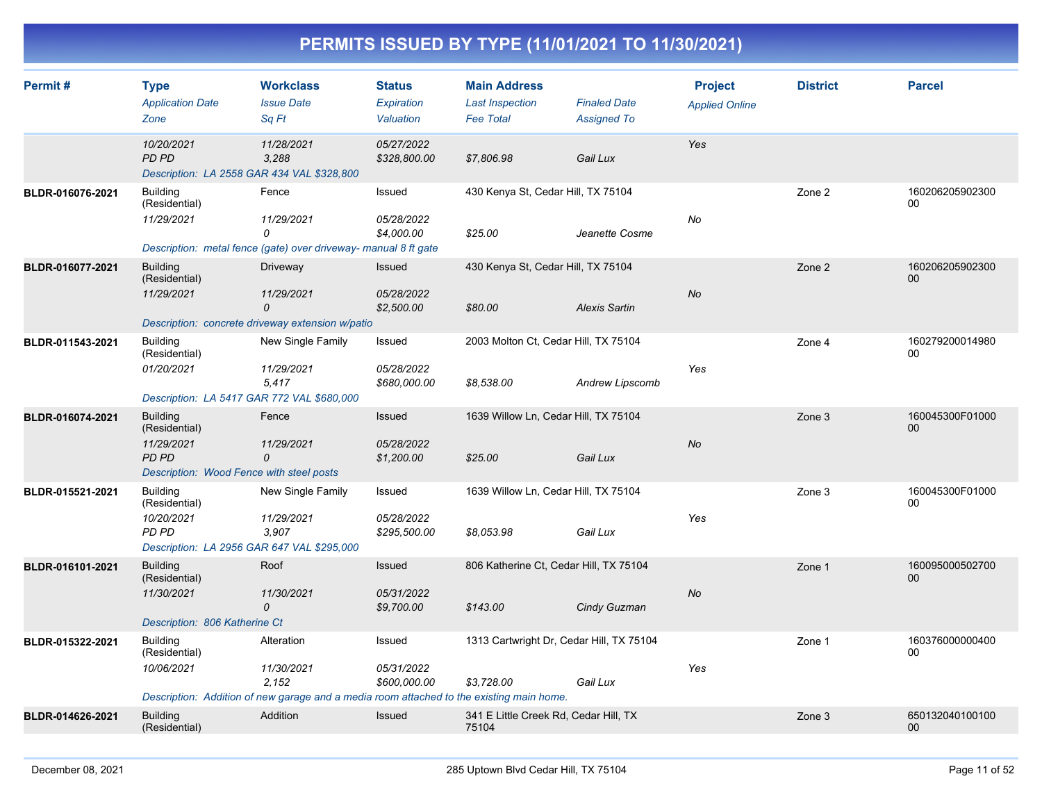| Permit#          | <b>Type</b><br><b>Application Date</b><br>Zone                                                        | <b>Workclass</b><br><b>Issue Date</b><br>Sq Ft                                                                                | <b>Status</b><br>Expiration<br>Valuation | <b>Main Address</b><br><b>Last Inspection</b><br><b>Fee Total</b> | <b>Finaled Date</b><br><b>Assigned To</b> | <b>Project</b><br><b>Applied Online</b> | <b>District</b> | <b>Parcel</b>             |
|------------------|-------------------------------------------------------------------------------------------------------|-------------------------------------------------------------------------------------------------------------------------------|------------------------------------------|-------------------------------------------------------------------|-------------------------------------------|-----------------------------------------|-----------------|---------------------------|
|                  | 10/20/2021<br>PD PD<br>Description: LA 2558 GAR 434 VAL \$328,800                                     | 11/28/2021<br>3,288                                                                                                           | 05/27/2022<br>\$328,800.00               | \$7,806.98                                                        | Gail Lux                                  | Yes                                     |                 |                           |
| BLDR-016076-2021 | <b>Building</b><br>(Residential)<br>11/29/2021                                                        | Fence<br>11/29/2021<br>0<br>Description: metal fence (gate) over driveway- manual 8 ft gate                                   | Issued<br>05/28/2022<br>\$4,000.00       | 430 Kenya St, Cedar Hill, TX 75104<br>\$25.00                     | Jeanette Cosme                            | No                                      | Zone 2          | 160206205902300<br>00     |
| BLDR-016077-2021 | <b>Building</b><br>(Residential)<br>11/29/2021                                                        | Driveway<br>11/29/2021<br>0<br>Description: concrete driveway extension w/patio                                               | Issued<br>05/28/2022<br>\$2,500.00       | 430 Kenya St, Cedar Hill, TX 75104<br>\$80.00                     | <b>Alexis Sartin</b>                      | No                                      | Zone 2          | 160206205902300<br>00     |
| BLDR-011543-2021 | <b>Building</b><br>(Residential)<br>01/20/2021<br>Description: LA 5417 GAR 772 VAL \$680,000          | New Single Family<br>11/29/2021<br>5,417                                                                                      | Issued<br>05/28/2022<br>\$680,000.00     | 2003 Molton Ct, Cedar Hill, TX 75104<br>\$8,538.00                | Andrew Lipscomb                           | Yes                                     | Zone 4          | 160279200014980<br>00     |
| BLDR-016074-2021 | <b>Building</b><br>(Residential)<br>11/29/2021<br>PD PD<br>Description: Wood Fence with steel posts   | Fence<br>11/29/2021<br>0                                                                                                      | Issued<br>05/28/2022<br>\$1,200.00       | 1639 Willow Ln, Cedar Hill, TX 75104<br>\$25.00                   | Gail Lux                                  | No                                      | Zone 3          | 160045300F01000<br>00     |
| BLDR-015521-2021 | <b>Building</b><br>(Residential)<br>10/20/2021<br>PD PD<br>Description: LA 2956 GAR 647 VAL \$295,000 | New Single Family<br>11/29/2021<br>3,907                                                                                      | Issued<br>05/28/2022<br>\$295,500.00     | 1639 Willow Ln, Cedar Hill, TX 75104<br>\$8,053.98                | Gail Lux                                  | Yes                                     | Zone 3          | 160045300F01000<br>00     |
| BLDR-016101-2021 | <b>Building</b><br>(Residential)<br>11/30/2021<br>Description: 806 Katherine Ct                       | Roof<br>11/30/2021<br>$\mathcal{O}$                                                                                           | Issued<br>05/31/2022<br>\$9,700.00       | 806 Katherine Ct, Cedar Hill, TX 75104<br>\$143.00                | Cindy Guzman                              | <b>No</b>                               | Zone 1          | 160095000502700<br>$00\,$ |
| BLDR-015322-2021 | <b>Building</b><br>(Residential)<br>10/06/2021                                                        | Alteration<br>11/30/2021<br>2.152<br>Description: Addition of new garage and a media room attached to the existing main home. | Issued<br>05/31/2022<br>\$600,000.00     | 1313 Cartwright Dr, Cedar Hill, TX 75104<br>\$3.728.00            | Gail Lux                                  | Yes                                     | Zone 1          | 160376000000400<br>00     |
| BLDR-014626-2021 | <b>Building</b><br>(Residential)                                                                      | Addition                                                                                                                      | <b>Issued</b>                            | 341 E Little Creek Rd, Cedar Hill, TX<br>75104                    |                                           |                                         | Zone 3          | 650132040100100<br>00     |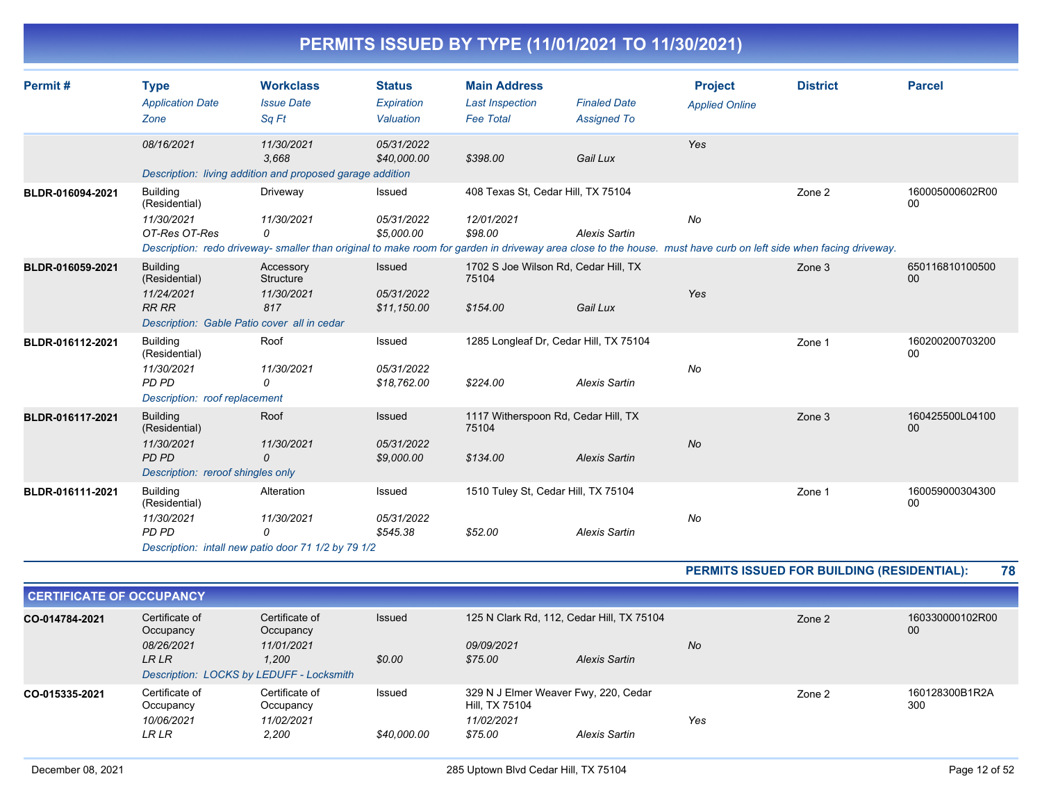| PERMITS ISSUED BY TYPE (11/01/2021 TO 11/30/2021) |  |
|---------------------------------------------------|--|
|                                                   |  |

| Permit#          | <b>Type</b><br><b>Application Date</b><br>Zone                                                      | <b>Workclass</b><br><b>Issue Date</b><br>Sq Ft                                              | <b>Status</b><br>Expiration<br>Valuation   | <b>Main Address</b><br><b>Last Inspection</b><br><b>Fee Total</b> | <b>Finaled Date</b><br><b>Assigned To</b> | <b>Project</b><br><b>Applied Online</b>                                                                                                                                | <b>District</b>                                   | <b>Parcel</b>         |
|------------------|-----------------------------------------------------------------------------------------------------|---------------------------------------------------------------------------------------------|--------------------------------------------|-------------------------------------------------------------------|-------------------------------------------|------------------------------------------------------------------------------------------------------------------------------------------------------------------------|---------------------------------------------------|-----------------------|
|                  | 08/16/2021                                                                                          | 11/30/2021<br>3.668<br>Description: living addition and proposed garage addition            | 05/31/2022<br>\$40,000.00                  | \$398.00                                                          | Gail Lux                                  | Yes                                                                                                                                                                    |                                                   |                       |
| BLDR-016094-2021 | <b>Building</b><br>(Residential)<br>11/30/2021<br>OT-Res OT-Res                                     | Driveway<br>11/30/2021<br>0                                                                 | <b>Issued</b><br>05/31/2022<br>\$5,000.00  | 408 Texas St, Cedar Hill, TX 75104<br>12/01/2021<br>\$98.00       | <b>Alexis Sartin</b>                      | No<br>Description: redo driveway- smaller than original to make room for garden in driveway area close to the house. must have curb on left side when facing driveway. | Zone 2                                            | 160005000602R00<br>00 |
| BLDR-016059-2021 | <b>Building</b><br>(Residential)<br>11/24/2021<br><b>RR RR</b>                                      | Accessory<br>Structure<br>11/30/2021<br>817<br>Description: Gable Patio cover all in cedar  | <b>Issued</b><br>05/31/2022<br>\$11,150.00 | 1702 S Joe Wilson Rd, Cedar Hill, TX<br>75104<br>\$154.00         | Gail Lux                                  | Yes                                                                                                                                                                    | Zone 3                                            | 650116810100500<br>00 |
| BLDR-016112-2021 | <b>Building</b><br>(Residential)<br>11/30/2021<br>PD PD<br>Description: roof replacement            | Roof<br>11/30/2021<br>0                                                                     | Issued<br>05/31/2022<br>\$18,762.00        | 1285 Longleaf Dr, Cedar Hill, TX 75104<br>\$224.00                | <b>Alexis Sartin</b>                      | No                                                                                                                                                                     | Zone 1                                            | 160200200703200<br>00 |
| BLDR-016117-2021 | <b>Building</b><br>(Residential)<br>11/30/2021<br><b>PD PD</b><br>Description: reroof shingles only | Roof<br>11/30/2021<br>0                                                                     | Issued<br>05/31/2022<br>\$9,000.00         | 1117 Witherspoon Rd, Cedar Hill, TX<br>75104<br>\$134.00          | <b>Alexis Sartin</b>                      | <b>No</b>                                                                                                                                                              | Zone 3                                            | 160425500L04100<br>00 |
| BLDR-016111-2021 | <b>Building</b><br>(Residential)<br>11/30/2021<br>PD PD                                             | Alteration<br>11/30/2021<br>$\Omega$<br>Description: intall new patio door 71 1/2 by 79 1/2 | <b>Issued</b><br>05/31/2022<br>\$545.38    | 1510 Tuley St, Cedar Hill, TX 75104<br>\$52.00                    | <b>Alexis Sartin</b>                      | No                                                                                                                                                                     | Zone 1                                            | 160059000304300<br>00 |
|                  |                                                                                                     |                                                                                             |                                            |                                                                   |                                           |                                                                                                                                                                        | <b>DEDMITC ICCUED FOR BUILDING (DECIDENTIAL).</b> |                       |

| <b>PERMITS ISSUED FOR BUILDING (RESIDENTIAL):</b> | 78 |
|---------------------------------------------------|----|
|---------------------------------------------------|----|

| <b>CERTIFICATE OF OCCUPANCY</b> |                                          |                             |             |                                                        |               |     |        |                       |
|---------------------------------|------------------------------------------|-----------------------------|-------------|--------------------------------------------------------|---------------|-----|--------|-----------------------|
| CO-014784-2021                  | Certificate of<br>Occupancy              | Certificate of<br>Occupancy | Issued      | 125 N Clark Rd, 112, Cedar Hill, TX 75104              |               |     | Zone 2 | 160330000102R00<br>00 |
|                                 | 08/26/2021                               | 11/01/2021                  |             | 09/09/2021                                             |               | No  |        |                       |
|                                 | LR LR                                    | 1.200                       | \$0.00      | \$75.00                                                | Alexis Sartin |     |        |                       |
|                                 | Description: LOCKS by LEDUFF - Locksmith |                             |             |                                                        |               |     |        |                       |
| CO-015335-2021                  | Certificate of<br>Occupancy              | Certificate of<br>Occupancy | Issued      | 329 N J Elmer Weaver Fwy, 220, Cedar<br>Hill, TX 75104 |               |     | Zone 2 | 160128300B1R2A<br>300 |
|                                 | 10/06/2021                               | 11/02/2021                  |             | 11/02/2021                                             |               | Yes |        |                       |
|                                 | LR LR                                    | 2,200                       | \$40,000.00 | \$75.00                                                | Alexis Sartin |     |        |                       |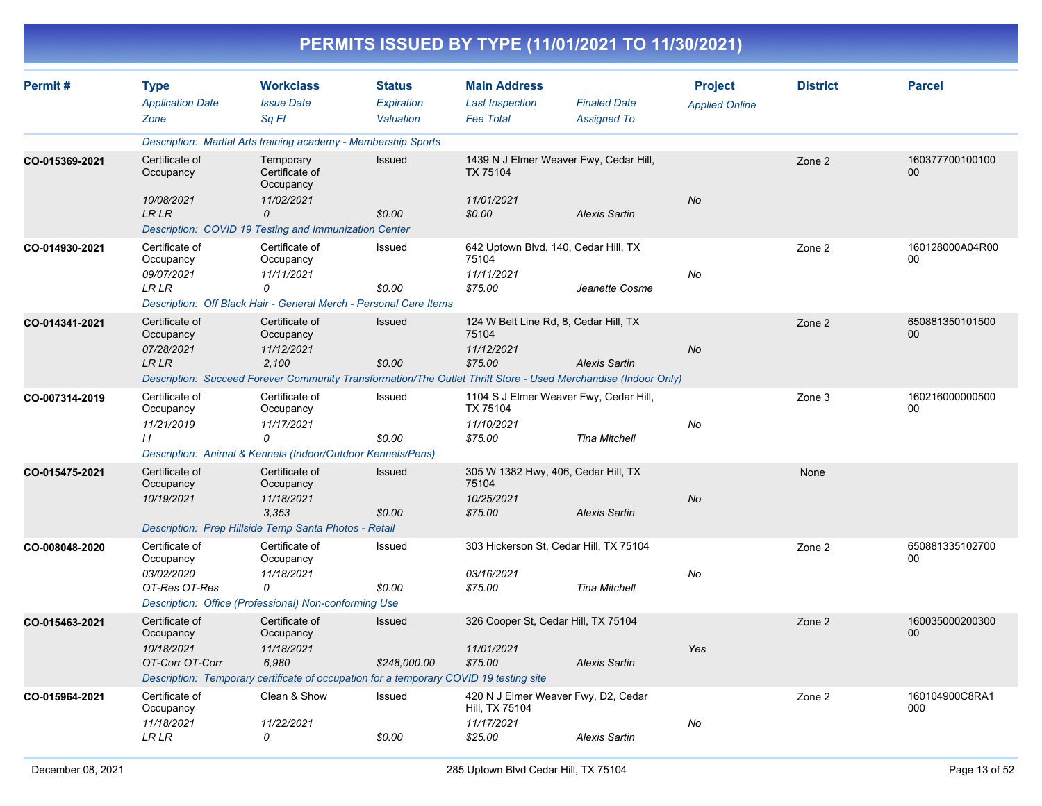|                |                                                              |                                                                                                                                              |                                          |                                                                   | PERMITS ISSUED BY TYPE (11/01/2021 TO 11/30/2021)                                                              |                                         |                 |                           |
|----------------|--------------------------------------------------------------|----------------------------------------------------------------------------------------------------------------------------------------------|------------------------------------------|-------------------------------------------------------------------|----------------------------------------------------------------------------------------------------------------|-----------------------------------------|-----------------|---------------------------|
| Permit#        | <b>Type</b><br><b>Application Date</b><br>Zone               | <b>Workclass</b><br><b>Issue Date</b><br>Sq Ft                                                                                               | <b>Status</b><br>Expiration<br>Valuation | <b>Main Address</b><br><b>Last Inspection</b><br><b>Fee Total</b> | <b>Finaled Date</b><br><b>Assigned To</b>                                                                      | <b>Project</b><br><b>Applied Online</b> | <b>District</b> | <b>Parcel</b>             |
|                |                                                              | Description: Martial Arts training academy - Membership Sports                                                                               |                                          |                                                                   |                                                                                                                |                                         |                 |                           |
| CO-015369-2021 | Certificate of<br>Occupancy<br>10/08/2021                    | Temporary<br>Certificate of<br>Occupancy<br>11/02/2021                                                                                       | <b>Issued</b>                            | TX 75104<br>11/01/2021                                            | 1439 N J Elmer Weaver Fwy, Cedar Hill,                                                                         | No                                      | Zone 2          | 160377700100100<br>00     |
|                | <b>LRLR</b>                                                  | 0                                                                                                                                            | \$0.00                                   | \$0.00                                                            | <b>Alexis Sartin</b>                                                                                           |                                         |                 |                           |
|                |                                                              | Description: COVID 19 Testing and Immunization Center                                                                                        |                                          |                                                                   |                                                                                                                |                                         |                 |                           |
| CO-014930-2021 | Certificate of<br>Occupancy<br>09/07/2021<br><b>LR LR</b>    | Certificate of<br>Occupancy<br>11/11/2021<br>0                                                                                               | Issued<br>\$0.00                         | 75104<br>11/11/2021<br>\$75.00                                    | 642 Uptown Blvd, 140, Cedar Hill, TX<br>Jeanette Cosme                                                         | No                                      | Zone 2          | 160128000A04R00<br>00     |
|                |                                                              | Description: Off Black Hair - General Merch - Personal Care Items                                                                            |                                          |                                                                   |                                                                                                                |                                         |                 |                           |
| CO-014341-2021 | Certificate of<br>Occupancy<br>07/28/2021                    | Certificate of<br>Occupancy<br>11/12/2021                                                                                                    | <b>Issued</b>                            | 75104<br>11/12/2021                                               | 124 W Belt Line Rd, 8, Cedar Hill, TX                                                                          | No                                      | Zone 2          | 650881350101500<br>00     |
|                | <b>LRLR</b>                                                  | 2,100                                                                                                                                        | \$0.00                                   | \$75.00                                                           | <b>Alexis Sartin</b>                                                                                           |                                         |                 |                           |
|                |                                                              | Certificate of                                                                                                                               |                                          |                                                                   | Description: Succeed Forever Community Transformation/The Outlet Thrift Store - Used Merchandise (Indoor Only) |                                         |                 |                           |
| CO-007314-2019 | Certificate of<br>Occupancy<br>11/21/2019<br>$\prime\prime$  | Occupancy<br>11/17/2021<br>0<br>Description: Animal & Kennels (Indoor/Outdoor Kennels/Pens)                                                  | Issued<br>\$0.00                         | TX 75104<br>11/10/2021<br>\$75.00                                 | 1104 S J Elmer Weaver Fwy, Cedar Hill,<br><b>Tina Mitchell</b>                                                 | No                                      | Zone 3          | 160216000000500<br>00     |
| CO-015475-2021 | Certificate of<br>Occupancy<br>10/19/2021                    | Certificate of<br>Occupancy<br>11/18/2021<br>3.353<br>Description: Prep Hillside Temp Santa Photos - Retail                                  | Issued<br>\$0.00                         | 75104<br>10/25/2021<br>\$75.00                                    | 305 W 1382 Hwy, 406, Cedar Hill, TX<br><b>Alexis Sartin</b>                                                    | No                                      | None            |                           |
| CO-008048-2020 | Certificate of<br>Occupancy<br>03/02/2020<br>OT-Res OT-Res   | Certificate of<br>Occupancy<br>11/18/2021<br>0<br>Description: Office (Professional) Non-conforming Use                                      | Issued<br>\$0.00                         | 03/16/2021<br>\$75.00                                             | 303 Hickerson St, Cedar Hill, TX 75104<br><b>Tina Mitchell</b>                                                 | No                                      | Zone 2          | 650881335102700<br>00     |
| CO-015463-2021 | Certificate of<br>Occupancy<br>10/18/2021<br>OT-Corr OT-Corr | Certificate of<br>Occupancy<br>11/18/2021<br>6,980<br>Description: Temporary certificate of occupation for a temporary COVID 19 testing site | Issued<br>\$248,000.00                   | 11/01/2021<br>\$75.00                                             | 326 Cooper St, Cedar Hill, TX 75104<br><b>Alexis Sartin</b>                                                    | Yes                                     | Zone 2          | 160035000200300<br>$00\,$ |
| CO-015964-2021 | Certificate of<br>Occupancy<br>11/18/2021<br>LR LR           | Clean & Show<br>11/22/2021<br>0                                                                                                              | Issued<br>\$0.00                         | Hill, TX 75104<br>11/17/2021<br>\$25.00                           | 420 N J Elmer Weaver Fwy, D2, Cedar<br><b>Alexis Sartin</b>                                                    | No                                      | Zone 2          | 160104900C8RA1<br>000     |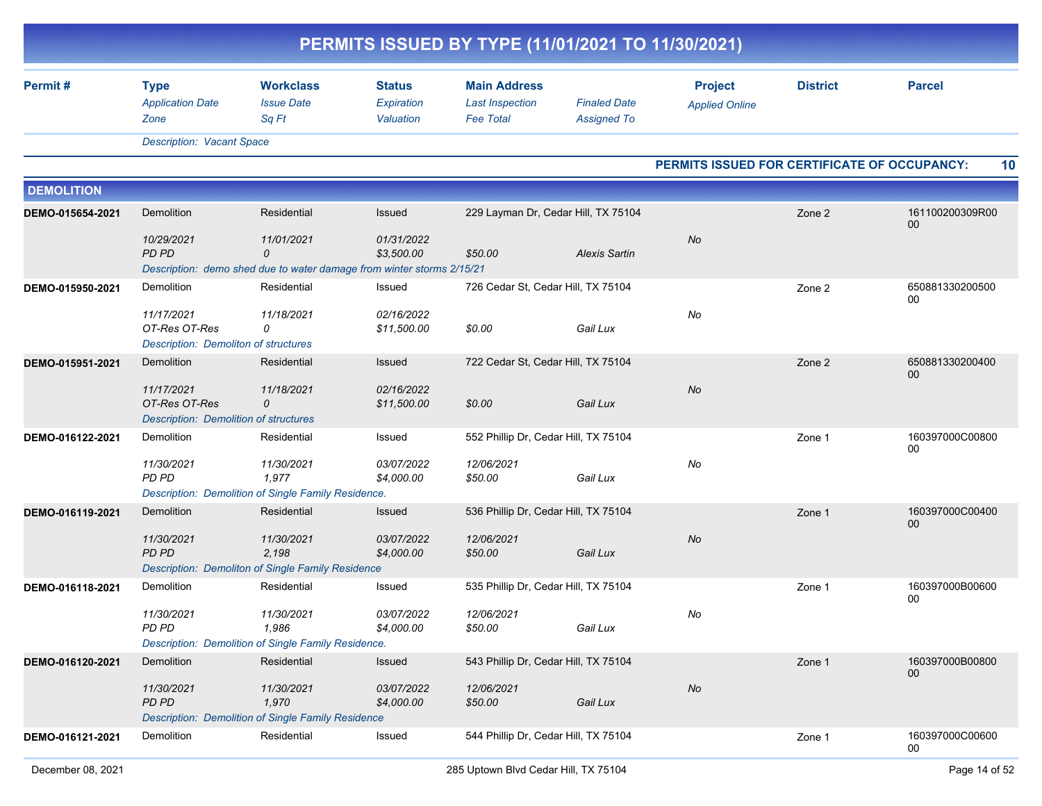|                   |                                                                                                |                                                |                                          | PERMITS ISSUED BY TYPE (11/01/2021 TO 11/30/2021)                 |                                           |                                              |                 |                       |
|-------------------|------------------------------------------------------------------------------------------------|------------------------------------------------|------------------------------------------|-------------------------------------------------------------------|-------------------------------------------|----------------------------------------------|-----------------|-----------------------|
| Permit#           | <b>Type</b><br><b>Application Date</b><br>Zone                                                 | <b>Workclass</b><br><b>Issue Date</b><br>Sq Ft | <b>Status</b><br>Expiration<br>Valuation | <b>Main Address</b><br><b>Last Inspection</b><br><b>Fee Total</b> | <b>Finaled Date</b><br><b>Assigned To</b> | <b>Project</b><br><b>Applied Online</b>      | <b>District</b> | <b>Parcel</b>         |
|                   | <b>Description: Vacant Space</b>                                                               |                                                |                                          |                                                                   |                                           |                                              |                 |                       |
|                   |                                                                                                |                                                |                                          |                                                                   |                                           | PERMITS ISSUED FOR CERTIFICATE OF OCCUPANCY: |                 | 10                    |
| <b>DEMOLITION</b> |                                                                                                |                                                |                                          |                                                                   |                                           |                                              |                 |                       |
| DEMO-015654-2021  | Demolition                                                                                     | Residential                                    | Issued                                   | 229 Layman Dr, Cedar Hill, TX 75104                               |                                           |                                              | Zone 2          | 161100200309R00<br>00 |
|                   | 10/29/2021<br>PD PD                                                                            | 11/01/2021<br>0                                | 01/31/2022<br>\$3,500.00                 | \$50.00                                                           | <b>Alexis Sartin</b>                      | No                                           |                 |                       |
| DEMO-015950-2021  | Description: demo shed due to water damage from winter storms 2/15/21<br>Demolition            | Residential                                    | Issued                                   | 726 Cedar St, Cedar Hill, TX 75104                                |                                           |                                              | Zone 2          | 650881330200500       |
|                   | 11/17/2021<br>OT-Res OT-Res<br><b>Description: Demoliton of structures</b>                     | 11/18/2021<br>0                                | 02/16/2022<br>\$11,500.00                | \$0.00                                                            | Gail Lux                                  | No                                           |                 | 00                    |
| DEMO-015951-2021  | Demolition<br>11/17/2021<br>OT-Res OT-Res<br><b>Description: Demolition of structures</b>      | Residential<br>11/18/2021<br>0                 | Issued<br>02/16/2022<br>\$11,500.00      | 722 Cedar St, Cedar Hill, TX 75104<br>\$0.00                      | Gail Lux                                  | <b>No</b>                                    | Zone 2          | 650881330200400<br>00 |
| DEMO-016122-2021  | Demolition<br>11/30/2021<br>PD PD<br>Description: Demolition of Single Family Residence.       | Residential<br>11/30/2021<br>1,977             | Issued<br>03/07/2022<br>\$4,000.00       | 552 Phillip Dr, Cedar Hill, TX 75104<br>12/06/2021<br>\$50.00     | Gail Lux                                  | No                                           | Zone 1          | 160397000C00800<br>00 |
| DEMO-016119-2021  | Demolition<br>11/30/2021<br>PD PD<br><b>Description: Demoliton of Single Family Residence</b>  | Residential<br>11/30/2021<br>2,198             | Issued<br>03/07/2022<br>\$4,000.00       | 536 Phillip Dr, Cedar Hill, TX 75104<br>12/06/2021<br>\$50.00     | Gail Lux                                  | No                                           | Zone 1          | 160397000C00400<br>00 |
| DEMO-016118-2021  | Demolition<br>11/30/2021<br>PD PD<br>Description: Demolition of Single Family Residence.       | Residential<br>11/30/2021<br>1,986             | Issued<br>03/07/2022<br>\$4,000.00       | 535 Phillip Dr, Cedar Hill, TX 75104<br>12/06/2021<br>\$50.00     | Gail Lux                                  | No                                           | Zone 1          | 160397000B00600<br>00 |
| DEMO-016120-2021  | <b>Demolition</b><br>11/30/2021<br>PD PD<br>Description: Demolition of Single Family Residence | Residential<br>11/30/2021<br>1,970             | Issued<br>03/07/2022<br>\$4,000.00       | 543 Phillip Dr, Cedar Hill, TX 75104<br>12/06/2021<br>\$50.00     | Gail Lux                                  | No                                           | Zone 1          | 160397000B00800<br>00 |
| DEMO-016121-2021  | Demolition                                                                                     | Residential                                    | Issued                                   | 544 Phillip Dr, Cedar Hill, TX 75104                              |                                           |                                              | Zone 1          | 160397000C00600<br>00 |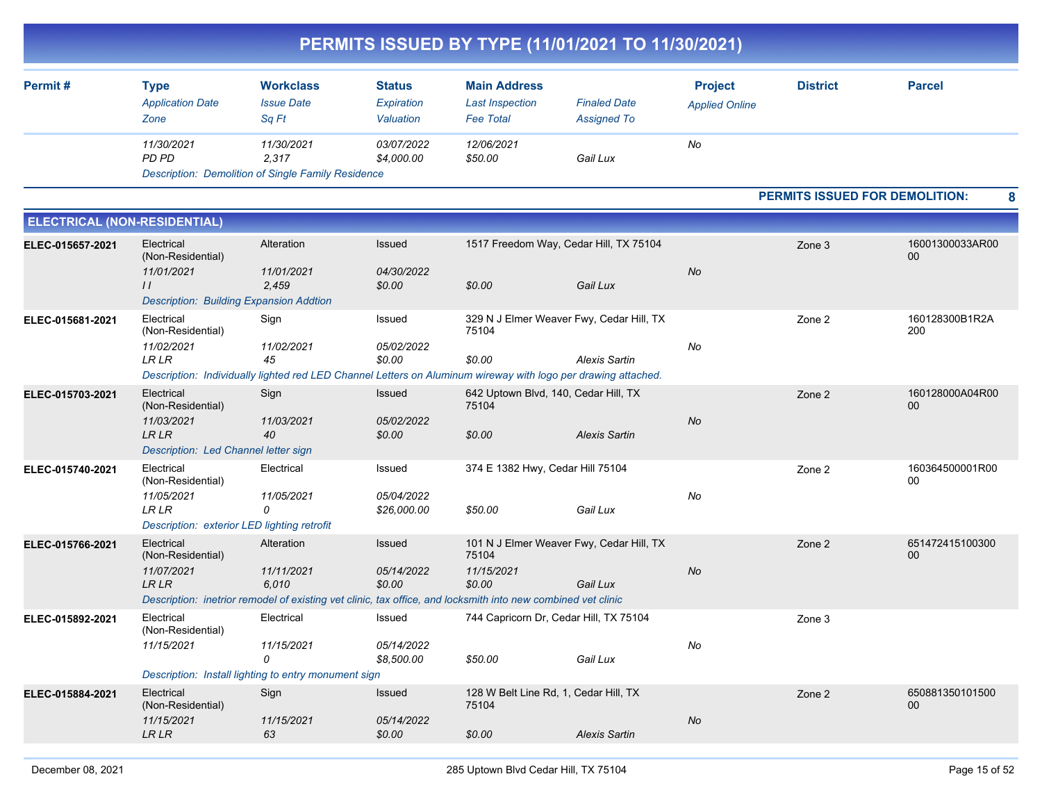|                                     |                                                                                                             |                                                                                                                                                   |                                          |                                                                   | PERMITS ISSUED BY TYPE (11/01/2021 TO 11/30/2021)                                                                                                                                 |                                         |                                |                       |
|-------------------------------------|-------------------------------------------------------------------------------------------------------------|---------------------------------------------------------------------------------------------------------------------------------------------------|------------------------------------------|-------------------------------------------------------------------|-----------------------------------------------------------------------------------------------------------------------------------------------------------------------------------|-----------------------------------------|--------------------------------|-----------------------|
| Permit#                             | <b>Type</b><br><b>Application Date</b><br>Zone                                                              | <b>Workclass</b><br><b>Issue Date</b><br>Sq Ft                                                                                                    | <b>Status</b><br>Expiration<br>Valuation | <b>Main Address</b><br><b>Last Inspection</b><br><b>Fee Total</b> | <b>Finaled Date</b><br><b>Assigned To</b>                                                                                                                                         | <b>Project</b><br><b>Applied Online</b> | <b>District</b>                | <b>Parcel</b>         |
|                                     | 11/30/2021<br>PD PD                                                                                         | 11/30/2021<br>2,317<br>Description: Demolition of Single Family Residence                                                                         | 03/07/2022<br>\$4,000.00                 | 12/06/2021<br>\$50.00                                             | Gail Lux                                                                                                                                                                          | No                                      |                                |                       |
|                                     |                                                                                                             |                                                                                                                                                   |                                          |                                                                   |                                                                                                                                                                                   |                                         | PERMITS ISSUED FOR DEMOLITION: | 8                     |
| <b>ELECTRICAL (NON-RESIDENTIAL)</b> |                                                                                                             |                                                                                                                                                   |                                          |                                                                   |                                                                                                                                                                                   |                                         |                                |                       |
| ELEC-015657-2021                    | Electrical<br>(Non-Residential)<br>11/01/2021                                                               | Alteration<br>11/01/2021                                                                                                                          | Issued<br>04/30/2022                     |                                                                   | 1517 Freedom Way, Cedar Hill, TX 75104                                                                                                                                            | No                                      | Zone 3                         | 16001300033AR00<br>00 |
|                                     | $\frac{1}{2}$<br><b>Description: Building Expansion Addtion</b>                                             | 2,459                                                                                                                                             | \$0.00                                   | \$0.00                                                            | Gail Lux                                                                                                                                                                          |                                         |                                |                       |
| ELEC-015681-2021                    | Electrical<br>(Non-Residential)<br>11/02/2021<br><b>LR LR</b>                                               | Sign<br>11/02/2021<br>45                                                                                                                          | Issued<br>05/02/2022<br>\$0.00           | 75104<br>\$0.00                                                   | 329 N J Elmer Weaver Fwy, Cedar Hill, TX<br><b>Alexis Sartin</b><br>Description: Individually lighted red LED Channel Letters on Aluminum wireway with logo per drawing attached. | No                                      | Zone 2                         | 160128300B1R2A<br>200 |
| ELEC-015703-2021                    | Electrical<br>(Non-Residential)<br>11/03/2021<br><b>LRLR</b><br>Description: Led Channel letter sign        | Sign<br>11/03/2021<br>40                                                                                                                          | Issued<br>05/02/2022<br>\$0.00           | 75104<br>\$0.00                                                   | 642 Uptown Blvd, 140, Cedar Hill, TX<br><b>Alexis Sartin</b>                                                                                                                      | No                                      | Zone 2                         | 160128000A04R00<br>00 |
| ELEC-015740-2021                    | Electrical<br>(Non-Residential)<br>11/05/2021<br><b>LRLR</b><br>Description: exterior LED lighting retrofit | Electrical<br>11/05/2021<br>0                                                                                                                     | Issued<br>05/04/2022<br>\$26,000.00      | 374 E 1382 Hwy, Cedar Hill 75104<br>\$50.00                       | Gail Lux                                                                                                                                                                          | No                                      | Zone 2                         | 160364500001R00<br>00 |
| ELEC-015766-2021                    | Electrical<br>(Non-Residential)<br>11/07/2021<br><b>LRLR</b>                                                | Alteration<br>11/11/2021<br>6,010<br>Description: inetrior remodel of existing vet clinic, tax office, and locksmith into new combined vet clinic | <b>Issued</b><br>05/14/2022<br>\$0.00    | 75104<br>11/15/2021<br>\$0.00                                     | 101 N J Elmer Weaver Fwy, Cedar Hill, TX<br>Gail Lux                                                                                                                              | No                                      | Zone 2                         | 651472415100300<br>00 |
| ELEC-015892-2021                    | Electrical<br>(Non-Residential)<br>11/15/2021                                                               | Electrical<br>11/15/2021<br>0<br>Description: Install lighting to entry monument sign                                                             | Issued<br>05/14/2022<br>\$8,500.00       | \$50.00                                                           | 744 Capricorn Dr, Cedar Hill, TX 75104<br>Gail Lux                                                                                                                                | No                                      | Zone 3                         |                       |
| ELEC-015884-2021                    | Electrical<br>(Non-Residential)<br>11/15/2021<br>${\ensuremath{\mathit{LR}}\,}{\ensuremath{\mathit{LR}}}$   | Sign<br>11/15/2021<br>63                                                                                                                          | Issued<br>05/14/2022<br>\$0.00           | 75104<br>\$0.00                                                   | 128 W Belt Line Rd, 1, Cedar Hill, TX<br>Alexis Sartin                                                                                                                            | $\mathsf{No}$                           | Zone 2                         | 650881350101500<br>00 |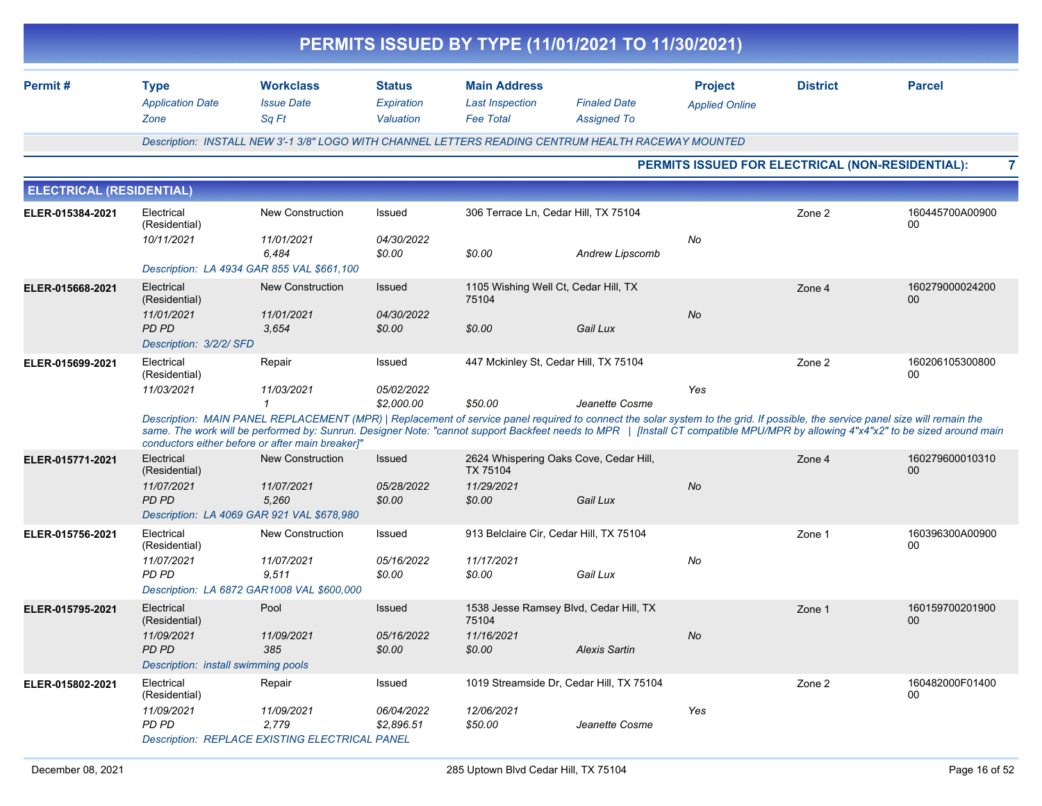|                                 |                                                                                                         |                                                                                                                                                                                                                                                                                                                                                                                                                       |                                          | PERMITS ISSUED BY TYPE (11/01/2021 TO 11/30/2021)                          |                                           |                                         |                                                  |                           |
|---------------------------------|---------------------------------------------------------------------------------------------------------|-----------------------------------------------------------------------------------------------------------------------------------------------------------------------------------------------------------------------------------------------------------------------------------------------------------------------------------------------------------------------------------------------------------------------|------------------------------------------|----------------------------------------------------------------------------|-------------------------------------------|-----------------------------------------|--------------------------------------------------|---------------------------|
| Permit#                         | <b>Type</b><br><b>Application Date</b><br>Zone                                                          | <b>Workclass</b><br><b>Issue Date</b><br>Sq Ft                                                                                                                                                                                                                                                                                                                                                                        | <b>Status</b><br>Expiration<br>Valuation | <b>Main Address</b><br><b>Last Inspection</b><br><b>Fee Total</b>          | <b>Finaled Date</b><br><b>Assigned To</b> | <b>Project</b><br><b>Applied Online</b> | <b>District</b>                                  | <b>Parcel</b>             |
|                                 |                                                                                                         | Description: INSTALL NEW 3'-1 3/8" LOGO WITH CHANNEL LETTERS READING CENTRUM HEALTH RACEWAY MOUNTED                                                                                                                                                                                                                                                                                                                   |                                          |                                                                            |                                           |                                         |                                                  |                           |
|                                 |                                                                                                         |                                                                                                                                                                                                                                                                                                                                                                                                                       |                                          |                                                                            |                                           |                                         | PERMITS ISSUED FOR ELECTRICAL (NON-RESIDENTIAL): | 7                         |
| <b>ELECTRICAL (RESIDENTIAL)</b> |                                                                                                         |                                                                                                                                                                                                                                                                                                                                                                                                                       |                                          |                                                                            |                                           |                                         |                                                  |                           |
| ELER-015384-2021                | Electrical<br>(Residential)<br>10/11/2021                                                               | <b>New Construction</b><br>11/01/2021                                                                                                                                                                                                                                                                                                                                                                                 | Issued<br>04/30/2022                     | 306 Terrace Ln, Cedar Hill, TX 75104                                       |                                           | No                                      | Zone 2                                           | 160445700A00900<br>00     |
|                                 | Description: LA 4934 GAR 855 VAL \$661,100                                                              | 6,484                                                                                                                                                                                                                                                                                                                                                                                                                 | \$0.00                                   | \$0.00                                                                     | Andrew Lipscomb                           |                                         |                                                  |                           |
| ELER-015668-2021                | Electrical<br>(Residential)<br>11/01/2021<br><b>PD PD</b><br>Description: 3/2/2/ SFD                    | <b>New Construction</b><br>11/01/2021<br>3.654                                                                                                                                                                                                                                                                                                                                                                        | Issued<br>04/30/2022<br>\$0.00           | 1105 Wishing Well Ct, Cedar Hill, TX<br>75104<br>\$0.00                    | Gail Lux                                  | No                                      | Zone 4                                           | 160279000024200<br>$00\,$ |
| ELER-015699-2021                | Electrical<br>(Residential)<br>11/03/2021                                                               | Repair<br>11/03/2021<br>$\mathbf{1}$                                                                                                                                                                                                                                                                                                                                                                                  | Issued<br>05/02/2022<br>\$2,000.00       | 447 Mckinley St, Cedar Hill, TX 75104<br>\$50.00                           | Jeanette Cosme                            | Yes                                     | Zone 2                                           | 160206105300800<br>00     |
|                                 |                                                                                                         | Description: MAIN PANEL REPLACEMENT (MPR)   Replacement of service panel required to connect the solar system to the grid. If possible, the service panel size will remain the<br>same. The work will be performed by: Sunrun. Designer Note: "cannot support Backfeet needs to MPR   [Install CT compatible MPU/MPR by allowing 4"x4"x2" to be sized around main<br>conductors either before or after main breaker]" |                                          |                                                                            |                                           |                                         |                                                  |                           |
| ELER-015771-2021                | Electrical<br>(Residential)<br>11/07/2021<br><b>PD PD</b><br>Description: LA 4069 GAR 921 VAL \$678,980 | <b>New Construction</b><br>11/07/2021<br>5,260                                                                                                                                                                                                                                                                                                                                                                        | Issued<br>05/28/2022<br>\$0.00           | 2624 Whispering Oaks Cove, Cedar Hill,<br>TX 75104<br>11/29/2021<br>\$0.00 | Gail Lux                                  | No                                      | Zone 4                                           | 160279600010310<br>00     |
| ELER-015756-2021                | Electrical<br>(Residential)<br>11/07/2021<br><b>PD PD</b>                                               | <b>New Construction</b><br>11/07/2021<br>9,511<br>Description: LA 6872 GAR1008 VAL \$600,000                                                                                                                                                                                                                                                                                                                          | Issued<br>05/16/2022<br>\$0.00           | 913 Belclaire Cir, Cedar Hill, TX 75104<br>11/17/2021<br>\$0.00            | Gail Lux                                  | No                                      | Zone 1                                           | 160396300A00900<br>00     |
| ELER-015795-2021                | Electrical<br>(Residential)<br>11/09/2021<br>PD PD<br>Description: install swimming pools               | Pool<br>11/09/2021<br>385                                                                                                                                                                                                                                                                                                                                                                                             | <b>Issued</b><br>05/16/2022<br>\$0.00    | 1538 Jesse Ramsey Blvd, Cedar Hill, TX<br>75104<br>11/16/2021<br>\$0.00    | <b>Alexis Sartin</b>                      | No                                      | Zone 1                                           | 160159700201900<br>00     |
| ELER-015802-2021                | Electrical<br>(Residential)<br>11/09/2021<br>PD PD                                                      | Repair<br>11/09/2021<br>2,779<br>Description: REPLACE EXISTING ELECTRICAL PANEL                                                                                                                                                                                                                                                                                                                                       | Issued<br>06/04/2022<br>\$2,896.51       | 1019 Streamside Dr, Cedar Hill, TX 75104<br>12/06/2021<br>\$50.00          | Jeanette Cosme                            | Yes                                     | Zone 2                                           | 160482000F01400<br>00     |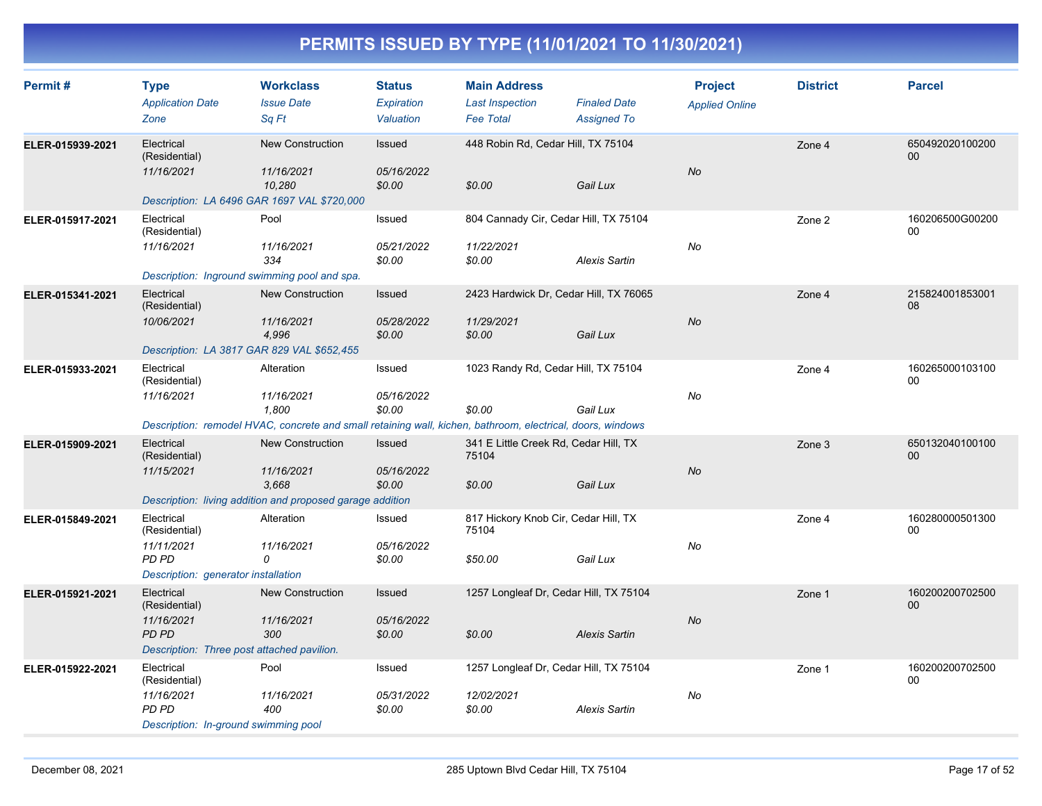| Permit#          | <b>Type</b><br><b>Application Date</b><br>Zone                                                          | <b>Workclass</b><br><b>Issue Date</b><br>Sa Ft                                                                                                  | <b>Status</b><br><b>Expiration</b><br>Valuation | <b>Main Address</b><br><b>Last Inspection</b><br><b>Fee Total</b> | <b>Finaled Date</b><br><b>Assigned To</b> | <b>Project</b><br><b>Applied Online</b> | <b>District</b> | <b>Parcel</b>             |
|------------------|---------------------------------------------------------------------------------------------------------|-------------------------------------------------------------------------------------------------------------------------------------------------|-------------------------------------------------|-------------------------------------------------------------------|-------------------------------------------|-----------------------------------------|-----------------|---------------------------|
| ELER-015939-2021 | Electrical<br>(Residential)<br>11/16/2021<br>Description: LA 6496 GAR 1697 VAL \$720,000                | <b>New Construction</b><br>11/16/2021<br>10,280                                                                                                 | Issued<br>05/16/2022<br>\$0.00                  | 448 Robin Rd, Cedar Hill, TX 75104<br>\$0.00                      | Gail Lux                                  | No                                      | Zone 4          | 650492020100200<br>$00\,$ |
| ELER-015917-2021 | Electrical<br>(Residential)<br>11/16/2021<br>Description: Inground swimming pool and spa.               | Pool<br>11/16/2021<br>334                                                                                                                       | Issued<br>05/21/2022<br>\$0.00                  | 804 Cannady Cir, Cedar Hill, TX 75104<br>11/22/2021<br>\$0.00     | <b>Alexis Sartin</b>                      | No                                      | Zone 2          | 160206500G00200<br>$00\,$ |
| ELER-015341-2021 | Electrical<br>(Residential)<br>10/06/2021<br>Description: LA 3817 GAR 829 VAL \$652,455                 | <b>New Construction</b><br>11/16/2021<br>4,996                                                                                                  | Issued<br>05/28/2022<br>\$0.00                  | 2423 Hardwick Dr, Cedar Hill, TX 76065<br>11/29/2021<br>\$0.00    | Gail Lux                                  | <b>No</b>                               | Zone 4          | 215824001853001<br>08     |
| ELER-015933-2021 | Electrical<br>(Residential)<br>11/16/2021                                                               | Alteration<br>11/16/2021<br>1,800<br>Description: remodel HVAC, concrete and small retaining wall, kichen, bathroom, electrical, doors, windows | Issued<br>05/16/2022<br>\$0.00                  | 1023 Randy Rd, Cedar Hill, TX 75104<br>\$0.00                     | Gail Lux                                  | No                                      | Zone 4          | 160265000103100<br>$00\,$ |
| ELER-015909-2021 | Electrical<br>(Residential)<br>11/15/2021                                                               | <b>New Construction</b><br>11/16/2021<br>3,668<br>Description: living addition and proposed garage addition                                     | Issued<br>05/16/2022<br>\$0.00                  | 341 E Little Creek Rd, Cedar Hill, TX<br>75104<br>\$0.00          | Gail Lux                                  | No                                      | Zone 3          | 650132040100100<br>$00\,$ |
| ELER-015849-2021 | Electrical<br>(Residential)<br>11/11/2021<br>PD PD<br>Description: generator installation               | Alteration<br>11/16/2021<br>0                                                                                                                   | Issued<br>05/16/2022<br>\$0.00                  | 817 Hickory Knob Cir, Cedar Hill, TX<br>75104<br>\$50.00          | Gail Lux                                  | No                                      | Zone 4          | 160280000501300<br>$00\,$ |
| ELER-015921-2021 | Electrical<br>(Residential)<br>11/16/2021<br><b>PD PD</b><br>Description: Three post attached pavilion. | <b>New Construction</b><br>11/16/2021<br>300                                                                                                    | Issued<br>05/16/2022<br>\$0.00                  | 1257 Longleaf Dr, Cedar Hill, TX 75104<br>\$0.00                  | <b>Alexis Sartin</b>                      | No                                      | Zone 1          | 160200200702500<br>00     |
| ELER-015922-2021 | Electrical<br>(Residential)<br>11/16/2021<br><b>PD PD</b><br>Description: In-ground swimming pool       | Pool<br>11/16/2021<br>400                                                                                                                       | Issued<br>05/31/2022<br>\$0.00                  | 1257 Longleaf Dr, Cedar Hill, TX 75104<br>12/02/2021<br>\$0.00    | <b>Alexis Sartin</b>                      | No                                      | Zone 1          | 160200200702500<br>$00\,$ |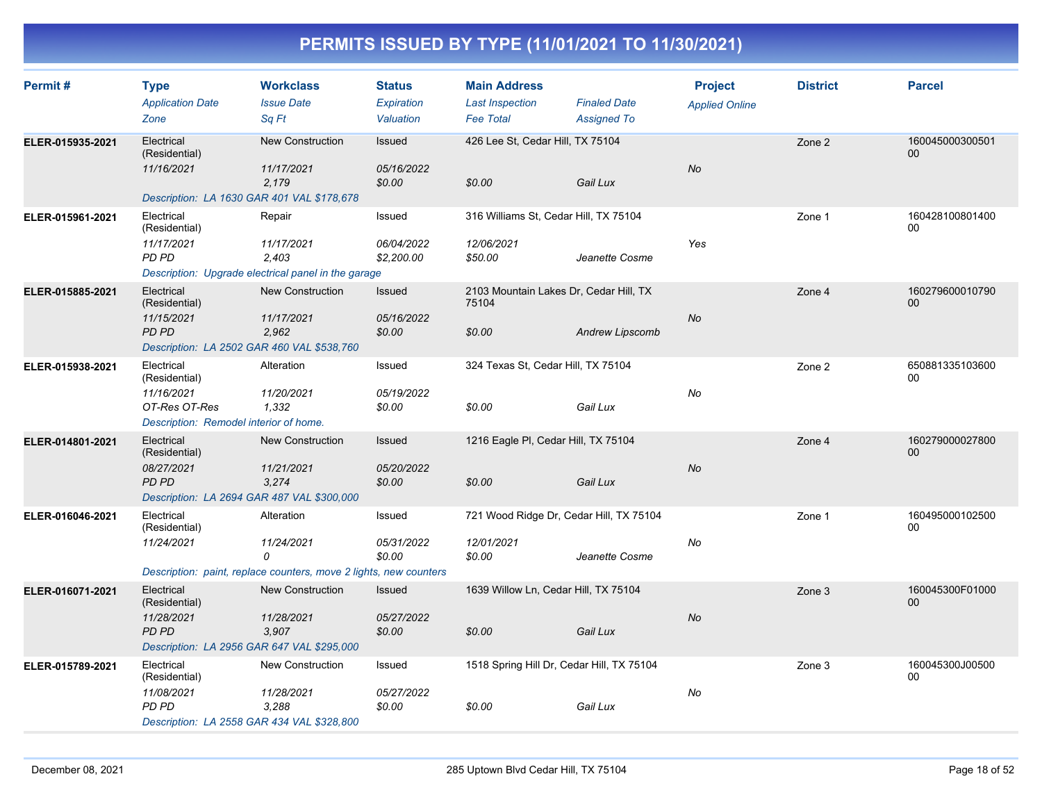| Permit#          | <b>Type</b><br><b>Application Date</b><br>Zone                                                          | <b>Workclass</b><br><b>Issue Date</b><br>Sq Ft                                                     | <b>Status</b><br>Expiration<br>Valuation | <b>Main Address</b><br><b>Last Inspection</b><br><b>Fee Total</b> | <b>Finaled Date</b><br><b>Assigned To</b> | <b>Project</b><br><b>Applied Online</b> | <b>District</b> | <b>Parcel</b>         |
|------------------|---------------------------------------------------------------------------------------------------------|----------------------------------------------------------------------------------------------------|------------------------------------------|-------------------------------------------------------------------|-------------------------------------------|-----------------------------------------|-----------------|-----------------------|
| ELER-015935-2021 | Electrical<br>(Residential)<br>11/16/2021<br>Description: LA 1630 GAR 401 VAL \$178,678                 | <b>New Construction</b><br>11/17/2021<br>2.179                                                     | Issued<br>05/16/2022<br>\$0.00           | 426 Lee St, Cedar Hill, TX 75104<br>\$0.00                        | Gail Lux                                  | No                                      | Zone 2          | 160045000300501<br>00 |
| ELER-015961-2021 | Electrical<br>(Residential)<br>11/17/2021<br>PD PD                                                      | Repair<br>11/17/2021<br>2,403<br>Description: Upgrade electrical panel in the garage               | Issued<br>06/04/2022<br>\$2,200.00       | 316 Williams St, Cedar Hill, TX 75104<br>12/06/2021<br>\$50.00    | Jeanette Cosme                            | Yes                                     | Zone 1          | 160428100801400<br>00 |
| ELER-015885-2021 | Electrical<br>(Residential)<br>11/15/2021<br>PD PD<br>Description: LA 2502 GAR 460 VAL \$538,760        | <b>New Construction</b><br>11/17/2021<br>2,962                                                     | <b>Issued</b><br>05/16/2022<br>\$0.00    | 2103 Mountain Lakes Dr, Cedar Hill, TX<br>75104<br>\$0.00         | <b>Andrew Lipscomb</b>                    | No                                      | Zone 4          | 160279600010790<br>00 |
| ELER-015938-2021 | Electrical<br>(Residential)<br>11/16/2021<br>OT-Res OT-Res<br>Description: Remodel interior of home.    | Alteration<br>11/20/2021<br>1,332                                                                  | Issued<br>05/19/2022<br>\$0.00           | 324 Texas St, Cedar Hill, TX 75104<br>\$0.00                      | Gail Lux                                  | No                                      | Zone 2          | 650881335103600<br>00 |
| ELER-014801-2021 | Electrical<br>(Residential)<br>08/27/2021<br><b>PD PD</b><br>Description: LA 2694 GAR 487 VAL \$300,000 | <b>New Construction</b><br>11/21/2021<br>3.274                                                     | <b>Issued</b><br>05/20/2022<br>\$0.00    | 1216 Eagle PI, Cedar Hill, TX 75104<br>\$0.00                     | Gail Lux                                  | No                                      | Zone 4          | 160279000027800<br>00 |
| ELER-016046-2021 | Electrical<br>(Residential)<br>11/24/2021                                                               | Alteration<br>11/24/2021<br>0<br>Description: paint, replace counters, move 2 lights, new counters | Issued<br>05/31/2022<br>\$0.00           | 721 Wood Ridge Dr, Cedar Hill, TX 75104<br>12/01/2021<br>\$0.00   | Jeanette Cosme                            | No                                      | Zone 1          | 160495000102500<br>00 |
| ELER-016071-2021 | Electrical<br>(Residential)<br>11/28/2021<br><b>PD PD</b><br>Description: LA 2956 GAR 647 VAL \$295,000 | <b>New Construction</b><br>11/28/2021<br>3,907                                                     | Issued<br>05/27/2022<br>\$0.00           | 1639 Willow Ln, Cedar Hill, TX 75104<br>\$0.00                    | Gail Lux                                  | No                                      | Zone 3          | 160045300F01000<br>00 |
| ELER-015789-2021 | Electrical<br>(Residential)<br>11/08/2021<br>PD PD<br>Description: LA 2558 GAR 434 VAL \$328,800        | <b>New Construction</b><br>11/28/2021<br>3,288                                                     | Issued<br>05/27/2022<br>\$0.00           | 1518 Spring Hill Dr, Cedar Hill, TX 75104<br>\$0.00               | Gail Lux                                  | No                                      | Zone 3          | 160045300J00500<br>00 |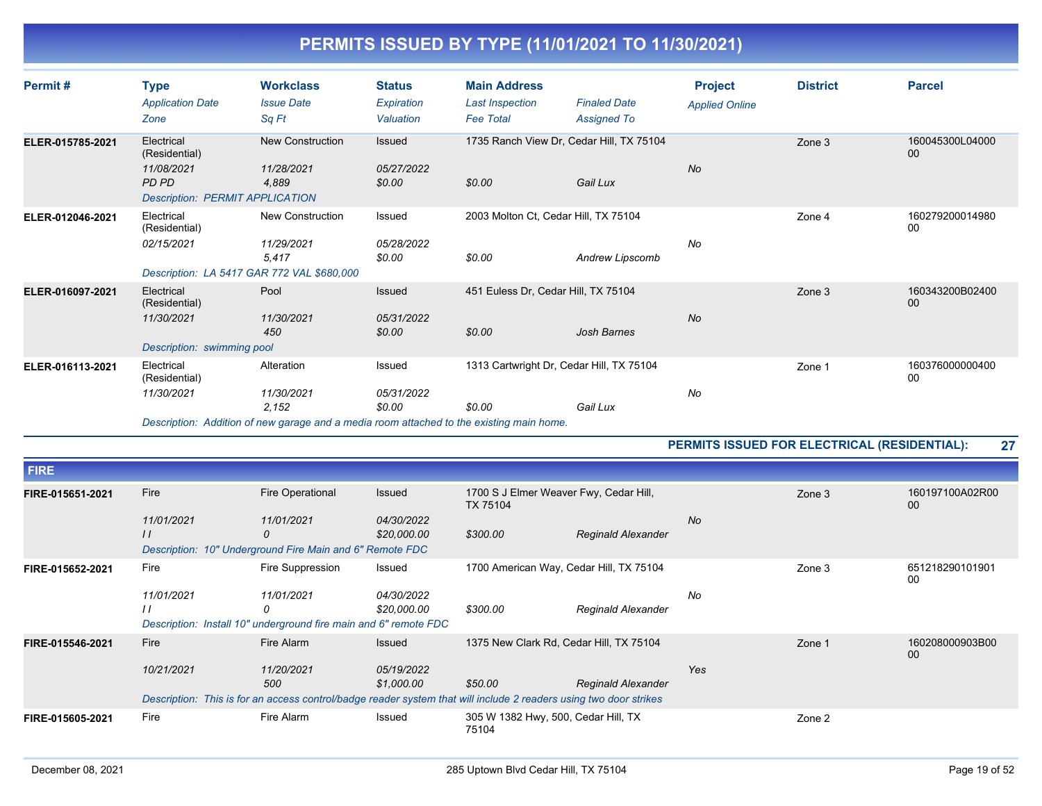| Permit#          | <b>Type</b><br><b>Application Date</b><br>Zone                                               | <b>Workclass</b><br><b>Issue Date</b><br>Sq Ft                                                                                | <b>Status</b><br>Expiration<br>Valuation | <b>Main Address</b><br><b>Last Inspection</b><br><b>Fee Total</b> | <b>Finaled Date</b><br><b>Assigned To</b> | <b>Project</b><br><b>Applied Online</b> | <b>District</b> | <b>Parcel</b>             |
|------------------|----------------------------------------------------------------------------------------------|-------------------------------------------------------------------------------------------------------------------------------|------------------------------------------|-------------------------------------------------------------------|-------------------------------------------|-----------------------------------------|-----------------|---------------------------|
| ELER-015785-2021 | Electrical<br>(Residential)<br>11/08/2021<br>PD PD<br><b>Description: PERMIT APPLICATION</b> | <b>New Construction</b><br>11/28/2021<br>4,889                                                                                | Issued<br>05/27/2022<br>\$0.00           | 1735 Ranch View Dr, Cedar Hill, TX 75104<br>\$0.00                | Gail Lux                                  | <b>No</b>                               | Zone 3          | 160045300L04000<br>00     |
| ELER-012046-2021 | Electrical<br>(Residential)<br>02/15/2021<br>Description: LA 5417 GAR 772 VAL \$680,000      | <b>New Construction</b><br>11/29/2021<br>5,417                                                                                | Issued<br>05/28/2022<br>\$0.00           | 2003 Molton Ct, Cedar Hill, TX 75104<br>\$0.00                    | Andrew Lipscomb                           | No                                      | Zone 4          | 160279200014980<br>00     |
| ELER-016097-2021 | Electrical<br>(Residential)<br>11/30/2021<br>Description: swimming pool                      | Pool<br>11/30/2021<br>450                                                                                                     | Issued<br>05/31/2022<br>\$0.00           | 451 Euless Dr. Cedar Hill, TX 75104<br>\$0.00                     | <b>Josh Barnes</b>                        | <b>No</b>                               | Zone 3          | 160343200B02400<br>$00\,$ |
| ELER-016113-2021 | Electrical<br>(Residential)<br>11/30/2021                                                    | Alteration<br>11/30/2021<br>2,152<br>Description: Addition of new garage and a media room attached to the existing main home. | Issued<br>05/31/2022<br>\$0.00           | 1313 Cartwright Dr, Cedar Hill, TX 75104<br>\$0.00                | Gail Lux                                  | No                                      | Zone 1          | 160376000000400<br>$00\,$ |

**PERMITS ISSUED FOR ELECTRICAL (RESIDENTIAL): 27**

| <b>FIRE</b>      |                                                                  |                                                                                                                   |                   |                                                    |                           |           |        |                       |
|------------------|------------------------------------------------------------------|-------------------------------------------------------------------------------------------------------------------|-------------------|----------------------------------------------------|---------------------------|-----------|--------|-----------------------|
| FIRE-015651-2021 | Fire                                                             | <b>Fire Operational</b>                                                                                           | Issued            | 1700 S J Elmer Weaver Fwy, Cedar Hill,<br>TX 75104 |                           |           | Zone 3 | 160197100A02R00<br>00 |
|                  | 11/01/2021                                                       | 11/01/2021                                                                                                        | 04/30/2022        |                                                    |                           | <b>No</b> |        |                       |
|                  | $\frac{1}{2}$                                                    | 0                                                                                                                 | \$20,000.00       | \$300.00                                           | <b>Reginald Alexander</b> |           |        |                       |
|                  |                                                                  | Description: 10" Underground Fire Main and 6" Remote FDC                                                          |                   |                                                    |                           |           |        |                       |
| FIRE-015652-2021 | Fire                                                             | Fire Suppression                                                                                                  | Issued            | 1700 American Way, Cedar Hill, TX 75104            |                           |           | Zone 3 | 651218290101901<br>00 |
|                  | 11/01/2021                                                       | 11/01/2021                                                                                                        | <i>04/30/2022</i> |                                                    |                           | No        |        |                       |
|                  | $\prime$                                                         | 0                                                                                                                 | \$20,000.00       | \$300.00                                           | Reginald Alexander        |           |        |                       |
|                  | Description: Install 10" underground fire main and 6" remote FDC |                                                                                                                   |                   |                                                    |                           |           |        |                       |
| FIRE-015546-2021 | Fire                                                             | Fire Alarm                                                                                                        | <b>Issued</b>     | 1375 New Clark Rd, Cedar Hill, TX 75104            |                           |           | Zone 1 | 160208000903B00<br>00 |
|                  | 10/21/2021                                                       | 11/20/2021                                                                                                        | 05/19/2022        |                                                    |                           | Yes       |        |                       |
|                  |                                                                  | 500                                                                                                               | \$1,000.00        | \$50.00                                            | <b>Reginald Alexander</b> |           |        |                       |
|                  |                                                                  | Description: This is for an access control/badge reader system that will include 2 readers using two door strikes |                   |                                                    |                           |           |        |                       |
| FIRE-015605-2021 | Fire                                                             | Fire Alarm                                                                                                        | Issued            | 305 W 1382 Hwy, 500, Cedar Hill, TX<br>75104       |                           |           | Zone 2 |                       |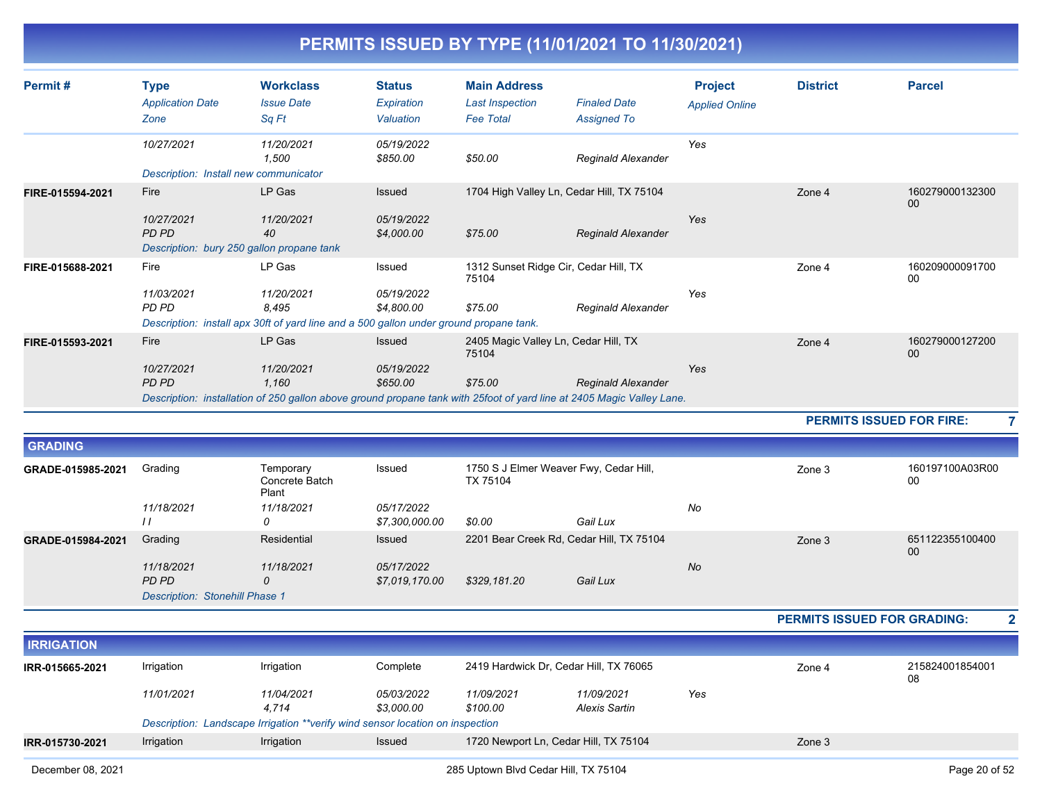| Permit#          | <b>Type</b><br><b>Application Date</b><br>Zone                           | <b>Workclass</b><br><b>Issue Date</b><br>Sq Ft                                                                                                         | <b>Status</b><br>Expiration<br>Valuation | <b>Main Address</b><br><b>Last Inspection</b><br><b>Fee Total</b> | <b>Finaled Date</b><br><b>Assigned To</b> | <b>Project</b><br><b>Applied Online</b> | <b>District</b> | <b>Parcel</b>         |
|------------------|--------------------------------------------------------------------------|--------------------------------------------------------------------------------------------------------------------------------------------------------|------------------------------------------|-------------------------------------------------------------------|-------------------------------------------|-----------------------------------------|-----------------|-----------------------|
|                  | 10/27/2021<br>Description: Install new communicator                      | 11/20/2021<br>1,500                                                                                                                                    | 05/19/2022<br>\$850.00                   | \$50.00                                                           | Reginald Alexander                        | Yes                                     |                 |                       |
| FIRE-015594-2021 | Fire<br>10/27/2021<br>PD PD<br>Description: bury 250 gallon propane tank | LP Gas<br>11/20/2021<br>40                                                                                                                             | Issued<br>05/19/2022<br>\$4,000.00       | 1704 High Valley Ln, Cedar Hill, TX 75104<br>\$75.00              | <b>Reginald Alexander</b>                 | Yes                                     | Zone 4          | 160279000132300<br>00 |
| FIRE-015688-2021 | Fire<br>11/03/2021<br>PD PD                                              | LP Gas<br>11/20/2021<br>8,495<br>Description: install apx 30ft of yard line and a 500 gallon under ground propane tank.                                | Issued<br>05/19/2022<br>\$4,800.00       | 1312 Sunset Ridge Cir, Cedar Hill, TX<br>75104<br>\$75.00         | Reginald Alexander                        | Yes                                     | Zone 4          | 160209000091700<br>00 |
| FIRE-015593-2021 | Fire<br>10/27/2021<br>PD PD                                              | LP Gas<br>11/20/2021<br>1,160<br>Description: installation of 250 gallon above ground propane tank with 25foot of yard line at 2405 Magic Valley Lane. | <b>Issued</b><br>05/19/2022<br>\$650.00  | 2405 Magic Valley Ln, Cedar Hill, TX<br>75104<br>\$75.00          | <b>Reginald Alexander</b>                 | Yes                                     | Zone 4          | 160279000127200<br>00 |

**PERMITS ISSUED FOR FIRE: 7**

| <b>GRADING</b>    |                                       |                                      |                              |                                                    |          |           |        |                       |
|-------------------|---------------------------------------|--------------------------------------|------------------------------|----------------------------------------------------|----------|-----------|--------|-----------------------|
| GRADE-015985-2021 | Grading                               | Temporary<br>Concrete Batch<br>Plant | Issued                       | 1750 S J Elmer Weaver Fwy, Cedar Hill,<br>TX 75104 |          |           | Zone 3 | 160197100A03R00<br>00 |
|                   | 11/18/2021<br>11                      | 11/18/2021<br>0                      | 05/17/2022<br>\$7,300,000.00 | \$0.00                                             | Gail Lux | No        |        |                       |
| GRADE-015984-2021 | Grading                               | Residential                          | Issued                       | 2201 Bear Creek Rd, Cedar Hill, TX 75104           |          |           | Zone 3 | 651122355100400<br>00 |
|                   | 11/18/2021<br>PD PD                   | 11/18/2021<br>0                      | 05/17/2022<br>\$7,019,170.00 | \$329,181.20                                       | Gail Lux | <b>No</b> |        |                       |
|                   | <b>Description: Stonehill Phase 1</b> |                                      |                              |                                                    |          |           |        |                       |

**PERMITS ISSUED FOR GRADING: 2**

| <b>IRRIGATION</b> |            |                                                                               |                                 |                        |                                        |        |                       |  |
|-------------------|------------|-------------------------------------------------------------------------------|---------------------------------|------------------------|----------------------------------------|--------|-----------------------|--|
| IRR-015665-2021   | Irrigation | Irrigation                                                                    | Complete                        |                        | 2419 Hardwick Dr, Cedar Hill, TX 76065 | Zone 4 | 215824001854001<br>08 |  |
|                   | 11/01/2021 | 11/04/2021<br>4.714                                                           | <i>05/03/2022</i><br>\$3.000.00 | 11/09/2021<br>\$100.00 | 11/09/2021<br>Alexis Sartin            | Yes    |                       |  |
|                   |            | Description: Landscape Irrigation **verify wind sensor location on inspection |                                 |                        |                                        |        |                       |  |
| IRR-015730-2021   | Irrigation | Irrigation                                                                    | Issued                          |                        | 1720 Newport Ln, Cedar Hill, TX 75104  |        | Zone 3                |  |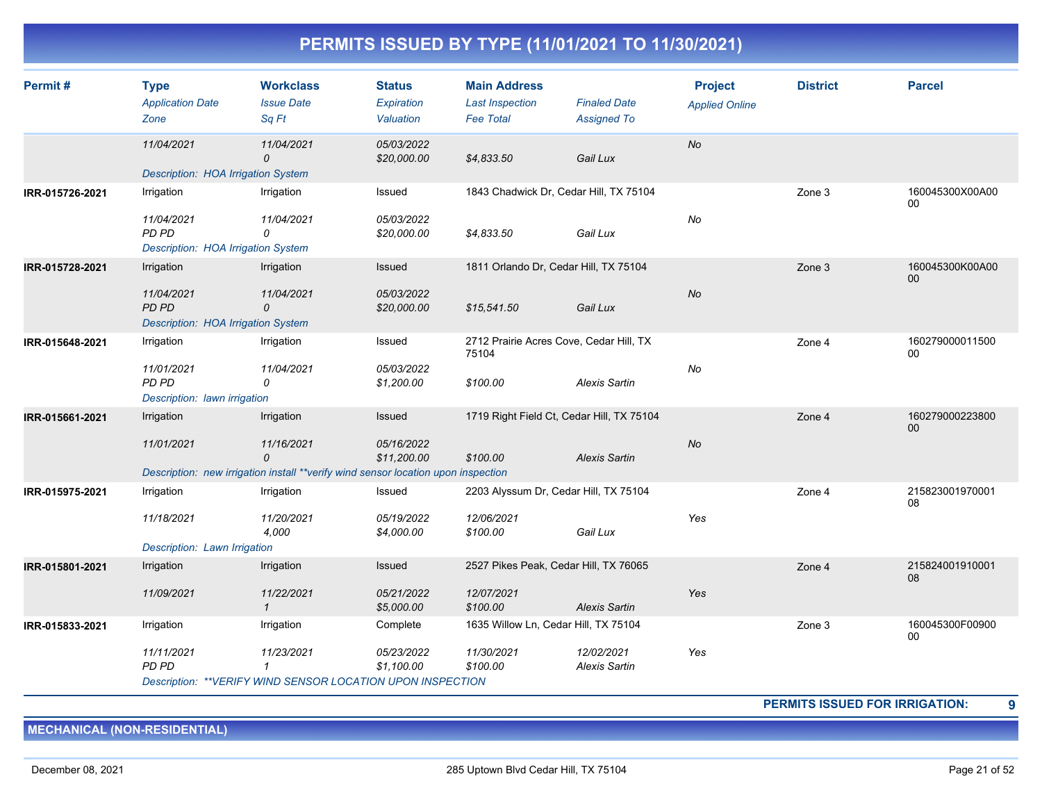| Permit#         | <b>Type</b><br><b>Application Date</b><br>Zone                   | <b>Workclass</b><br><b>Issue Date</b><br>Sq Ft                                    | <b>Status</b><br>Expiration<br>Valuation | <b>Main Address</b><br><b>Last Inspection</b><br><b>Fee Total</b> | <b>Finaled Date</b><br><b>Assigned To</b> | <b>Project</b><br><b>Applied Online</b> | <b>District</b> | <b>Parcel</b>             |
|-----------------|------------------------------------------------------------------|-----------------------------------------------------------------------------------|------------------------------------------|-------------------------------------------------------------------|-------------------------------------------|-----------------------------------------|-----------------|---------------------------|
|                 | 11/04/2021<br>Description: HOA Irrigation System                 | 11/04/2021<br>0                                                                   | 05/03/2022<br>\$20,000.00                | \$4,833.50                                                        | Gail Lux                                  | No                                      |                 |                           |
| IRR-015726-2021 | Irrigation                                                       | Irrigation                                                                        | Issued                                   | 1843 Chadwick Dr, Cedar Hill, TX 75104                            |                                           |                                         | Zone 3          | 160045300X00A00<br>00     |
|                 | 11/04/2021<br>PD PD<br>Description: HOA Irrigation System        | 11/04/2021<br>$\Omega$                                                            | 05/03/2022<br>\$20,000.00                | \$4,833.50                                                        | Gail Lux                                  | No                                      |                 |                           |
| IRR-015728-2021 | Irrigation                                                       | Irrigation                                                                        | Issued                                   | 1811 Orlando Dr, Cedar Hill, TX 75104                             |                                           |                                         | Zone 3          | 160045300K00A00<br>$00\,$ |
|                 | 11/04/2021<br><b>PD PD</b><br>Description: HOA Irrigation System | 11/04/2021<br>0                                                                   | 05/03/2022<br>\$20,000.00                | \$15,541.50                                                       | Gail Lux                                  | No                                      |                 |                           |
| IRR-015648-2021 | Irrigation                                                       | Irrigation                                                                        | Issued                                   | 2712 Prairie Acres Cove, Cedar Hill, TX<br>75104                  |                                           |                                         | Zone 4          | 160279000011500<br>00     |
|                 | 11/01/2021<br>PD PD<br>Description: lawn irrigation              | 11/04/2021<br>0                                                                   | 05/03/2022<br>\$1,200.00                 | \$100.00                                                          | <b>Alexis Sartin</b>                      | No                                      |                 |                           |
| IRR-015661-2021 | Irrigation                                                       | Irrigation                                                                        | Issued                                   | 1719 Right Field Ct, Cedar Hill, TX 75104                         |                                           |                                         | Zone 4          | 160279000223800<br>00     |
|                 | 11/01/2021                                                       | 11/16/2021<br>$\Omega$                                                            | 05/16/2022<br>\$11,200.00                | \$100.00                                                          | <b>Alexis Sartin</b>                      | No                                      |                 |                           |
|                 |                                                                  | Description: new irrigation install **verify wind sensor location upon inspection |                                          |                                                                   |                                           |                                         |                 |                           |
| IRR-015975-2021 | Irrigation                                                       | Irrigation                                                                        | Issued                                   | 2203 Alyssum Dr, Cedar Hill, TX 75104                             |                                           |                                         | Zone 4          | 215823001970001<br>08     |
|                 | 11/18/2021                                                       | 11/20/2021<br>4,000                                                               | 05/19/2022<br>\$4,000.00                 | 12/06/2021<br>\$100.00                                            | Gail Lux                                  | Yes                                     |                 |                           |
|                 | Description: Lawn Irrigation                                     |                                                                                   |                                          |                                                                   |                                           |                                         |                 |                           |
| IRR-015801-2021 | Irrigation                                                       | Irrigation                                                                        | Issued                                   | 2527 Pikes Peak, Cedar Hill, TX 76065                             |                                           |                                         | Zone 4          | 215824001910001<br>08     |
|                 | 11/09/2021                                                       | 11/22/2021<br>$\mathcal I$                                                        | 05/21/2022<br>\$5,000.00                 | 12/07/2021<br>\$100.00                                            | <b>Alexis Sartin</b>                      | Yes                                     |                 |                           |
| IRR-015833-2021 | Irrigation                                                       | Irrigation                                                                        | Complete                                 | 1635 Willow Ln, Cedar Hill, TX 75104                              |                                           |                                         | Zone 3          | 160045300F00900<br>00     |
|                 | 11/11/2021<br>PD PD                                              | 11/23/2021<br>1                                                                   | 05/23/2022<br>\$1,100.00                 | 11/30/2021<br>\$100.00                                            | 12/02/2021<br><b>Alexis Sartin</b>        | Yes                                     |                 |                           |
|                 |                                                                  | Description: ** VERIFY WIND SENSOR LOCATION UPON INSPECTION                       |                                          |                                                                   |                                           |                                         |                 |                           |

**PERMITS ISSUED FOR IRRIGATION: 9**

**MECHANICAL (NON-RESIDENTIAL)**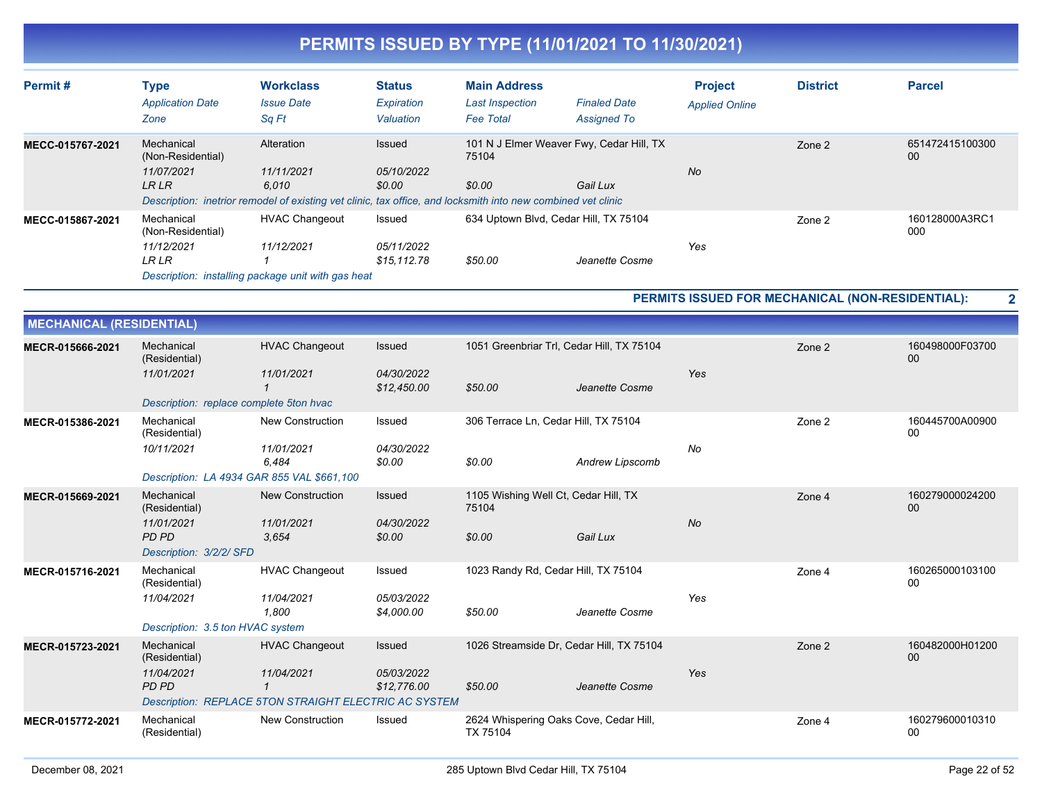| Permit#          | Type<br><b>Application Date</b><br>Zone       | <b>Workclass</b><br><b>Issue Date</b><br>Sq Ft                                                                        | <b>Status</b><br>Expiration<br>Valuation | <b>Main Address</b><br><b>Last Inspection</b><br><b>Fee Total</b> | <b>Finaled Date</b><br><b>Assigned To</b> | <b>Project</b><br><b>Applied Online</b> | <b>District</b> | <b>Parcel</b>         |
|------------------|-----------------------------------------------|-----------------------------------------------------------------------------------------------------------------------|------------------------------------------|-------------------------------------------------------------------|-------------------------------------------|-----------------------------------------|-----------------|-----------------------|
| MECC-015767-2021 | Mechanical<br>(Non-Residential)<br>11/07/2021 | Alteration<br>11/11/2021                                                                                              | Issued<br>05/10/2022                     | 75104                                                             | 101 N J Elmer Weaver Fwy, Cedar Hill, TX  | <b>No</b>                               | Zone 2          | 651472415100300<br>00 |
|                  | <b>LRLR</b>                                   | 6.010<br>Description: inetrior remodel of existing vet clinic, tax office, and locksmith into new combined vet clinic | \$0.00                                   | \$0.00                                                            | Gail Lux                                  |                                         |                 |                       |
| MECC-015867-2021 | Mechanical<br>(Non-Residential)               | <b>HVAC Changeout</b>                                                                                                 | Issued                                   |                                                                   | 634 Uptown Blvd, Cedar Hill, TX 75104     |                                         | Zone 2          | 160128000A3RC1<br>000 |
|                  | 11/12/2021                                    | 11/12/2021                                                                                                            | 05/11/2022                               |                                                                   |                                           | Yes                                     |                 |                       |
|                  | <b>LR LR</b>                                  |                                                                                                                       | \$15.112.78                              | \$50.00                                                           | Jeanette Cosme                            |                                         |                 |                       |
|                  |                                               | Description: installing package unit with gas heat                                                                    |                                          |                                                                   |                                           |                                         |                 |                       |

**PERMITS ISSUED FOR MECHANICAL (NON-RESIDENTIAL): 2**

| <b>MECHANICAL (RESIDENTIAL)</b> |                                            |                                                       |                           |                                                    |                 |           |        |                       |
|---------------------------------|--------------------------------------------|-------------------------------------------------------|---------------------------|----------------------------------------------------|-----------------|-----------|--------|-----------------------|
| MECR-015666-2021                | Mechanical<br>(Residential)                | <b>HVAC Changeout</b>                                 | Issued                    | 1051 Greenbriar Trl, Cedar Hill, TX 75104          |                 |           | Zone 2 | 160498000F03700<br>00 |
|                                 | 11/01/2021                                 | 11/01/2021                                            | 04/30/2022<br>\$12,450.00 | \$50.00                                            | Jeanette Cosme  | Yes       |        |                       |
|                                 | Description: replace complete 5ton hvac    |                                                       |                           |                                                    |                 |           |        |                       |
| MECR-015386-2021                | Mechanical<br>(Residential)                | <b>New Construction</b>                               | Issued                    | 306 Terrace Ln, Cedar Hill, TX 75104               |                 |           | Zone 2 | 160445700A00900<br>00 |
|                                 | 10/11/2021                                 | 11/01/2021<br>6.484                                   | 04/30/2022<br>\$0.00      | \$0.00                                             | Andrew Lipscomb | No        |        |                       |
|                                 | Description: LA 4934 GAR 855 VAL \$661,100 |                                                       |                           |                                                    |                 |           |        |                       |
| MECR-015669-2021                | Mechanical<br>(Residential)                | <b>New Construction</b>                               | Issued                    | 1105 Wishing Well Ct, Cedar Hill, TX<br>75104      |                 |           | Zone 4 | 160279000024200<br>00 |
|                                 | 11/01/2021<br><b>PD PD</b>                 | 11/01/2021<br>3.654                                   | 04/30/2022<br>\$0.00      | \$0.00                                             | Gail Lux        | <b>No</b> |        |                       |
|                                 | Description: 3/2/2/ SFD                    |                                                       |                           |                                                    |                 |           |        |                       |
| MECR-015716-2021                | Mechanical<br>(Residential)                | <b>HVAC Changeout</b>                                 | Issued                    | 1023 Randy Rd, Cedar Hill, TX 75104                |                 |           | Zone 4 | 160265000103100<br>00 |
|                                 | 11/04/2021                                 | 11/04/2021<br>1.800                                   | 05/03/2022<br>\$4,000.00  | \$50.00                                            | Jeanette Cosme  | Yes       |        |                       |
|                                 | Description: 3.5 ton HVAC system           |                                                       |                           |                                                    |                 |           |        |                       |
| MECR-015723-2021                | Mechanical<br>(Residential)                | <b>HVAC Changeout</b>                                 | <b>Issued</b>             | 1026 Streamside Dr. Cedar Hill, TX 75104           |                 |           | Zone 2 | 160482000H01200<br>00 |
|                                 | 11/04/2021<br>PD PD                        | 11/04/2021<br>$\mathbf 1$                             | 05/03/2022<br>\$12,776.00 | \$50.00                                            | Jeanette Cosme  | Yes       |        |                       |
|                                 |                                            | Description: REPLACE 5TON STRAIGHT ELECTRIC AC SYSTEM |                           |                                                    |                 |           |        |                       |
| MECR-015772-2021                | Mechanical<br>(Residential)                | <b>New Construction</b>                               | Issued                    | 2624 Whispering Oaks Cove, Cedar Hill,<br>TX 75104 |                 |           | Zone 4 | 160279600010310<br>00 |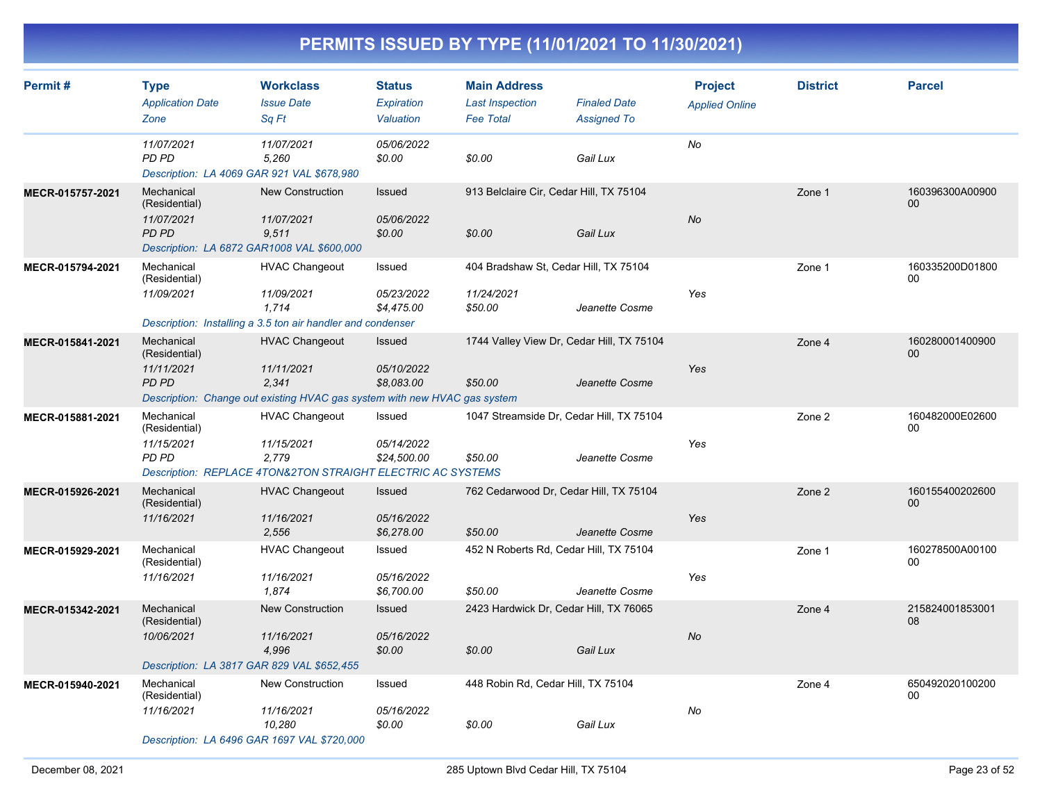| Permit#          | <b>Type</b><br><b>Application Date</b><br>Zone            | <b>Workclass</b><br><b>Issue Date</b><br>Sq Ft                                                                            | <b>Status</b><br>Expiration<br>Valuation  | <b>Main Address</b><br><b>Last Inspection</b><br><b>Fee Total</b> | <b>Finaled Date</b><br><b>Assigned To</b>                   | <b>Project</b><br><b>Applied Online</b> | <b>District</b> | <b>Parcel</b>             |
|------------------|-----------------------------------------------------------|---------------------------------------------------------------------------------------------------------------------------|-------------------------------------------|-------------------------------------------------------------------|-------------------------------------------------------------|-----------------------------------------|-----------------|---------------------------|
|                  | 11/07/2021<br>PD PD                                       | 11/07/2021<br>5,260<br>Description: LA 4069 GAR 921 VAL \$678,980                                                         | 05/06/2022<br>\$0.00                      | \$0.00                                                            | Gail Lux                                                    | No                                      |                 |                           |
| MECR-015757-2021 | Mechanical<br>(Residential)<br>11/07/2021<br><b>PD PD</b> | <b>New Construction</b><br>11/07/2021<br>9,511<br>Description: LA 6872 GAR1008 VAL \$600,000                              | Issued<br>05/06/2022<br>\$0.00            | 913 Belclaire Cir, Cedar Hill, TX 75104<br>\$0.00                 | Gail Lux                                                    | No                                      | Zone 1          | 160396300A00900<br>00     |
| MECR-015794-2021 | Mechanical<br>(Residential)<br>11/09/2021                 | <b>HVAC Changeout</b><br>11/09/2021<br>1,714<br>Description: Installing a 3.5 ton air handler and condenser               | Issued<br>05/23/2022<br>\$4,475.00        | 404 Bradshaw St. Cedar Hill, TX 75104<br>11/24/2021<br>\$50.00    | Jeanette Cosme                                              | Yes                                     | Zone 1          | 160335200D01800<br>$00\,$ |
| MECR-015841-2021 | Mechanical<br>(Residential)<br>11/11/2021<br><b>PD PD</b> | <b>HVAC Changeout</b><br>11/11/2021<br>2,341<br>Description: Change out existing HVAC gas system with new HVAC gas system | <b>Issued</b><br>05/10/2022<br>\$8,083.00 | \$50.00                                                           | 1744 Valley View Dr, Cedar Hill, TX 75104<br>Jeanette Cosme | Yes                                     | Zone 4          | 160280001400900<br>00     |
| MECR-015881-2021 | Mechanical<br>(Residential)<br>11/15/2021<br>PD PD        | <b>HVAC Changeout</b><br>11/15/2021<br>2,779<br>Description: REPLACE 4TON&2TON STRAIGHT ELECTRIC AC SYSTEMS               | Issued<br>05/14/2022<br>\$24,500.00       | \$50.00                                                           | 1047 Streamside Dr, Cedar Hill, TX 75104<br>Jeanette Cosme  | Yes                                     | Zone 2          | 160482000E02600<br>00     |
| MECR-015926-2021 | Mechanical<br>(Residential)<br>11/16/2021                 | <b>HVAC Changeout</b><br>11/16/2021<br>2,556                                                                              | Issued<br>05/16/2022<br>\$6,278.00        | 762 Cedarwood Dr, Cedar Hill, TX 75104<br>\$50.00                 | Jeanette Cosme                                              | Yes                                     | Zone 2          | 160155400202600<br>00     |
| MECR-015929-2021 | Mechanical<br>(Residential)<br>11/16/2021                 | <b>HVAC Changeout</b><br>11/16/2021<br>1,874                                                                              | Issued<br>05/16/2022<br>\$6,700.00        | 452 N Roberts Rd, Cedar Hill, TX 75104<br>\$50.00                 | Jeanette Cosme                                              | Yes                                     | Zone 1          | 160278500A00100<br>00     |
| MECR-015342-2021 | Mechanical<br>(Residential)<br>10/06/2021                 | <b>New Construction</b><br>11/16/2021<br>4,996<br>Description: LA 3817 GAR 829 VAL \$652,455                              | Issued<br>05/16/2022<br>\$0.00            | 2423 Hardwick Dr, Cedar Hill, TX 76065<br>\$0.00                  | Gail Lux                                                    | No                                      | Zone 4          | 215824001853001<br>08     |
| MECR-015940-2021 | Mechanical<br>(Residential)<br>11/16/2021                 | New Construction<br>11/16/2021<br>10.280<br>Description: LA 6496 GAR 1697 VAL \$720,000                                   | Issued<br>05/16/2022<br>\$0.00            | 448 Robin Rd, Cedar Hill, TX 75104<br>\$0.00                      | Gail Lux                                                    | No                                      | Zone 4          | 650492020100200<br>00     |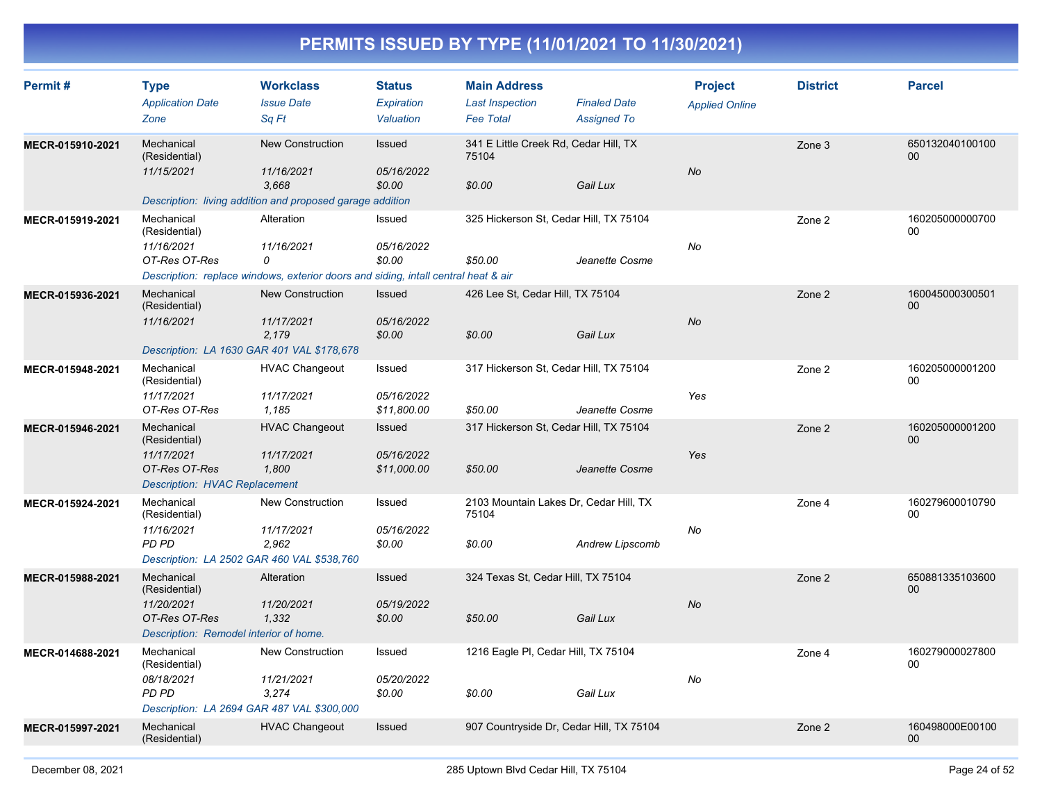| Permit#          | <b>Type</b><br><b>Application Date</b><br>Zone                                                       | <b>Workclass</b><br><b>Issue Date</b><br>Sq Ft                                                                      | <b>Status</b><br>Expiration<br>Valuation | <b>Main Address</b><br><b>Last Inspection</b><br><b>Fee Total</b> | <b>Finaled Date</b><br><b>Assigned To</b> | <b>Project</b><br><b>Applied Online</b> | <b>District</b> | <b>Parcel</b>             |
|------------------|------------------------------------------------------------------------------------------------------|---------------------------------------------------------------------------------------------------------------------|------------------------------------------|-------------------------------------------------------------------|-------------------------------------------|-----------------------------------------|-----------------|---------------------------|
| MECR-015910-2021 | Mechanical<br>(Residential)<br>11/15/2021                                                            | <b>New Construction</b><br>11/16/2021<br>3.668<br>Description: living addition and proposed garage addition         | Issued<br>05/16/2022<br>\$0.00           | 341 E Little Creek Rd, Cedar Hill, TX<br>75104<br>\$0.00          | Gail Lux                                  | <b>No</b>                               | Zone 3          | 650132040100100<br>$00\,$ |
| MECR-015919-2021 | Mechanical<br>(Residential)<br>11/16/2021<br>OT-Res OT-Res                                           | Alteration<br>11/16/2021<br>0<br>Description: replace windows, exterior doors and siding, intall central heat & air | Issued<br>05/16/2022<br>\$0.00           | 325 Hickerson St, Cedar Hill, TX 75104<br>\$50.00                 | Jeanette Cosme                            | <b>No</b>                               | Zone 2          | 160205000000700<br>00     |
| MECR-015936-2021 | Mechanical<br>(Residential)<br>11/16/2021                                                            | <b>New Construction</b><br>11/17/2021<br>2,179<br>Description: LA 1630 GAR 401 VAL \$178,678                        | Issued<br>05/16/2022<br>\$0.00           | 426 Lee St, Cedar Hill, TX 75104<br>\$0.00                        | Gail Lux                                  | <b>No</b>                               | Zone 2          | 160045000300501<br>00     |
| MECR-015948-2021 | Mechanical<br>(Residential)<br>11/17/2021<br>OT-Res OT-Res                                           | <b>HVAC Changeout</b><br>11/17/2021<br>1,185                                                                        | Issued<br>05/16/2022<br>\$11,800.00      | 317 Hickerson St, Cedar Hill, TX 75104<br>\$50.00                 | Jeanette Cosme                            | Yes                                     | Zone 2          | 160205000001200<br>00     |
| MECR-015946-2021 | Mechanical<br>(Residential)<br>11/17/2021<br>OT-Res OT-Res<br><b>Description: HVAC Replacement</b>   | <b>HVAC Changeout</b><br>11/17/2021<br>1,800                                                                        | Issued<br>05/16/2022<br>\$11,000.00      | 317 Hickerson St, Cedar Hill, TX 75104<br>\$50.00                 | Jeanette Cosme                            | Yes                                     | Zone 2          | 160205000001200<br>00     |
| MECR-015924-2021 | Mechanical<br>(Residential)<br>11/16/2021<br>PD PD                                                   | <b>New Construction</b><br>11/17/2021<br>2,962<br>Description: LA 2502 GAR 460 VAL \$538,760                        | Issued<br>05/16/2022<br>\$0.00           | 2103 Mountain Lakes Dr, Cedar Hill, TX<br>75104<br>\$0.00         | Andrew Lipscomb                           | No                                      | Zone 4          | 160279600010790<br>00     |
| MECR-015988-2021 | Mechanical<br>(Residential)<br>11/20/2021<br>OT-Res OT-Res<br>Description: Remodel interior of home. | Alteration<br>11/20/2021<br>1,332                                                                                   | Issued<br>05/19/2022<br>\$0.00           | 324 Texas St, Cedar Hill, TX 75104<br>\$50.00                     | Gail Lux                                  | <b>No</b>                               | Zone 2          | 650881335103600<br>$00\,$ |
| MECR-014688-2021 | Mechanical<br>(Residential)<br>08/18/2021<br>PD PD                                                   | New Construction<br>11/21/2021<br>3,274<br>Description: LA 2694 GAR 487 VAL \$300,000                               | Issued<br>05/20/2022<br>\$0.00           | 1216 Eagle PI, Cedar Hill, TX 75104<br>\$0.00                     | Gail Lux                                  | No                                      | Zone 4          | 160279000027800<br>00     |
| MECR-015997-2021 | Mechanical<br>(Residential)                                                                          | <b>HVAC Changeout</b>                                                                                               | <b>Issued</b>                            | 907 Countryside Dr, Cedar Hill, TX 75104                          |                                           |                                         | Zone 2          | 160498000E00100<br>00     |
|                  |                                                                                                      |                                                                                                                     |                                          |                                                                   |                                           |                                         |                 |                           |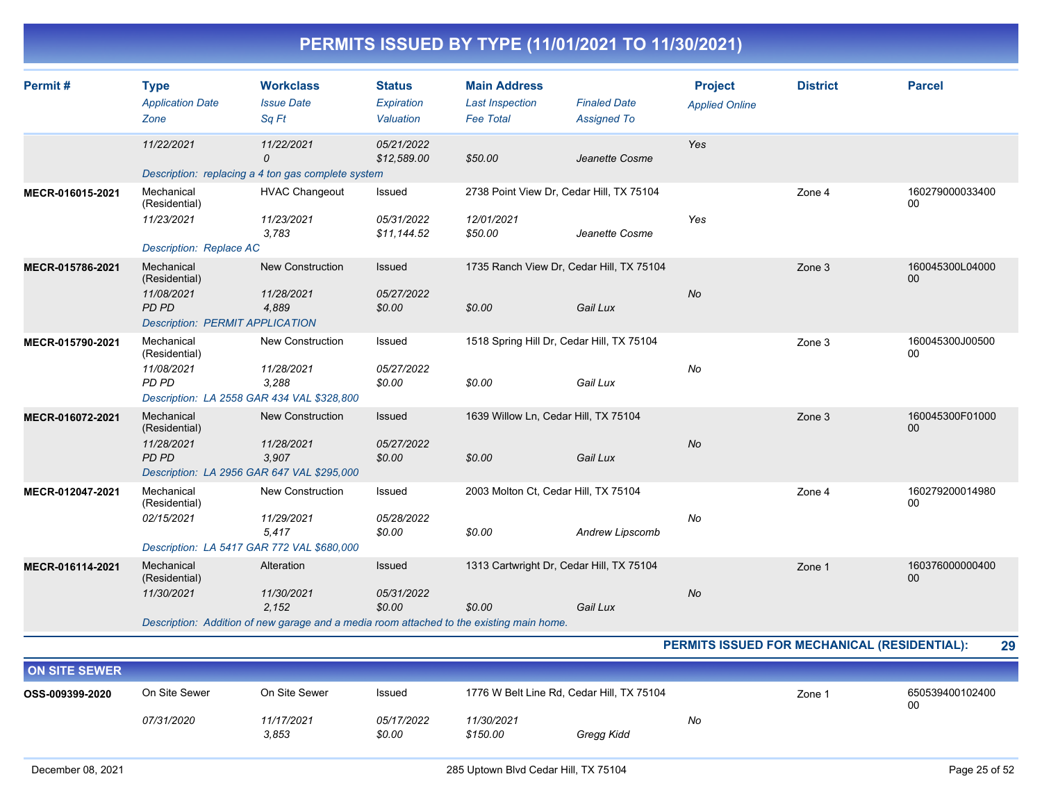| PERMITS ISSUED BY TYPE (11/01/2021 TO 11/30/2021) |  |
|---------------------------------------------------|--|
|---------------------------------------------------|--|

| Permit#          | <b>Type</b><br><b>Application Date</b><br>Zone     | <b>Workclass</b><br><b>Issue Date</b><br>Sq Ft                                           | <b>Status</b><br>Expiration<br>Valuation | <b>Main Address</b><br><b>Last Inspection</b><br><b>Fee Total</b> | <b>Finaled Date</b><br><b>Assigned To</b>            | <b>Project</b><br><b>Applied Online</b> | <b>District</b> | <b>Parcel</b>                      |
|------------------|----------------------------------------------------|------------------------------------------------------------------------------------------|------------------------------------------|-------------------------------------------------------------------|------------------------------------------------------|-----------------------------------------|-----------------|------------------------------------|
|                  | 11/22/2021                                         | 11/22/2021<br>$\mathcal{O}$<br>Description: replacing a 4 ton gas complete system        | 05/21/2022<br>\$12,589.00                | \$50.00                                                           | Jeanette Cosme                                       | Yes                                     |                 |                                    |
| MECR-016015-2021 | Mechanical<br>(Residential)                        | <b>HVAC Changeout</b>                                                                    | Issued                                   | 2738 Point View Dr, Cedar Hill, TX 75104                          |                                                      |                                         | Zone 4          | 160279000033400<br>00              |
|                  | 11/23/2021<br><b>Description: Replace AC</b>       | 11/23/2021<br>3.783                                                                      | 05/31/2022<br>\$11,144.52                | 12/01/2021<br>\$50.00                                             | Jeanette Cosme                                       | Yes                                     |                 |                                    |
| MECR-015786-2021 | Mechanical<br>(Residential)<br>11/08/2021<br>PD PD | New Construction<br>11/28/2021<br>4,889                                                  | <b>Issued</b><br>05/27/2022<br>\$0.00    | \$0.00                                                            | 1735 Ranch View Dr, Cedar Hill, TX 75104<br>Gail Lux | <b>No</b>                               | Zone 3          | 160045300L04000<br>00 <sup>°</sup> |
|                  | <b>Description: PERMIT APPLICATION</b>             |                                                                                          |                                          |                                                                   |                                                      |                                         |                 |                                    |
| MECR-015790-2021 | Mechanical<br>(Residential)                        | New Construction                                                                         | Issued                                   | 1518 Spring Hill Dr, Cedar Hill, TX 75104                         |                                                      |                                         | Zone 3          | 160045300J00500<br>00              |
|                  | 11/08/2021<br>PD PD                                | 11/28/2021<br>3,288<br>Description: LA 2558 GAR 434 VAL \$328,800                        | 05/27/2022<br>\$0.00                     | \$0.00                                                            | Gail Lux                                             | No                                      |                 |                                    |
| MECR-016072-2021 | Mechanical<br>(Residential)                        | <b>New Construction</b>                                                                  | Issued                                   | 1639 Willow Ln, Cedar Hill, TX 75104                              |                                                      |                                         | Zone 3          | 160045300F01000<br>00              |
|                  | 11/28/2021<br>PD PD                                | 11/28/2021<br>3,907<br>Description: LA 2956 GAR 647 VAL \$295,000                        | 05/27/2022<br>\$0.00                     | \$0.00                                                            | Gail Lux                                             | <b>No</b>                               |                 |                                    |
| MECR-012047-2021 | Mechanical<br>(Residential)                        | New Construction                                                                         | Issued                                   | 2003 Molton Ct, Cedar Hill, TX 75104                              |                                                      |                                         | Zone 4          | 160279200014980<br>$00\,$          |
|                  | 02/15/2021                                         | 11/29/2021<br>5,417<br>Description: LA 5417 GAR 772 VAL \$680,000                        | 05/28/2022<br>\$0.00                     | \$0.00                                                            | Andrew Lipscomb                                      | No                                      |                 |                                    |
| MECR-016114-2021 | Mechanical<br>(Residential)                        | Alteration                                                                               | Issued                                   | 1313 Cartwright Dr, Cedar Hill, TX 75104                          |                                                      |                                         | Zone 1          | 160376000000400<br>00              |
|                  | 11/30/2021                                         | 11/30/2021<br>2,152                                                                      | 05/31/2022<br>\$0.00                     | \$0.00                                                            | Gail Lux                                             | No                                      |                 |                                    |
|                  |                                                    | Description: Addition of new garage and a media room attached to the existing main home. |                                          |                                                                   |                                                      |                                         |                 |                                    |

#### **PERMITS ISSUED FOR MECHANICAL (RESIDENTIAL): 29**

| <b>ON SITE SEWER</b>             |            |               |            |                                           |            |    |        |                 |
|----------------------------------|------------|---------------|------------|-------------------------------------------|------------|----|--------|-----------------|
| On Site Sewer<br>OSS-009399-2020 |            | On Site Sewer | Issued     | 1776 W Belt Line Rd, Cedar Hill, TX 75104 |            |    | Zone 1 | 650539400102400 |
|                                  | 07/31/2020 | 11/17/2021    | 05/17/2022 | 11/30/2021                                |            | No |        |                 |
|                                  |            | 3.853         | \$0.00     | \$150.00                                  | Gregg Kidd |    |        |                 |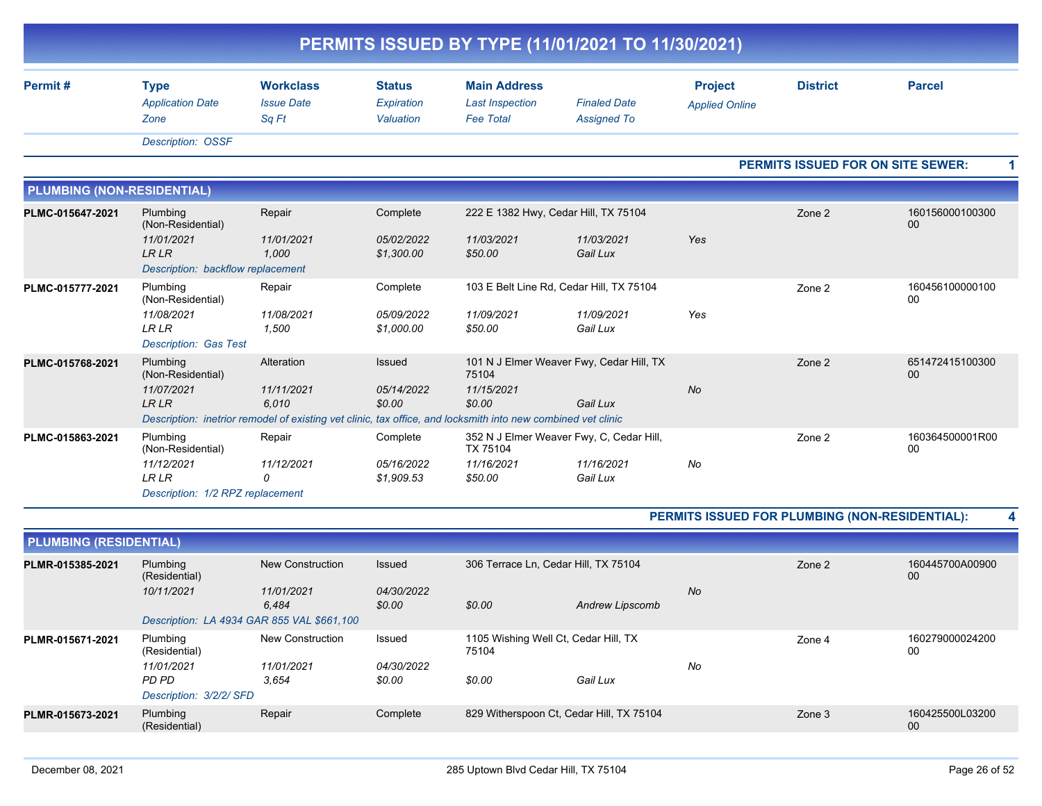| Permit#                           | <b>Type</b>                                                    | <b>Workclass</b>           | <b>Status</b>            | <b>Main Address</b>                                                                                          |                                           | <b>Project</b>        | <b>District</b> | <b>Parcel</b>                     |
|-----------------------------------|----------------------------------------------------------------|----------------------------|--------------------------|--------------------------------------------------------------------------------------------------------------|-------------------------------------------|-----------------------|-----------------|-----------------------------------|
|                                   | <b>Application Date</b><br>Zone                                | <b>Issue Date</b><br>Sa Ft | Expiration<br>Valuation  | <b>Last Inspection</b><br><b>Fee Total</b>                                                                   | <b>Finaled Date</b><br><b>Assigned To</b> | <b>Applied Online</b> |                 |                                   |
|                                   | <b>Description: OSSF</b>                                       |                            |                          |                                                                                                              |                                           |                       |                 |                                   |
|                                   |                                                                |                            |                          |                                                                                                              |                                           |                       |                 | PERMITS ISSUED FOR ON SITE SEWER: |
| <b>PLUMBING (NON-RESIDENTIAL)</b> |                                                                |                            |                          |                                                                                                              |                                           |                       |                 |                                   |
| PLMC-015647-2021                  | Plumbing<br>(Non-Residential)                                  | Repair                     | Complete                 | 222 E 1382 Hwy, Cedar Hill, TX 75104                                                                         |                                           |                       | Zone 2          | 160156000100300<br>00             |
|                                   | 11/01/2021<br><b>LRLR</b><br>Description: backflow replacement | 11/01/2021<br>1,000        | 05/02/2022<br>\$1,300.00 | 11/03/2021<br>\$50.00                                                                                        | 11/03/2021<br>Gail Lux                    | Yes                   |                 |                                   |
| PLMC-015777-2021                  | Plumbing<br>(Non-Residential)                                  | Repair                     | Complete                 |                                                                                                              | 103 E Belt Line Rd, Cedar Hill, TX 75104  |                       | Zone 2          | 160456100000100<br>00             |
|                                   | 11/08/2021<br><b>LRLR</b><br><b>Description: Gas Test</b>      | 11/08/2021<br>1,500        | 05/09/2022<br>\$1,000.00 | 11/09/2021<br>\$50.00                                                                                        | 11/09/2021<br>Gail Lux                    | Yes                   |                 |                                   |
| PLMC-015768-2021                  | Plumbing<br>(Non-Residential)                                  | Alteration                 | <b>Issued</b>            | 75104                                                                                                        | 101 N J Elmer Weaver Fwy, Cedar Hill, TX  |                       | Zone 2          | 651472415100300<br>00             |
|                                   | 11/07/2021<br><b>LRLR</b>                                      | 11/11/2021<br>6.010        | 05/14/2022<br>\$0.00     | 11/15/2021<br>\$0.00                                                                                         | Gail Lux                                  | <b>No</b>             |                 |                                   |
|                                   |                                                                |                            |                          | Description: inetrior remodel of existing vet clinic, tax office, and locksmith into new combined vet clinic |                                           |                       |                 |                                   |
| PLMC-015863-2021                  | Plumbing<br>(Non-Residential)                                  | Repair                     | Complete                 | TX 75104                                                                                                     | 352 N J Elmer Weaver Fwy, C, Cedar Hill,  |                       | Zone 2          | 160364500001R00<br>00             |
|                                   | 11/12/2021<br><b>LRLR</b><br>Description: 1/2 RPZ replacement  | 11/12/2021<br>0            | 05/16/2022<br>\$1,909.53 | 11/16/2021<br>\$50.00                                                                                        | 11/16/2021<br>Gail Lux                    | No                    |                 |                                   |

| PLMR-015385-2021 | Plumbing<br>(Residential)                  | New Construction    | Issued               | 306 Terrace Ln, Cedar Hill, TX 75104          |                 |           | Zone 2 | 160445700A00900<br>00 |
|------------------|--------------------------------------------|---------------------|----------------------|-----------------------------------------------|-----------------|-----------|--------|-----------------------|
|                  | 10/11/2021                                 | 11/01/2021<br>6.484 | 04/30/2022<br>\$0.00 | \$0.00                                        | Andrew Lipscomb | <b>No</b> |        |                       |
|                  | Description: LA 4934 GAR 855 VAL \$661,100 |                     |                      |                                               |                 |           |        |                       |
| PLMR-015671-2021 | Plumbing<br>(Residential)                  | New Construction    | Issued               | 1105 Wishing Well Ct, Cedar Hill, TX<br>75104 |                 |           | Zone 4 | 160279000024200<br>00 |
|                  | 11/01/2021                                 | 11/01/2021          | 04/30/2022           |                                               |                 | No        |        |                       |
|                  | PD PD                                      | 3.654               | \$0.00               | \$0.00                                        | Gail Lux        |           |        |                       |
|                  | Description: 3/2/2/ SFD                    |                     |                      |                                               |                 |           |        |                       |
| PLMR-015673-2021 | Plumbing<br>(Residential)                  | Repair              | Complete             | 829 Witherspoon Ct, Cedar Hill, TX 75104      |                 |           | Zone 3 | 160425500L03200<br>00 |
|                  |                                            |                     |                      |                                               |                 |           |        |                       |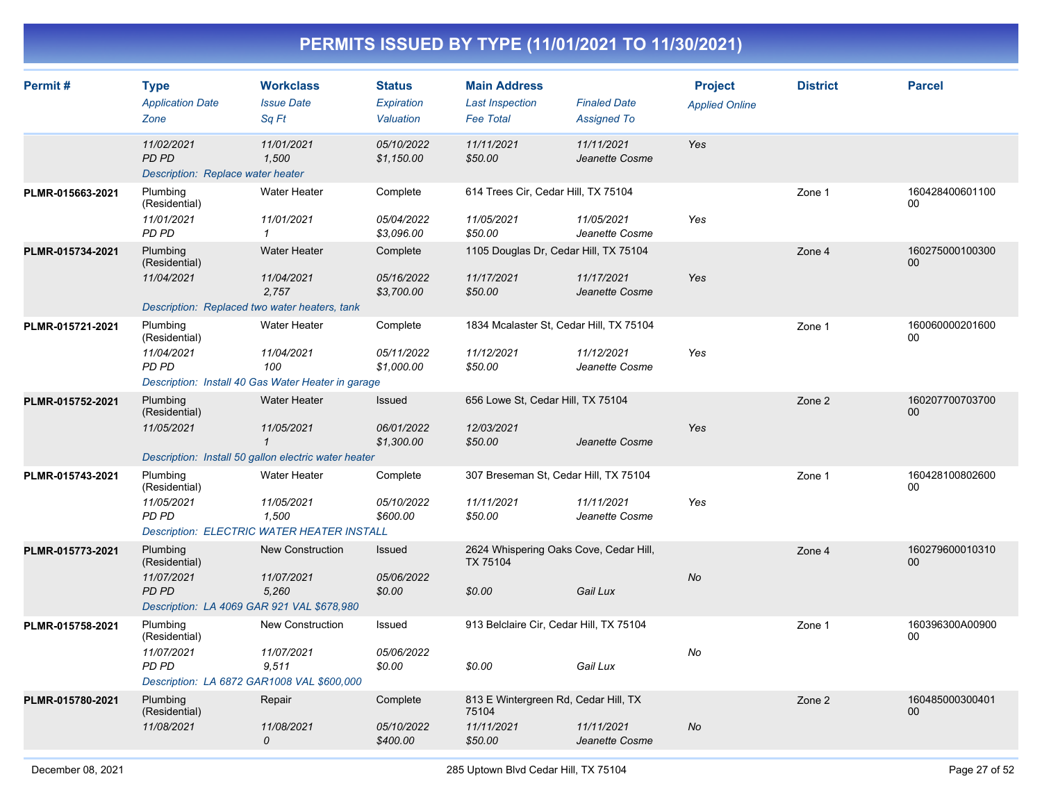| Permit#          | <b>Type</b><br><b>Application Date</b><br>Zone                                                 | <b>Workclass</b><br><b>Issue Date</b><br>Sq Ft                                                            | <b>Status</b><br>Expiration<br>Valuation | <b>Main Address</b><br><b>Last Inspection</b><br><b>Fee Total</b>      | <b>Finaled Date</b><br><b>Assigned To</b> | <b>Project</b><br><b>Applied Online</b> | <b>District</b> | <b>Parcel</b>             |
|------------------|------------------------------------------------------------------------------------------------|-----------------------------------------------------------------------------------------------------------|------------------------------------------|------------------------------------------------------------------------|-------------------------------------------|-----------------------------------------|-----------------|---------------------------|
|                  | 11/02/2021<br><b>PD PD</b><br>Description: Replace water heater                                | 11/01/2021<br>1,500                                                                                       | 05/10/2022<br>\$1,150.00                 | 11/11/2021<br>\$50.00                                                  | 11/11/2021<br>Jeanette Cosme              | Yes                                     |                 |                           |
| PLMR-015663-2021 | Plumbing<br>(Residential)<br>11/01/2021<br>PD PD                                               | <b>Water Heater</b><br>11/01/2021<br>$\mathbf{1}$                                                         | Complete<br>05/04/2022<br>\$3,096.00     | 614 Trees Cir, Cedar Hill, TX 75104<br>11/05/2021<br>\$50.00           | 11/05/2021<br>Jeanette Cosme              | Yes                                     | Zone 1          | 160428400601100<br>00     |
| PLMR-015734-2021 | Plumbing<br>(Residential)<br>11/04/2021<br>Description: Replaced two water heaters, tank       | <b>Water Heater</b><br>11/04/2021<br>2,757                                                                | Complete<br>05/16/2022<br>\$3,700.00     | 1105 Douglas Dr, Cedar Hill, TX 75104<br>11/17/2021<br>\$50.00         | 11/17/2021<br>Jeanette Cosme              | Yes                                     | Zone 4          | 160275000100300<br>$00\,$ |
| PLMR-015721-2021 | Plumbing<br>(Residential)<br>11/04/2021<br>PD PD                                               | <b>Water Heater</b><br>11/04/2021<br>100<br>Description: Install 40 Gas Water Heater in garage            | Complete<br>05/11/2022<br>\$1,000.00     | 1834 Mcalaster St, Cedar Hill, TX 75104<br>11/12/2021<br>\$50.00       | 11/12/2021<br>Jeanette Cosme              | Yes                                     | Zone 1          | 160060000201600<br>00     |
| PLMR-015752-2021 | Plumbing<br>(Residential)<br>11/05/2021                                                        | <b>Water Heater</b><br>11/05/2021<br>$\mathbf{1}$<br>Description: Install 50 gallon electric water heater | Issued<br>06/01/2022<br>\$1,300.00       | 656 Lowe St, Cedar Hill, TX 75104<br>12/03/2021<br>\$50.00             | Jeanette Cosme                            | Yes                                     | Zone 2          | 160207700703700<br>00     |
| PLMR-015743-2021 | Plumbing<br>(Residential)<br>11/05/2021<br>PD PD                                               | <b>Water Heater</b><br>11/05/2021<br>1.500<br><b>Description: ELECTRIC WATER HEATER INSTALL</b>           | Complete<br>05/10/2022<br>\$600.00       | 307 Breseman St, Cedar Hill, TX 75104<br>11/11/2021<br>\$50.00         | 11/11/2021<br>Jeanette Cosme              | Yes                                     | Zone 1          | 160428100802600<br>00     |
| PLMR-015773-2021 | Plumbing<br>(Residential)<br>11/07/2021<br>PD PD<br>Description: LA 4069 GAR 921 VAL \$678,980 | <b>New Construction</b><br>11/07/2021<br>5.260                                                            | Issued<br>05/06/2022<br>\$0.00           | 2624 Whispering Oaks Cove, Cedar Hill,<br>TX 75104<br>\$0.00           | Gail Lux                                  | <b>No</b>                               | Zone 4          | 160279600010310<br>00     |
| PLMR-015758-2021 | Plumbing<br>(Residential)<br>11/07/2021<br>PD PD<br>Description: LA 6872 GAR1008 VAL \$600,000 | <b>New Construction</b><br>11/07/2021<br>9,511                                                            | Issued<br>05/06/2022<br>\$0.00           | 913 Belclaire Cir, Cedar Hill, TX 75104<br>\$0.00                      | Gail Lux                                  | No                                      | Zone 1          | 160396300A00900<br>00     |
| PLMR-015780-2021 | Plumbing<br>(Residential)<br>11/08/2021                                                        | Repair<br>11/08/2021<br>0                                                                                 | Complete<br>05/10/2022<br>\$400.00       | 813 E Wintergreen Rd, Cedar Hill, TX<br>75104<br>11/11/2021<br>\$50.00 | 11/11/2021<br>Jeanette Cosme              | No                                      | Zone 2          | 160485000300401<br>00     |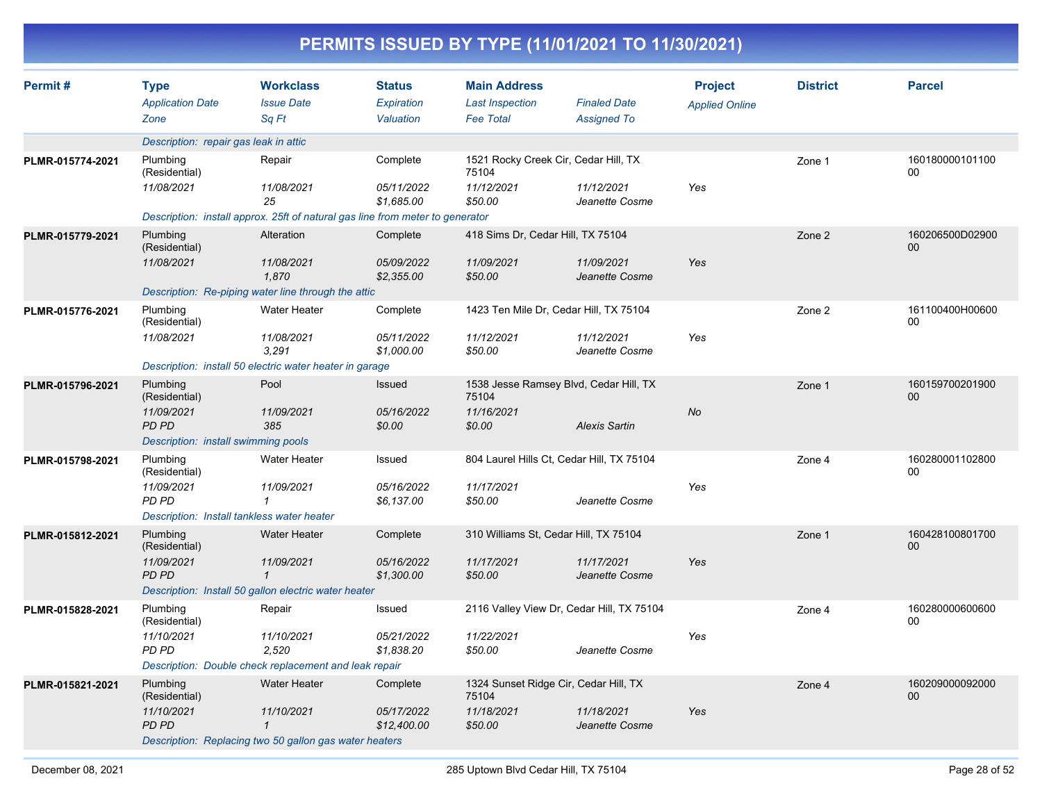|                  |                                                         |                                                                               |                             |                                               | PERMITS ISSUED BY TYPE (11/01/2021 TO 11/30/2021) |                                         |                 |                           |
|------------------|---------------------------------------------------------|-------------------------------------------------------------------------------|-----------------------------|-----------------------------------------------|---------------------------------------------------|-----------------------------------------|-----------------|---------------------------|
| Permit#          | <b>Type</b><br><b>Application Date</b>                  | <b>Workclass</b><br><b>Issue Date</b>                                         | <b>Status</b><br>Expiration | <b>Main Address</b><br><b>Last Inspection</b> | <b>Finaled Date</b>                               | <b>Project</b><br><b>Applied Online</b> | <b>District</b> | <b>Parcel</b>             |
|                  | Zone                                                    | Sq Ft                                                                         | Valuation                   | <b>Fee Total</b>                              | <b>Assigned To</b>                                |                                         |                 |                           |
|                  | Description: repair gas leak in attic                   |                                                                               |                             |                                               |                                                   |                                         |                 |                           |
| PLMR-015774-2021 | Plumbing<br>(Residential)                               | Repair                                                                        | Complete                    | 1521 Rocky Creek Cir, Cedar Hill, TX<br>75104 |                                                   |                                         | Zone 1          | 160180000101100<br>00     |
|                  | 11/08/2021                                              | 11/08/2021<br>25                                                              | 05/11/2022<br>\$1,685.00    | 11/12/2021<br>\$50.00                         | 11/12/2021<br>Jeanette Cosme                      | Yes                                     |                 |                           |
|                  |                                                         | Description: install approx. 25ft of natural gas line from meter to generator |                             |                                               |                                                   |                                         |                 |                           |
| PLMR-015779-2021 | Plumbing<br>(Residential)                               | Alteration                                                                    | Complete                    | 418 Sims Dr, Cedar Hill, TX 75104             |                                                   |                                         | Zone 2          | 160206500D02900<br>$00\,$ |
|                  | 11/08/2021                                              | 11/08/2021<br>1,870                                                           | 05/09/2022<br>\$2,355.00    | 11/09/2021<br>\$50.00                         | 11/09/2021<br>Jeanette Cosme                      | Yes                                     |                 |                           |
|                  |                                                         | Description: Re-piping water line through the attic                           |                             |                                               |                                                   |                                         |                 |                           |
| PLMR-015776-2021 | Plumbing<br>(Residential)                               | <b>Water Heater</b>                                                           | Complete                    |                                               | 1423 Ten Mile Dr, Cedar Hill, TX 75104            |                                         | Zone 2          | 161100400H00600<br>00     |
|                  | 11/08/2021                                              | 11/08/2021<br>3,291                                                           | 05/11/2022<br>\$1,000.00    | 11/12/2021<br>\$50.00                         | 11/12/2021<br>Jeanette Cosme                      | Yes                                     |                 |                           |
|                  | Description: install 50 electric water heater in garage |                                                                               |                             |                                               |                                                   |                                         |                 |                           |
| PLMR-015796-2021 | Plumbing<br>(Residential)                               | Pool                                                                          | <b>Issued</b>               | 75104                                         | 1538 Jesse Ramsey Blvd, Cedar Hill, TX            |                                         | Zone 1          | 160159700201900<br>$00\,$ |
|                  | 11/09/2021<br><b>PD PD</b>                              | 11/09/2021<br>385                                                             | 05/16/2022<br>\$0.00        | 11/16/2021<br>\$0.00                          | <b>Alexis Sartin</b>                              | No                                      |                 |                           |
|                  | Description: install swimming pools                     |                                                                               |                             |                                               |                                                   |                                         |                 |                           |
| PLMR-015798-2021 | Plumbing<br>(Residential)                               | <b>Water Heater</b>                                                           | Issued                      |                                               | 804 Laurel Hills Ct, Cedar Hill, TX 75104         |                                         | Zone 4          | 160280001102800<br>00     |
|                  | 11/09/2021<br>PD PD                                     | 11/09/2021<br>$\mathcal I$                                                    | 05/16/2022<br>\$6,137.00    | 11/17/2021<br>\$50.00                         | Jeanette Cosme                                    | Yes                                     |                 |                           |
|                  |                                                         | Description: Install tankless water heater                                    |                             |                                               |                                                   |                                         |                 |                           |
| PLMR-015812-2021 | Plumbing<br>(Residential)                               | <b>Water Heater</b>                                                           | Complete                    | 310 Williams St, Cedar Hill, TX 75104         |                                                   |                                         | Zone 1          | 160428100801700<br>$00\,$ |
|                  | 11/09/2021<br><b>PD PD</b>                              | 11/09/2021<br>$\mathcal I$                                                    | 05/16/2022<br>\$1,300.00    | 11/17/2021<br>\$50.00                         | 11/17/2021<br>Jeanette Cosme                      | Yes                                     |                 |                           |
|                  |                                                         | Description: Install 50 gallon electric water heater                          |                             |                                               |                                                   |                                         |                 |                           |
| PLMR-015828-2021 | Plumbing<br>(Residential)                               | Repair                                                                        | Issued                      |                                               | 2116 Valley View Dr, Cedar Hill, TX 75104         |                                         | Zone 4          | 160280000600600<br>00     |
|                  | 11/10/2021<br>PD PD                                     | 11/10/2021<br>2,520                                                           | 05/21/2022<br>\$1,838.20    | 11/22/2021<br>\$50.00                         | Jeanette Cosme                                    | Yes                                     |                 |                           |
|                  |                                                         | Description: Double check replacement and leak repair                         |                             |                                               |                                                   |                                         |                 |                           |
| PLMR-015821-2021 | Plumbing<br>(Residential)                               | Water Heater                                                                  | Complete                    | 75104                                         | 1324 Sunset Ridge Cir, Cedar Hill, TX             |                                         | Zone 4          | 160209000092000<br>00     |
|                  | 11/10/2021<br>PD PD                                     | 11/10/2021<br>$\mathcal{I}$                                                   | 05/17/2022<br>\$12,400.00   | 11/18/2021<br>\$50.00                         | 11/18/2021<br>Jeanette Cosme                      | Yes                                     |                 |                           |
|                  |                                                         | Description: Replacing two 50 gallon gas water heaters                        |                             |                                               |                                                   |                                         |                 |                           |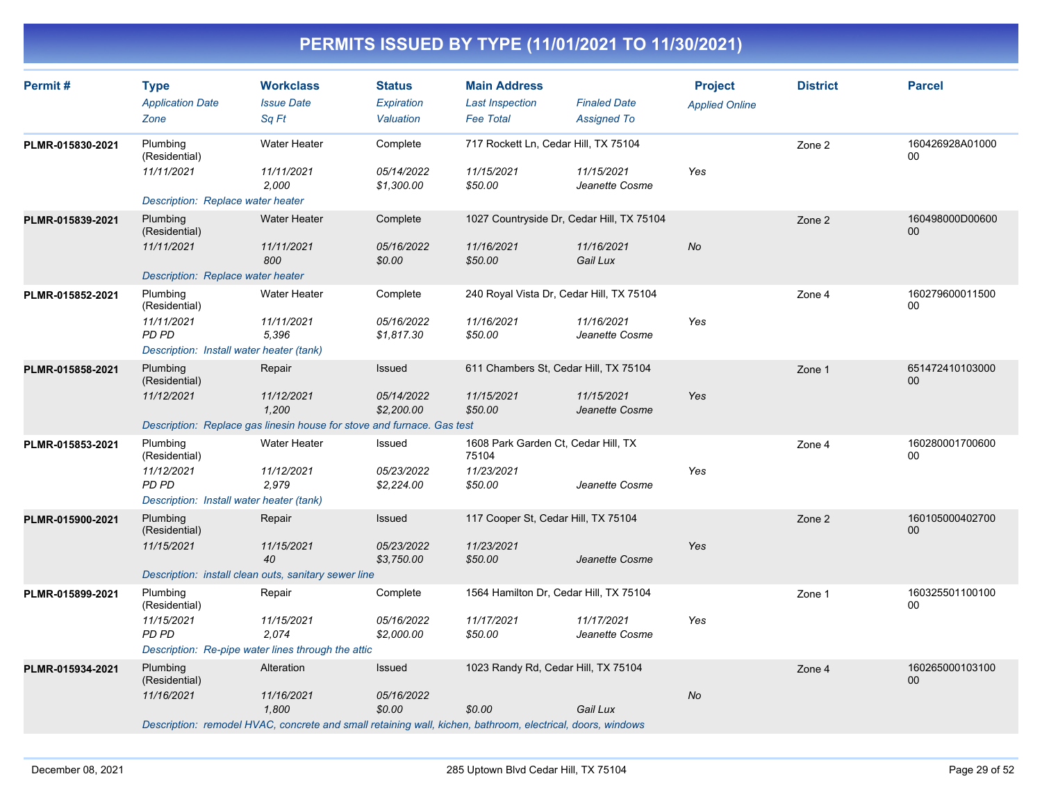| Permit#          | <b>Type</b><br><b>Application Date</b><br>Zone                                                                    | <b>Workclass</b><br><b>Issue Date</b><br>Sa Ft                                                                                                  | <b>Status</b><br>Expiration<br>Valuation | <b>Main Address</b><br><b>Last Inspection</b><br><b>Fee Total</b>     | <b>Finaled Date</b><br><b>Assigned To</b> | <b>Project</b><br><b>Applied Online</b> | <b>District</b> | <b>Parcel</b>             |
|------------------|-------------------------------------------------------------------------------------------------------------------|-------------------------------------------------------------------------------------------------------------------------------------------------|------------------------------------------|-----------------------------------------------------------------------|-------------------------------------------|-----------------------------------------|-----------------|---------------------------|
| PLMR-015830-2021 | Plumbing<br>(Residential)<br>11/11/2021                                                                           | Water Heater<br>11/11/2021<br>2.000                                                                                                             | Complete<br>05/14/2022<br>\$1,300.00     | 717 Rockett Ln, Cedar Hill, TX 75104<br>11/15/2021<br>\$50.00         | 11/15/2021<br>Jeanette Cosme              | Yes                                     | Zone 2          | 160426928A01000<br>00     |
| PLMR-015839-2021 | Description: Replace water heater<br>Plumbing<br>(Residential)<br>11/11/2021<br>Description: Replace water heater | <b>Water Heater</b><br>11/11/2021<br>800                                                                                                        | Complete<br>05/16/2022<br>\$0.00         | 1027 Countryside Dr, Cedar Hill, TX 75104<br>11/16/2021<br>\$50.00    | 11/16/2021<br>Gail Lux                    | <b>No</b>                               | Zone 2          | 160498000D00600<br>$00\,$ |
| PLMR-015852-2021 | Plumbing<br>(Residential)<br>11/11/2021<br>PD PD<br>Description: Install water heater (tank)                      | Water Heater<br>11/11/2021<br>5,396                                                                                                             | Complete<br>05/16/2022<br>\$1,817.30     | 240 Royal Vista Dr, Cedar Hill, TX 75104<br>11/16/2021<br>\$50.00     | 11/16/2021<br>Jeanette Cosme              | Yes                                     | Zone 4          | 160279600011500<br>00     |
| PLMR-015858-2021 | Plumbing<br>(Residential)<br>11/12/2021                                                                           | Repair<br>11/12/2021<br>1,200<br>Description: Replace gas linesin house for stove and furnace. Gas test                                         | Issued<br>05/14/2022<br>\$2,200.00       | 611 Chambers St, Cedar Hill, TX 75104<br>11/15/2021<br>\$50.00        | 11/15/2021<br>Jeanette Cosme              | Yes                                     | Zone 1          | 651472410103000<br>00     |
| PLMR-015853-2021 | Plumbing<br>(Residential)<br>11/12/2021<br>PD PD<br>Description: Install water heater (tank)                      | <b>Water Heater</b><br>11/12/2021<br>2,979                                                                                                      | Issued<br>05/23/2022<br>\$2,224.00       | 1608 Park Garden Ct, Cedar Hill, TX<br>75104<br>11/23/2021<br>\$50.00 | Jeanette Cosme                            | Yes                                     | Zone 4          | 160280001700600<br>$00\,$ |
| PLMR-015900-2021 | Plumbing<br>(Residential)<br>11/15/2021                                                                           | Repair<br>11/15/2021<br>40<br>Description: install clean outs, sanitary sewer line                                                              | Issued<br>05/23/2022<br>\$3,750.00       | 117 Cooper St, Cedar Hill, TX 75104<br>11/23/2021<br>\$50.00          | Jeanette Cosme                            | Yes                                     | Zone 2          | 160105000402700<br>00     |
| PLMR-015899-2021 | Plumbing<br>(Residential)<br>11/15/2021<br>PD PD                                                                  | Repair<br>11/15/2021<br>2.074<br>Description: Re-pipe water lines through the attic                                                             | Complete<br>05/16/2022<br>\$2,000.00     | 1564 Hamilton Dr, Cedar Hill, TX 75104<br>11/17/2021<br>\$50.00       | 11/17/2021<br>Jeanette Cosme              | Yes                                     | Zone 1          | 160325501100100<br>00     |
| PLMR-015934-2021 | Plumbing<br>(Residential)<br>11/16/2021                                                                           | Alteration<br>11/16/2021<br>1.800<br>Description: remodel HVAC, concrete and small retaining wall, kichen, bathroom, electrical, doors, windows | Issued<br>05/16/2022<br>\$0.00           | 1023 Randy Rd, Cedar Hill, TX 75104<br>\$0.00                         | Gail Lux                                  | <b>No</b>                               | Zone 4          | 160265000103100<br>00     |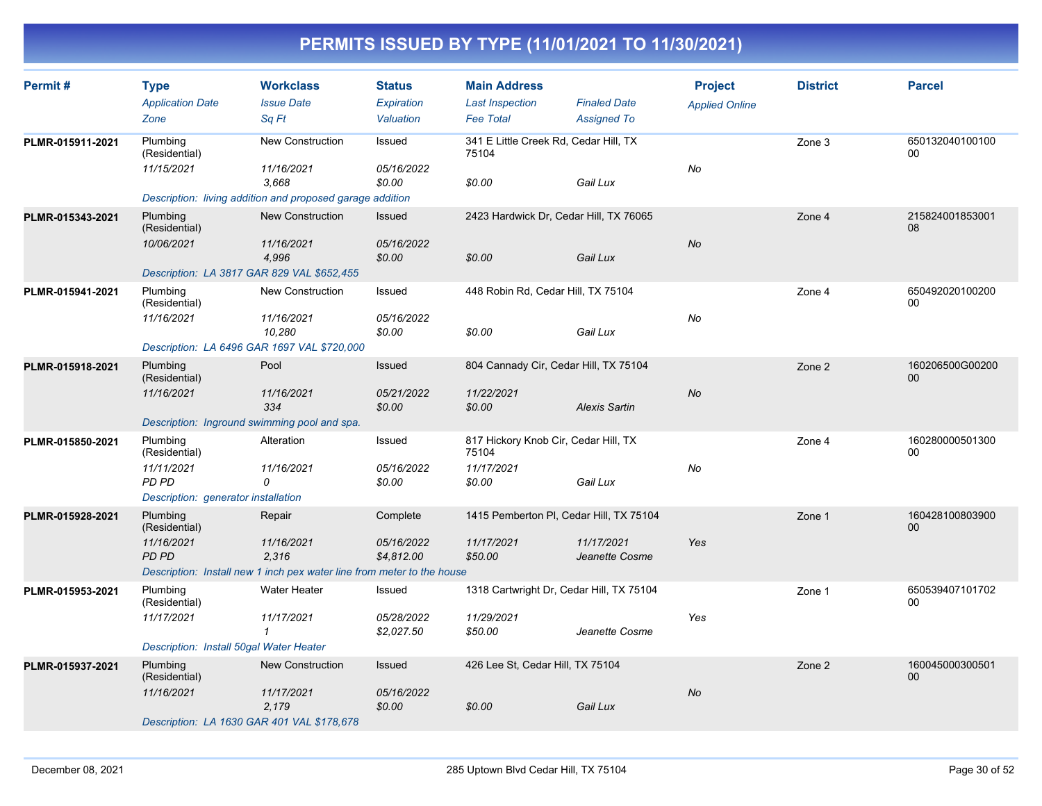| Permit#          | <b>Type</b><br><b>Application Date</b>       | <b>Workclass</b><br><b>Issue Date</b>                                  | <b>Status</b><br><b>Expiration</b> | <b>Main Address</b><br><b>Last Inspection</b>  | <b>Finaled Date</b>          | <b>Project</b>        | <b>District</b> | <b>Parcel</b>             |
|------------------|----------------------------------------------|------------------------------------------------------------------------|------------------------------------|------------------------------------------------|------------------------------|-----------------------|-----------------|---------------------------|
|                  | Zone                                         | Sa Ft                                                                  | Valuation                          | <b>Fee Total</b>                               | <b>Assigned To</b>           | <b>Applied Online</b> |                 |                           |
| PLMR-015911-2021 | Plumbing<br>(Residential)                    | New Construction                                                       | Issued                             | 341 E Little Creek Rd, Cedar Hill, TX<br>75104 |                              |                       | Zone 3          | 650132040100100<br>00     |
|                  | 11/15/2021                                   | 11/16/2021<br>3.668                                                    | 05/16/2022<br>\$0.00               | \$0.00                                         | Gail Lux                     | No                    |                 |                           |
|                  |                                              | Description: living addition and proposed garage addition              |                                    |                                                |                              |                       |                 |                           |
| PLMR-015343-2021 | Plumbing<br>(Residential)                    | <b>New Construction</b>                                                | Issued                             | 2423 Hardwick Dr, Cedar Hill, TX 76065         |                              |                       | Zone 4          | 215824001853001<br>08     |
|                  | 10/06/2021                                   | 11/16/2021<br>4,996                                                    | 05/16/2022<br>\$0.00               | \$0.00                                         | Gail Lux                     | No                    |                 |                           |
|                  | Description: LA 3817 GAR 829 VAL \$652,455   |                                                                        |                                    |                                                |                              |                       |                 |                           |
| PLMR-015941-2021 | Plumbing<br>(Residential)                    | New Construction                                                       | Issued                             | 448 Robin Rd, Cedar Hill, TX 75104             |                              |                       | Zone 4          | 650492020100200<br>00     |
|                  | 11/16/2021                                   | 11/16/2021<br>10,280                                                   | 05/16/2022<br>\$0.00               | \$0.00                                         | Gail Lux                     | No                    |                 |                           |
|                  | Description: LA 6496 GAR 1697 VAL \$720,000  |                                                                        |                                    |                                                |                              |                       |                 |                           |
| PLMR-015918-2021 | Plumbing<br>(Residential)                    | Pool                                                                   | <b>Issued</b>                      | 804 Cannady Cir, Cedar Hill, TX 75104          |                              |                       | Zone 2          | 160206500G00200<br>00     |
|                  | 11/16/2021                                   | 11/16/2021<br>334                                                      | 05/21/2022<br>\$0.00               | 11/22/2021<br>\$0.00                           | Alexis Sartin                | <b>No</b>             |                 |                           |
|                  | Description: Inground swimming pool and spa. |                                                                        |                                    |                                                |                              |                       |                 |                           |
| PLMR-015850-2021 | Plumbing<br>(Residential)                    | Alteration                                                             | Issued                             | 817 Hickory Knob Cir, Cedar Hill, TX<br>75104  |                              |                       | Zone 4          | 160280000501300<br>00     |
|                  | 11/11/2021<br>PD PD                          | 11/16/2021<br>0                                                        | 05/16/2022<br>\$0.00               | 11/17/2021<br>\$0.00                           | Gail Lux                     | No                    |                 |                           |
|                  | Description: generator installation          |                                                                        |                                    |                                                |                              |                       |                 |                           |
| PLMR-015928-2021 | Plumbing<br>(Residential)                    | Repair                                                                 | Complete                           | 1415 Pemberton PI, Cedar Hill, TX 75104        |                              |                       | Zone 1          | 160428100803900<br>00     |
|                  | 11/16/2021<br><b>PD PD</b>                   | 11/16/2021<br>2,316                                                    | 05/16/2022<br>\$4,812.00           | 11/17/2021<br>\$50.00                          | 11/17/2021<br>Jeanette Cosme | Yes                   |                 |                           |
|                  |                                              | Description: Install new 1 inch pex water line from meter to the house |                                    |                                                |                              |                       |                 |                           |
| PLMR-015953-2021 | Plumbing<br>(Residential)                    | Water Heater                                                           | Issued                             | 1318 Cartwright Dr, Cedar Hill, TX 75104       |                              |                       | Zone 1          | 650539407101702<br>00     |
|                  | 11/17/2021                                   | 11/17/2021<br>1                                                        | 05/28/2022<br>\$2,027.50           | 11/29/2021<br>\$50.00                          | Jeanette Cosme               | Yes                   |                 |                           |
|                  | Description: Install 50gal Water Heater      |                                                                        |                                    |                                                |                              |                       |                 |                           |
| PLMR-015937-2021 | Plumbing<br>(Residential)                    | <b>New Construction</b>                                                | Issued                             | 426 Lee St, Cedar Hill, TX 75104               |                              |                       | Zone 2          | 160045000300501<br>$00\,$ |
|                  | 11/16/2021                                   | 11/17/2021<br>2,179                                                    | 05/16/2022<br>\$0.00               | \$0.00                                         | Gail Lux                     | No                    |                 |                           |
|                  | Description: LA 1630 GAR 401 VAL \$178,678   |                                                                        |                                    |                                                |                              |                       |                 |                           |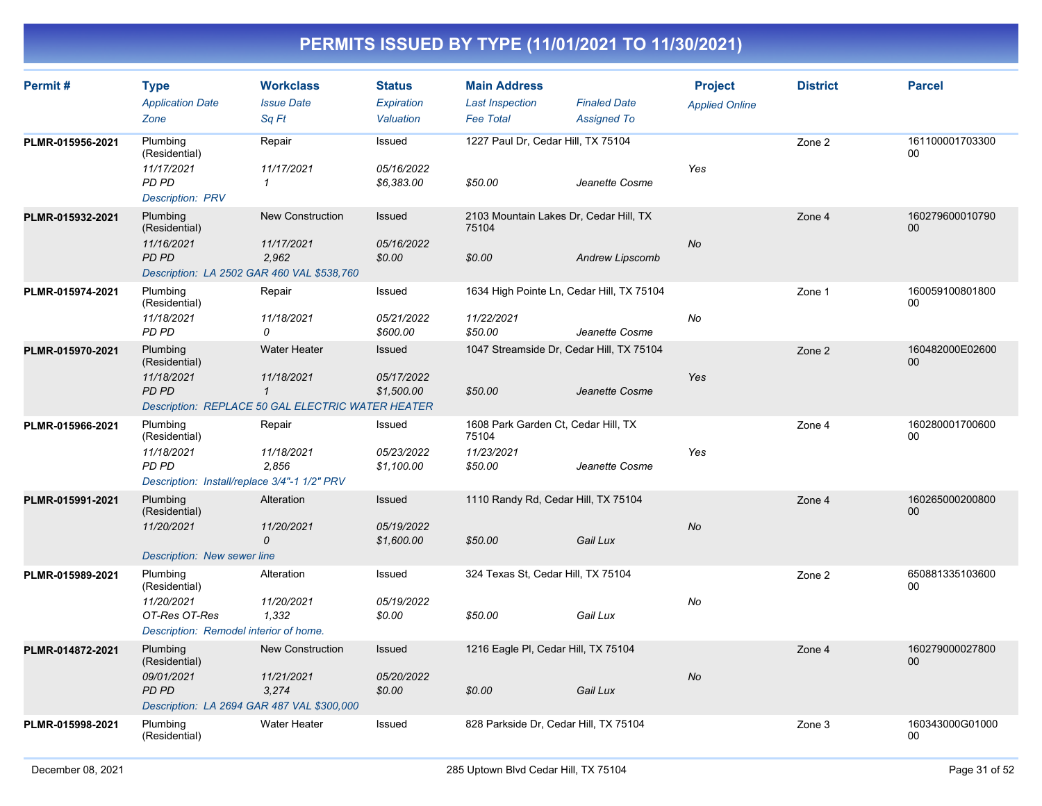| Permit#          | <b>Type</b><br><b>Application Date</b><br>Zone                                                          | <b>Workclass</b><br><b>Issue Date</b><br>Sq Ft                                                         | <b>Status</b><br>Expiration<br>Valuation | <b>Main Address</b><br><b>Last Inspection</b><br><b>Fee Total</b>     | <b>Finaled Date</b><br><b>Assigned To</b> | <b>Project</b><br><b>Applied Online</b> | <b>District</b> | <b>Parcel</b>             |
|------------------|---------------------------------------------------------------------------------------------------------|--------------------------------------------------------------------------------------------------------|------------------------------------------|-----------------------------------------------------------------------|-------------------------------------------|-----------------------------------------|-----------------|---------------------------|
| PLMR-015956-2021 | Plumbing<br>(Residential)<br>11/17/2021<br><b>PD PD</b><br><b>Description: PRV</b>                      | Repair<br>11/17/2021<br>$\mathcal I$                                                                   | Issued<br>05/16/2022<br>\$6,383.00       | 1227 Paul Dr, Cedar Hill, TX 75104<br>\$50.00                         | Jeanette Cosme                            | Yes                                     | Zone 2          | 161100001703300<br>00     |
| PLMR-015932-2021 | Plumbing<br>(Residential)<br>11/16/2021<br><b>PD PD</b><br>Description: LA 2502 GAR 460 VAL \$538,760   | <b>New Construction</b><br>11/17/2021<br>2,962                                                         | Issued<br>05/16/2022<br>\$0.00           | 2103 Mountain Lakes Dr, Cedar Hill, TX<br>75104<br>\$0.00             | <b>Andrew Lipscomb</b>                    | <b>No</b>                               | Zone 4          | 160279600010790<br>$00\,$ |
| PLMR-015974-2021 | Plumbing<br>(Residential)<br>11/18/2021<br>PD PD                                                        | Repair<br>11/18/2021<br>$\Omega$                                                                       | Issued<br>05/21/2022<br>\$600.00         | 1634 High Pointe Ln, Cedar Hill, TX 75104<br>11/22/2021<br>\$50.00    | Jeanette Cosme                            | No                                      | Zone 1          | 160059100801800<br>00     |
| PLMR-015970-2021 | Plumbing<br>(Residential)<br>11/18/2021<br>PD PD                                                        | <b>Water Heater</b><br>11/18/2021<br>$\mathbf{1}$<br>Description: REPLACE 50 GAL ELECTRIC WATER HEATER | Issued<br>05/17/2022<br>\$1,500.00       | 1047 Streamside Dr. Cedar Hill, TX 75104<br>\$50.00                   | Jeanette Cosme                            | Yes                                     | Zone 2          | 160482000E02600<br>$00\,$ |
| PLMR-015966-2021 | Plumbing<br>(Residential)<br>11/18/2021<br><b>PD PD</b><br>Description: Install/replace 3/4"-1 1/2" PRV | Repair<br>11/18/2021<br>2.856                                                                          | Issued<br>05/23/2022<br>\$1,100.00       | 1608 Park Garden Ct, Cedar Hill, TX<br>75104<br>11/23/2021<br>\$50.00 | Jeanette Cosme                            | Yes                                     | Zone 4          | 160280001700600<br>00     |
| PLMR-015991-2021 | Plumbing<br>(Residential)<br>11/20/2021<br>Description: New sewer line                                  | Alteration<br>11/20/2021<br>0                                                                          | Issued<br>05/19/2022<br>\$1,600.00       | 1110 Randy Rd, Cedar Hill, TX 75104<br>\$50.00                        | Gail Lux                                  | <b>No</b>                               | Zone 4          | 160265000200800<br>$00\,$ |
| PLMR-015989-2021 | Plumbing<br>(Residential)<br>11/20/2021<br>OT-Res OT-Res<br>Description: Remodel interior of home.      | Alteration<br>11/20/2021<br>1,332                                                                      | Issued<br>05/19/2022<br>\$0.00           | 324 Texas St, Cedar Hill, TX 75104<br>\$50.00                         | Gail Lux                                  | No                                      | Zone 2          | 650881335103600<br>$00\,$ |
| PLMR-014872-2021 | Plumbing<br>(Residential)<br>09/01/2021<br><b>PD PD</b><br>Description: LA 2694 GAR 487 VAL \$300,000   | <b>New Construction</b><br>11/21/2021<br>3,274                                                         | Issued<br>05/20/2022<br>\$0.00           | 1216 Eagle PI, Cedar Hill, TX 75104<br>\$0.00                         | Gail Lux                                  | <b>No</b>                               | Zone 4          | 160279000027800<br>$00\,$ |
| PLMR-015998-2021 | Plumbing<br>(Residential)                                                                               | Water Heater                                                                                           | Issued                                   | 828 Parkside Dr, Cedar Hill, TX 75104                                 |                                           |                                         | Zone 3          | 160343000G01000<br>00     |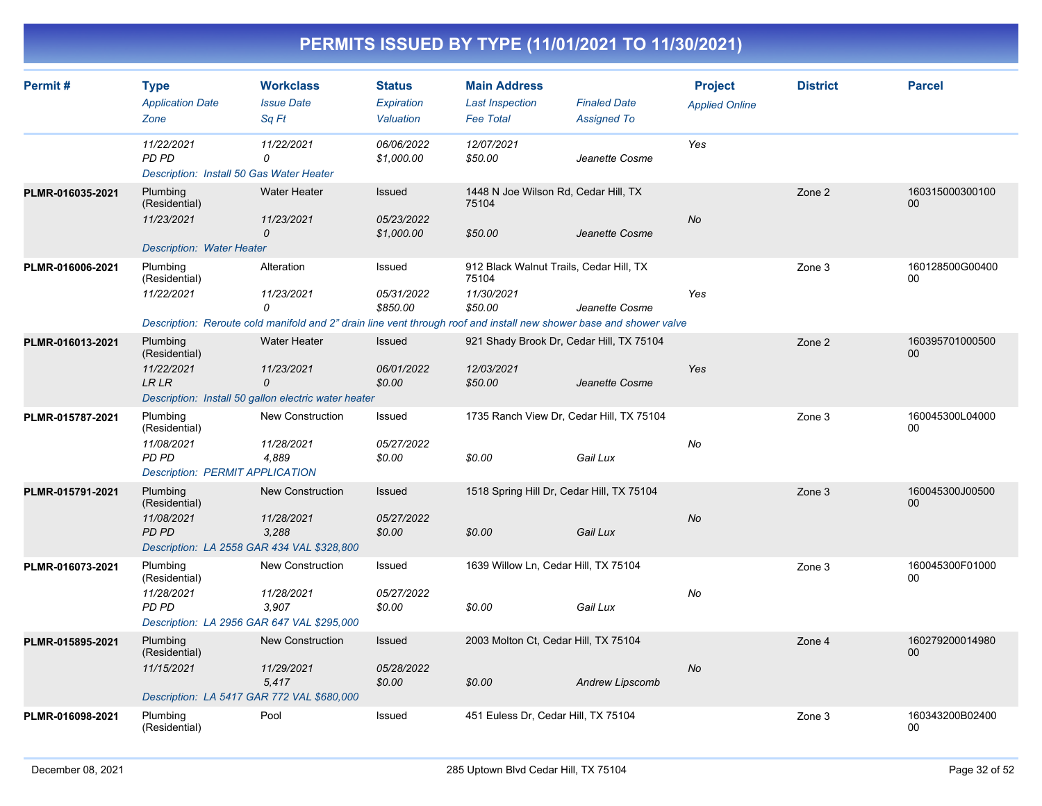| Permit#          | <b>Type</b><br><b>Application Date</b><br>Zone                                                        | <b>Workclass</b><br><b>Issue Date</b><br>Sq Ft                                                                                                              | <b>Status</b><br>Expiration<br>Valuation | <b>Main Address</b><br><b>Last Inspection</b><br><b>Fee Total</b>         | <b>Finaled Date</b><br><b>Assigned To</b> | <b>Project</b><br><b>Applied Online</b> | <b>District</b> | <b>Parcel</b>         |
|------------------|-------------------------------------------------------------------------------------------------------|-------------------------------------------------------------------------------------------------------------------------------------------------------------|------------------------------------------|---------------------------------------------------------------------------|-------------------------------------------|-----------------------------------------|-----------------|-----------------------|
|                  | 11/22/2021<br>PD PD<br>Description: Install 50 Gas Water Heater                                       | 11/22/2021<br>0                                                                                                                                             | 06/06/2022<br>\$1,000.00                 | 12/07/2021<br>\$50.00                                                     | Jeanette Cosme                            | Yes                                     |                 |                       |
| PLMR-016035-2021 | Plumbing<br>(Residential)<br>11/23/2021<br><b>Description: Water Heater</b>                           | <b>Water Heater</b><br>11/23/2021<br>$\overline{O}$                                                                                                         | Issued<br>05/23/2022<br>\$1,000.00       | 1448 N Joe Wilson Rd, Cedar Hill, TX<br>75104<br>\$50.00                  | Jeanette Cosme                            | <b>No</b>                               | Zone 2          | 160315000300100<br>00 |
| PLMR-016006-2021 | Plumbing<br>(Residential)<br>11/22/2021                                                               | Alteration<br>11/23/2021<br>$\Omega$<br>Description: Reroute cold manifold and 2" drain line vent through roof and install new shower base and shower valve | Issued<br>05/31/2022<br>\$850.00         | 912 Black Walnut Trails, Cedar Hill, TX<br>75104<br>11/30/2021<br>\$50.00 | Jeanette Cosme                            | Yes                                     | Zone 3          | 160128500G00400<br>00 |
| PLMR-016013-2021 | Plumbing<br>(Residential)<br>11/22/2021<br><b>LR LR</b>                                               | <b>Water Heater</b><br>11/23/2021<br>$\Omega$<br>Description: Install 50 gallon electric water heater                                                       | Issued<br>06/01/2022<br>\$0.00           | 921 Shady Brook Dr, Cedar Hill, TX 75104<br>12/03/2021<br>\$50.00         | Jeanette Cosme                            | Yes                                     | Zone 2          | 160395701000500<br>00 |
| PLMR-015787-2021 | Plumbing<br>(Residential)<br>11/08/2021<br>PD PD<br><b>Description: PERMIT APPLICATION</b>            | <b>New Construction</b><br>11/28/2021<br>4,889                                                                                                              | Issued<br>05/27/2022<br>\$0.00           | 1735 Ranch View Dr, Cedar Hill, TX 75104<br>\$0.00                        | Gail Lux                                  | No                                      | Zone 3          | 160045300L04000<br>00 |
| PLMR-015791-2021 | Plumbing<br>(Residential)<br>11/08/2021<br><b>PD PD</b><br>Description: LA 2558 GAR 434 VAL \$328,800 | <b>New Construction</b><br>11/28/2021<br>3.288                                                                                                              | Issued<br>05/27/2022<br>\$0.00           | 1518 Spring Hill Dr, Cedar Hill, TX 75104<br>\$0.00                       | Gail Lux                                  | <b>No</b>                               | Zone 3          | 160045300J00500<br>00 |
| PLMR-016073-2021 | Plumbing<br>(Residential)<br>11/28/2021<br><b>PD PD</b><br>Description: LA 2956 GAR 647 VAL \$295,000 | <b>New Construction</b><br>11/28/2021<br>3,907                                                                                                              | Issued<br>05/27/2022<br>\$0.00           | 1639 Willow Ln, Cedar Hill, TX 75104<br>\$0.00                            | Gail Lux                                  | No                                      | Zone 3          | 160045300F01000<br>00 |
| PLMR-015895-2021 | Plumbing<br>(Residential)<br>11/15/2021<br>Description: LA 5417 GAR 772 VAL \$680,000                 | <b>New Construction</b><br>11/29/2021<br>5,417                                                                                                              | Issued<br>05/28/2022<br>\$0.00           | 2003 Molton Ct, Cedar Hill, TX 75104<br>\$0.00                            | <b>Andrew Lipscomb</b>                    | No                                      | Zone 4          | 160279200014980<br>00 |
| PLMR-016098-2021 | Plumbing<br>(Residential)                                                                             | Pool                                                                                                                                                        | Issued                                   | 451 Euless Dr. Cedar Hill, TX 75104                                       |                                           |                                         | Zone 3          | 160343200B02400<br>00 |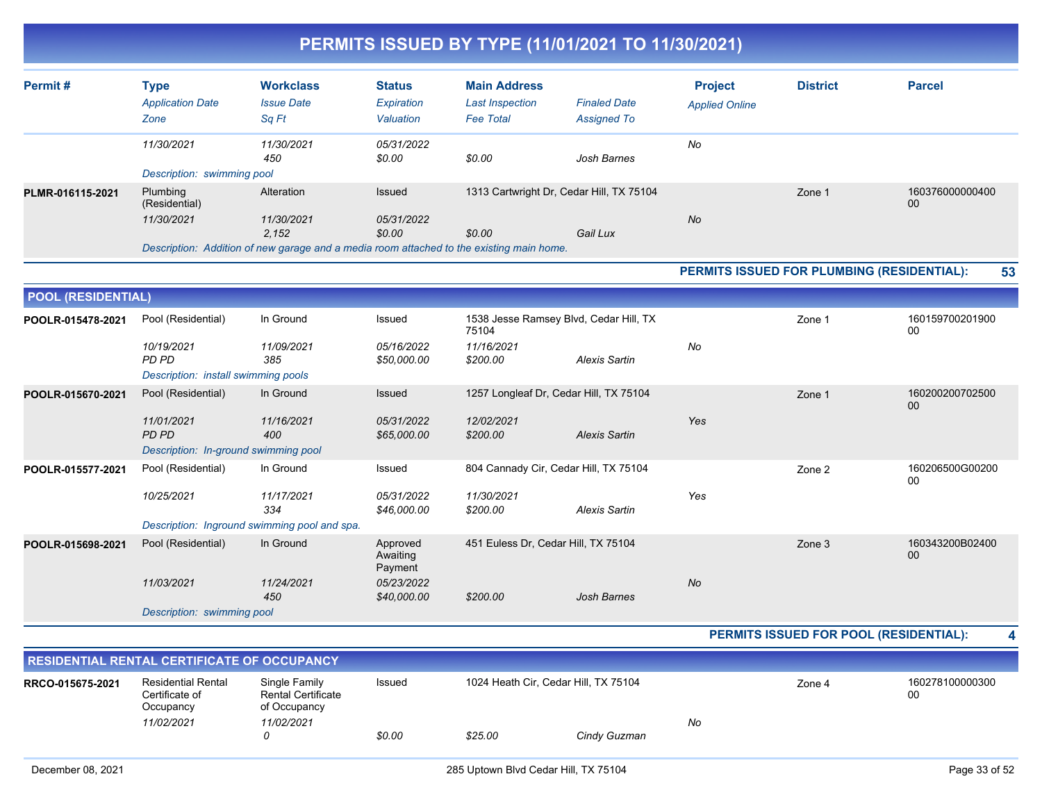|                           |                                      |                                                                                          |                                 |                                            | PERMITS 1330ED BT TTPE (TI/UT/ZUZT TO TI/30/ZUZT) |                       |                                            |                       |
|---------------------------|--------------------------------------|------------------------------------------------------------------------------------------|---------------------------------|--------------------------------------------|---------------------------------------------------|-----------------------|--------------------------------------------|-----------------------|
| Permit#                   | <b>Type</b>                          | <b>Workclass</b>                                                                         | <b>Status</b>                   | <b>Main Address</b>                        |                                                   | <b>Project</b>        | <b>District</b>                            | <b>Parcel</b>         |
|                           | <b>Application Date</b><br>Zone      | <b>Issue Date</b><br>Sq Ft                                                               | Expiration<br>Valuation         | <b>Last Inspection</b><br><b>Fee Total</b> | <b>Finaled Date</b><br><b>Assigned To</b>         | <b>Applied Online</b> |                                            |                       |
|                           | 11/30/2021                           | 11/30/2021<br>450                                                                        | 05/31/2022<br>\$0.00            | \$0.00                                     | Josh Barnes                                       | No                    |                                            |                       |
|                           | Description: swimming pool           |                                                                                          |                                 |                                            |                                                   |                       |                                            |                       |
| PLMR-016115-2021          | Plumbing<br>(Residential)            | Alteration                                                                               | Issued                          |                                            | 1313 Cartwright Dr, Cedar Hill, TX 75104          |                       | Zone 1                                     | 160376000000400<br>00 |
|                           | 11/30/2021                           | 11/30/2021<br>2.152                                                                      | 05/31/2022<br>\$0.00            | \$0.00                                     | Gail Lux                                          | No                    |                                            |                       |
|                           |                                      | Description: Addition of new garage and a media room attached to the existing main home. |                                 |                                            |                                                   |                       |                                            |                       |
|                           |                                      |                                                                                          |                                 |                                            |                                                   |                       | PERMITS ISSUED FOR PLUMBING (RESIDENTIAL): | 53                    |
| <b>POOL (RESIDENTIAL)</b> |                                      |                                                                                          |                                 |                                            |                                                   |                       |                                            |                       |
| POOLR-015478-2021         | Pool (Residential)                   | In Ground                                                                                | Issued                          | 75104                                      | 1538 Jesse Ramsey Blvd, Cedar Hill, TX            |                       | Zone 1                                     | 160159700201900<br>00 |
|                           | 10/19/2021<br><b>PD PD</b>           | 11/09/2021<br>385                                                                        | 05/16/2022<br>\$50,000.00       | 11/16/2021<br>\$200.00                     | <b>Alexis Sartin</b>                              | No                    |                                            |                       |
|                           | Description: install swimming pools  |                                                                                          |                                 |                                            |                                                   |                       |                                            |                       |
| POOLR-015670-2021         | Pool (Residential)                   | In Ground                                                                                | Issued                          |                                            | 1257 Longleaf Dr, Cedar Hill, TX 75104            |                       | Zone 1                                     | 160200200702500<br>00 |
|                           | 11/01/2021<br>PD PD                  | 11/16/2021<br>400                                                                        | 05/31/2022<br>\$65,000.00       | 12/02/2021<br>\$200.00                     | <b>Alexis Sartin</b>                              | Yes                   |                                            |                       |
|                           | Description: In-ground swimming pool |                                                                                          |                                 |                                            |                                                   |                       |                                            |                       |
| POOLR-015577-2021         | Pool (Residential)                   | In Ground                                                                                | Issued                          |                                            | 804 Cannady Cir, Cedar Hill, TX 75104             |                       | Zone 2                                     | 160206500G00200<br>00 |
|                           | 10/25/2021                           | 11/17/2021<br>334                                                                        | 05/31/2022<br>\$46,000.00       | 11/30/2021<br>\$200.00                     | <b>Alexis Sartin</b>                              | Yes                   |                                            |                       |
|                           |                                      | Description: Inground swimming pool and spa.                                             |                                 |                                            |                                                   |                       |                                            |                       |
| POOLR-015698-2021         | Pool (Residential)                   | In Ground                                                                                | Approved<br>Awaiting<br>Payment | 451 Euless Dr, Cedar Hill, TX 75104        |                                                   |                       | Zone 3                                     | 160343200B02400<br>00 |
|                           | 11/03/2021                           | 11/24/2021<br>450                                                                        | 05/23/2022<br>\$40,000.00       | \$200.00                                   | Josh Barnes                                       | No                    |                                            |                       |
|                           | Description: swimming pool           |                                                                                          |                                 |                                            |                                                   |                       |                                            |                       |

**PERMITS ISSUED FOR POOL (RESIDENTIAL): 4**

| <b>RESIDENTIAL RENTAL CERTIFICATE OF OCCUPANCY</b> |                                                   |                                                            |        |         |                                      |  |        |                       |
|----------------------------------------------------|---------------------------------------------------|------------------------------------------------------------|--------|---------|--------------------------------------|--|--------|-----------------------|
| RRCO-015675-2021                                   | Residential Rental<br>Certificate of<br>Occupancv | Single Family<br><b>Rental Certificate</b><br>of Occupancy | Issued |         | 1024 Heath Cir, Cedar Hill, TX 75104 |  | Zone 4 | 160278100000300<br>00 |
|                                                    | 11/02/2021                                        | 11/02/2021                                                 |        | No      |                                      |  |        |                       |
|                                                    |                                                   |                                                            | \$0.00 | \$25.00 | Cindy Guzman                         |  |        |                       |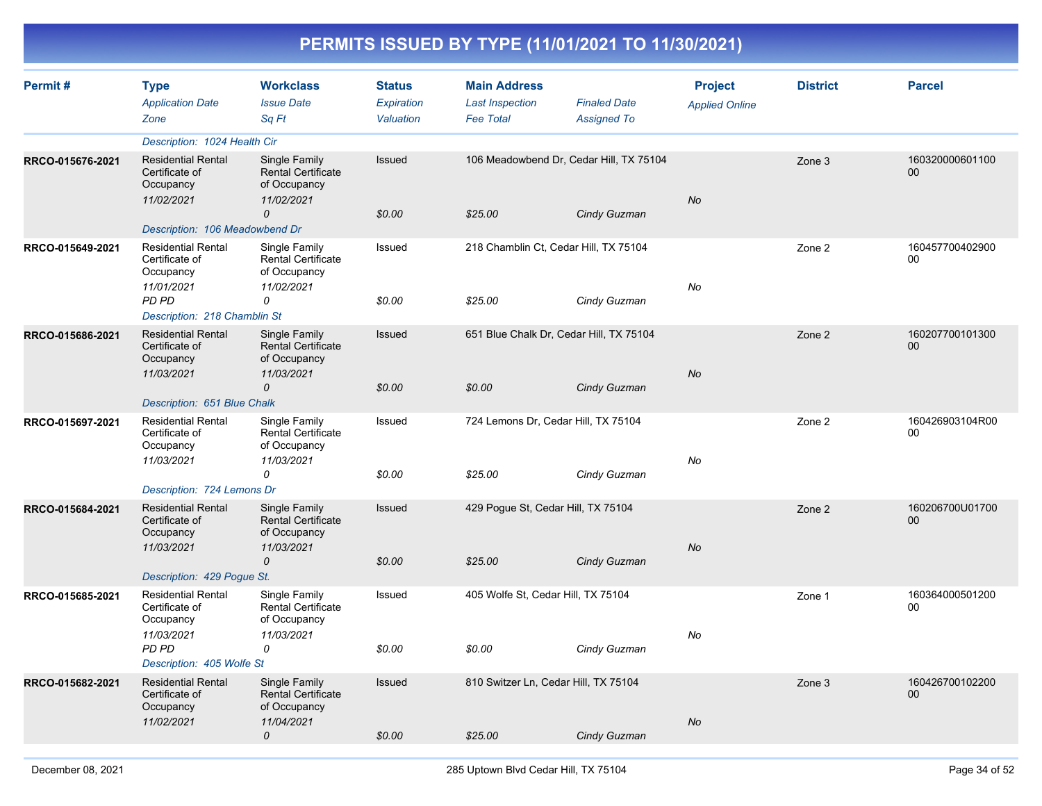| Permit#          | <b>Type</b><br><b>Application Date</b><br>Zone                         | <b>Workclass</b><br><b>Issue Date</b><br>Sq Ft                           | <b>Status</b><br><b>Expiration</b><br>Valuation | <b>Main Address</b><br><b>Last Inspection</b><br><b>Fee Total</b> | <b>Finaled Date</b><br><b>Assigned To</b> | <b>Project</b><br><b>Applied Online</b> | <b>District</b> | <b>Parcel</b>         |
|------------------|------------------------------------------------------------------------|--------------------------------------------------------------------------|-------------------------------------------------|-------------------------------------------------------------------|-------------------------------------------|-----------------------------------------|-----------------|-----------------------|
|                  | Description: 1024 Health Cir                                           |                                                                          |                                                 |                                                                   |                                           |                                         |                 |                       |
| RRCO-015676-2021 | <b>Residential Rental</b><br>Certificate of<br>Occupancy<br>11/02/2021 | Single Family<br><b>Rental Certificate</b><br>of Occupancy<br>11/02/2021 | <b>Issued</b>                                   |                                                                   | 106 Meadowbend Dr, Cedar Hill, TX 75104   | No                                      | Zone 3          | 160320000601100<br>00 |
|                  |                                                                        | 0                                                                        | \$0.00                                          | \$25.00                                                           | Cindy Guzman                              |                                         |                 |                       |
|                  | Description: 106 Meadowbend Dr                                         |                                                                          |                                                 |                                                                   |                                           |                                         |                 |                       |
| RRCO-015649-2021 | <b>Residential Rental</b><br>Certificate of<br>Occupancy<br>11/01/2021 | Single Family<br>Rental Certificate<br>of Occupancy<br>11/02/2021        | Issued                                          | 218 Chamblin Ct, Cedar Hill, TX 75104                             |                                           | No                                      | Zone 2          | 160457700402900<br>00 |
|                  | PD PD<br>Description: 218 Chamblin St                                  | 0                                                                        | \$0.00                                          | \$25.00                                                           | Cindy Guzman                              |                                         |                 |                       |
| RRCO-015686-2021 | <b>Residential Rental</b><br>Certificate of<br>Occupancy<br>11/03/2021 | Single Family<br><b>Rental Certificate</b><br>of Occupancy<br>11/03/2021 | Issued                                          |                                                                   | 651 Blue Chalk Dr, Cedar Hill, TX 75104   | <b>No</b>                               | Zone 2          | 160207700101300<br>00 |
|                  | Description: 651 Blue Chalk                                            | $\mathcal{O}$                                                            | \$0.00                                          | \$0.00                                                            | Cindy Guzman                              |                                         |                 |                       |
| RRCO-015697-2021 | <b>Residential Rental</b><br>Certificate of<br>Occupancy<br>11/03/2021 | Single Family<br><b>Rental Certificate</b><br>of Occupancy<br>11/03/2021 | Issued                                          | 724 Lemons Dr, Cedar Hill, TX 75104                               |                                           | No                                      | Zone 2          | 160426903104R00<br>00 |
|                  | Description: 724 Lemons Dr                                             | 0                                                                        | \$0.00                                          | \$25.00                                                           | Cindy Guzman                              |                                         |                 |                       |
| RRCO-015684-2021 | <b>Residential Rental</b>                                              | Single Family                                                            | Issued                                          | 429 Pogue St, Cedar Hill, TX 75104                                |                                           |                                         | Zone 2          | 160206700U01700       |
|                  | Certificate of<br>Occupancy                                            | <b>Rental Certificate</b><br>of Occupancy                                |                                                 |                                                                   |                                           |                                         |                 | 00                    |
|                  | 11/03/2021<br>Description: 429 Pogue St.                               | 11/03/2021<br>$\overline{O}$                                             | \$0.00                                          | \$25.00                                                           | Cindy Guzman                              | No                                      |                 |                       |
| RRCO-015685-2021 | <b>Residential Rental</b><br>Certificate of<br>Occupancy               | Single Family<br>Rental Certificate<br>of Occupancy                      | Issued                                          | 405 Wolfe St, Cedar Hill, TX 75104                                |                                           |                                         | Zone 1          | 160364000501200<br>00 |
|                  | 11/03/2021<br>PD PD<br>Description: 405 Wolfe St                       | 11/03/2021<br>0                                                          | \$0.00                                          | \$0.00                                                            | Cindy Guzman                              | No                                      |                 |                       |
| RRCO-015682-2021 | <b>Residential Rental</b><br>Certificate of<br>Occupancy               | Single Family<br><b>Rental Certificate</b><br>of Occupancy               | Issued                                          | 810 Switzer Ln, Cedar Hill, TX 75104                              |                                           |                                         | Zone 3          | 160426700102200<br>00 |
|                  | 11/02/2021                                                             | 11/04/2021<br>0                                                          | \$0.00                                          | \$25.00                                                           | Cindy Guzman                              | <b>No</b>                               |                 |                       |
|                  |                                                                        |                                                                          |                                                 |                                                                   |                                           |                                         |                 |                       |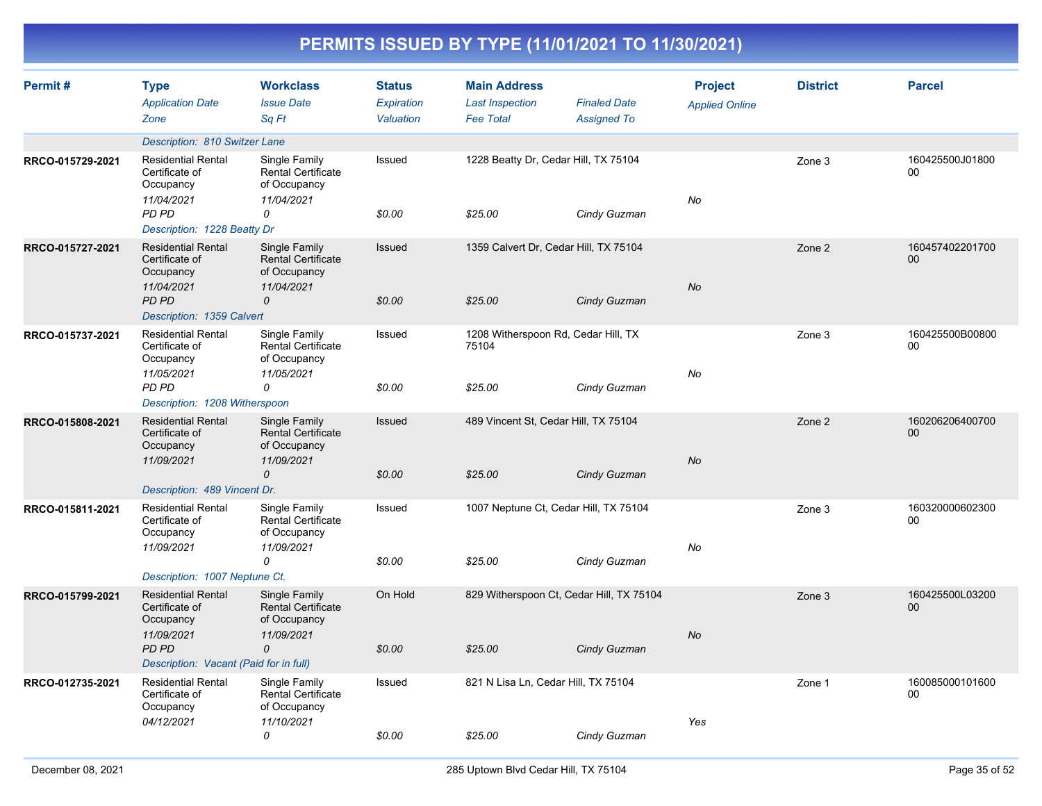| PERMITS ISSUED BY TYPE (11/01/2021 TO 11/30/2021) |
|---------------------------------------------------|
|---------------------------------------------------|

| Permit#          | <b>Type</b><br><b>Application Date</b><br>Zone                         | <b>Workclass</b><br><b>Issue Date</b><br>Sq Ft                           | <b>Status</b><br><b>Expiration</b><br>Valuation | <b>Main Address</b><br><b>Last Inspection</b><br><b>Fee Total</b> | <b>Finaled Date</b><br><b>Assigned To</b> | <b>Project</b><br><b>Applied Online</b> | <b>District</b> | <b>Parcel</b>         |
|------------------|------------------------------------------------------------------------|--------------------------------------------------------------------------|-------------------------------------------------|-------------------------------------------------------------------|-------------------------------------------|-----------------------------------------|-----------------|-----------------------|
|                  | Description: 810 Switzer Lane                                          |                                                                          |                                                 |                                                                   |                                           |                                         |                 |                       |
| RRCO-015729-2021 | <b>Residential Rental</b><br>Certificate of<br>Occupancy<br>11/04/2021 | Single Family<br>Rental Certificate<br>of Occupancy<br>11/04/2021        | Issued                                          | 1228 Beatty Dr, Cedar Hill, TX 75104                              |                                           | No                                      | Zone 3          | 160425500J01800<br>00 |
|                  | PD PD<br>Description: 1228 Beatty Dr                                   | 0                                                                        | \$0.00                                          | \$25.00                                                           | Cindy Guzman                              |                                         |                 |                       |
| RRCO-015727-2021 | <b>Residential Rental</b><br>Certificate of<br>Occupancy<br>11/04/2021 | Single Family<br><b>Rental Certificate</b><br>of Occupancy<br>11/04/2021 | Issued                                          | 1359 Calvert Dr, Cedar Hill, TX 75104                             |                                           | No                                      | Zone 2          | 160457402201700<br>00 |
|                  | <b>PD PD</b><br>Description: 1359 Calvert                              | $\mathcal{O}$                                                            | \$0.00                                          | \$25.00                                                           | Cindy Guzman                              |                                         |                 |                       |
| RRCO-015737-2021 | <b>Residential Rental</b><br>Certificate of<br>Occupancy<br>11/05/2021 | Single Family<br><b>Rental Certificate</b><br>of Occupancy<br>11/05/2021 | Issued                                          | 1208 Witherspoon Rd, Cedar Hill, TX<br>75104                      |                                           | No                                      | Zone 3          | 160425500B00800<br>00 |
|                  | PD PD<br>Description: 1208 Witherspoon                                 | 0                                                                        | \$0.00                                          | \$25.00                                                           | Cindy Guzman                              |                                         |                 |                       |
| RRCO-015808-2021 | <b>Residential Rental</b><br>Certificate of<br>Occupancy<br>11/09/2021 | Single Family<br><b>Rental Certificate</b><br>of Occupancy<br>11/09/2021 | Issued                                          | 489 Vincent St, Cedar Hill, TX 75104                              |                                           | No                                      | Zone 2          | 160206206400700<br>00 |
|                  | Description: 489 Vincent Dr.                                           | 0                                                                        | \$0.00                                          | \$25.00                                                           | Cindy Guzman                              |                                         |                 |                       |
| RRCO-015811-2021 | <b>Residential Rental</b><br>Certificate of<br>Occupancy               | Single Family<br><b>Rental Certificate</b><br>of Occupancy               | Issued                                          | 1007 Neptune Ct, Cedar Hill, TX 75104                             |                                           |                                         | Zone 3          | 160320000602300<br>00 |
|                  | 11/09/2021<br>Description: 1007 Neptune Ct.                            | 11/09/2021<br>0                                                          | \$0.00                                          | \$25.00                                                           | Cindy Guzman                              | No                                      |                 |                       |
| RRCO-015799-2021 | <b>Residential Rental</b><br>Certificate of<br>Occupancy               | Single Family<br><b>Rental Certificate</b><br>of Occupancy               | On Hold                                         | 829 Witherspoon Ct, Cedar Hill, TX 75104                          |                                           |                                         | Zone 3          | 160425500L03200<br>00 |
|                  | 11/09/2021<br><b>PD PD</b><br>Description: Vacant (Paid for in full)   | 11/09/2021<br>$\overline{O}$                                             | \$0.00                                          | \$25.00                                                           | Cindy Guzman                              | <b>No</b>                               |                 |                       |
| RRCO-012735-2021 | <b>Residential Rental</b><br>Certificate of<br>Occupancy               | Single Family<br><b>Rental Certificate</b><br>of Occupancy               | Issued                                          | 821 N Lisa Ln, Cedar Hill, TX 75104                               |                                           |                                         | Zone 1          | 160085000101600<br>00 |
|                  | 04/12/2021                                                             | 11/10/2021<br>0                                                          | \$0.00                                          | \$25.00                                                           | Cindy Guzman                              | Yes                                     |                 |                       |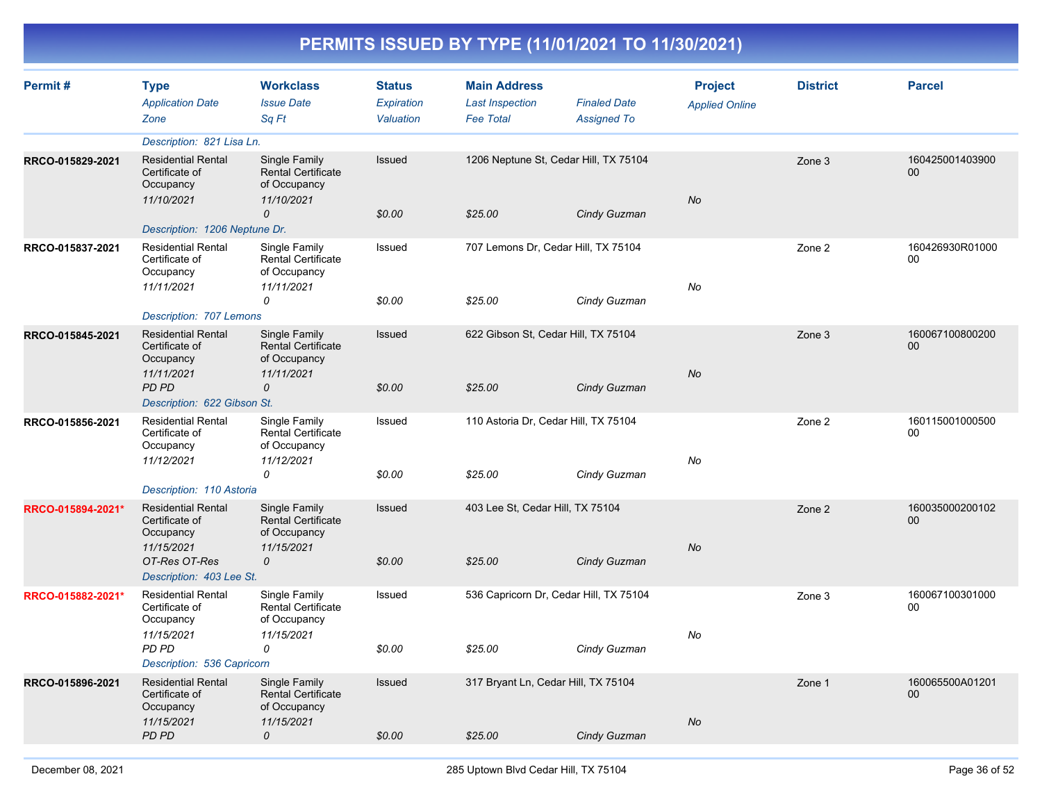| Permit#           | <b>Type</b><br><b>Application Date</b><br>Zone                         | <b>Workclass</b><br><b>Issue Date</b><br>Sa Ft                           | <b>Status</b><br>Expiration<br>Valuation | <b>Main Address</b><br><b>Last Inspection</b><br><b>Fee Total</b> | <b>Finaled Date</b><br><b>Assigned To</b> | <b>Project</b><br><b>Applied Online</b> | <b>District</b> | <b>Parcel</b>             |
|-------------------|------------------------------------------------------------------------|--------------------------------------------------------------------------|------------------------------------------|-------------------------------------------------------------------|-------------------------------------------|-----------------------------------------|-----------------|---------------------------|
|                   | Description: 821 Lisa Ln.                                              |                                                                          |                                          |                                                                   |                                           |                                         |                 |                           |
| RRCO-015829-2021  | <b>Residential Rental</b><br>Certificate of<br>Occupancy<br>11/10/2021 | Single Family<br><b>Rental Certificate</b><br>of Occupancy<br>11/10/2021 | Issued                                   | 1206 Neptune St, Cedar Hill, TX 75104                             |                                           | <b>No</b>                               | Zone 3          | 160425001403900<br>00     |
|                   |                                                                        | 0                                                                        | \$0.00                                   | \$25.00                                                           | Cindy Guzman                              |                                         |                 |                           |
|                   | Description: 1206 Neptune Dr.                                          |                                                                          |                                          |                                                                   |                                           |                                         |                 | 160426930R01000           |
| RRCO-015837-2021  | <b>Residential Rental</b><br>Certificate of<br>Occupancy<br>11/11/2021 | Single Family<br><b>Rental Certificate</b><br>of Occupancy<br>11/11/2021 | Issued                                   | 707 Lemons Dr, Cedar Hill, TX 75104                               |                                           | No                                      | Zone 2          | 00                        |
|                   |                                                                        | 0                                                                        | \$0.00                                   | \$25.00                                                           | Cindy Guzman                              |                                         |                 |                           |
|                   | Description: 707 Lemons                                                |                                                                          |                                          |                                                                   |                                           |                                         |                 |                           |
| RRCO-015845-2021  | <b>Residential Rental</b><br>Certificate of<br>Occupancy               | Single Family<br><b>Rental Certificate</b><br>of Occupancy               | Issued                                   | 622 Gibson St. Cedar Hill, TX 75104                               |                                           |                                         | Zone 3          | 160067100800200<br>$00\,$ |
|                   | 11/11/2021<br>PD PD<br>Description: 622 Gibson St.                     | 11/11/2021<br>$\mathcal{O}$                                              | \$0.00                                   | \$25.00                                                           | Cindy Guzman                              | <b>No</b>                               |                 |                           |
| RRCO-015856-2021  | <b>Residential Rental</b><br>Certificate of<br>Occupancy<br>11/12/2021 | Single Family<br><b>Rental Certificate</b><br>of Occupancy<br>11/12/2021 | Issued                                   | 110 Astoria Dr, Cedar Hill, TX 75104                              |                                           | No                                      | Zone 2          | 160115001000500<br>00     |
|                   |                                                                        | 0                                                                        | \$0.00                                   | \$25.00                                                           | Cindy Guzman                              |                                         |                 |                           |
|                   | Description: 110 Astoria                                               |                                                                          |                                          |                                                                   |                                           |                                         |                 |                           |
| RRCO-015894-2021* | <b>Residential Rental</b><br>Certificate of<br>Occupancy               | Single Family<br><b>Rental Certificate</b><br>of Occupancy               | <b>Issued</b>                            | 403 Lee St, Cedar Hill, TX 75104                                  |                                           |                                         | Zone 2          | 160035000200102<br>00     |
|                   | 11/15/2021<br>OT-Res OT-Res<br>Description: 403 Lee St.                | 11/15/2021<br>0                                                          | \$0.00                                   | \$25.00                                                           | Cindy Guzman                              | No                                      |                 |                           |
| RRCO-015882-2021* | <b>Residential Rental</b><br>Certificate of<br>Occupancy               | Single Family<br><b>Rental Certificate</b><br>of Occupancy               | Issued                                   | 536 Capricorn Dr, Cedar Hill, TX 75104                            |                                           |                                         | Zone 3          | 160067100301000<br>00     |
|                   | 11/15/2021                                                             | 11/15/2021                                                               |                                          |                                                                   |                                           | No                                      |                 |                           |
|                   | PD PD<br>Description: 536 Capricorn                                    | 0                                                                        | \$0.00                                   | \$25.00                                                           | Cindy Guzman                              |                                         |                 |                           |
| RRCO-015896-2021  | <b>Residential Rental</b>                                              | Single Family                                                            | Issued                                   | 317 Bryant Ln, Cedar Hill, TX 75104                               |                                           |                                         | Zone 1          | 160065500A01201           |
|                   | Certificate of<br>Occupancy<br>11/15/2021                              | <b>Rental Certificate</b><br>of Occupancy<br>11/15/2021                  |                                          |                                                                   |                                           | <b>No</b>                               |                 | $00\,$                    |
|                   | PD PD                                                                  | 0                                                                        | \$0.00                                   | \$25.00                                                           | Cindy Guzman                              |                                         |                 |                           |
|                   |                                                                        |                                                                          |                                          |                                                                   |                                           |                                         |                 |                           |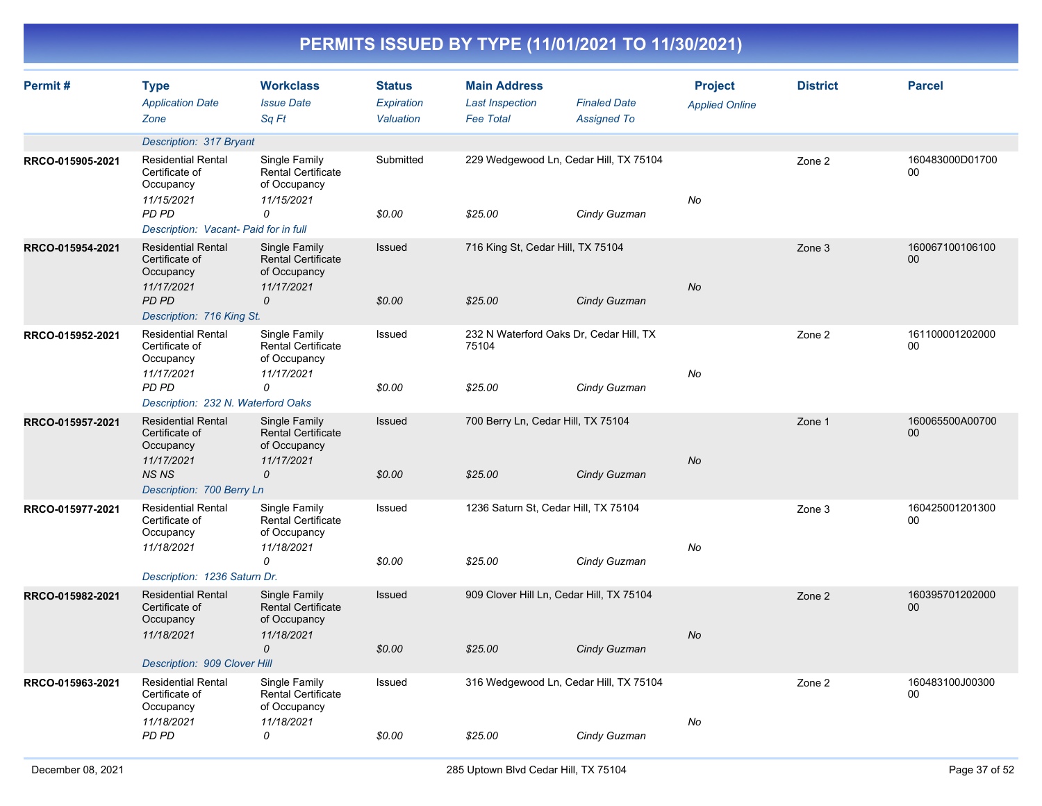| Permit#          | <b>Type</b><br><b>Application Date</b><br>Zone                         | <b>Workclass</b><br><b>Issue Date</b><br>Sq Ft                           | <b>Status</b><br>Expiration<br>Valuation | <b>Main Address</b><br><b>Last Inspection</b><br><b>Fee Total</b> | <b>Finaled Date</b><br><b>Assigned To</b> | <b>Project</b><br><b>Applied Online</b> | <b>District</b> | <b>Parcel</b>                     |
|------------------|------------------------------------------------------------------------|--------------------------------------------------------------------------|------------------------------------------|-------------------------------------------------------------------|-------------------------------------------|-----------------------------------------|-----------------|-----------------------------------|
|                  | Description: 317 Bryant                                                |                                                                          |                                          |                                                                   |                                           |                                         |                 |                                   |
| RRCO-015905-2021 | <b>Residential Rental</b><br>Certificate of<br>Occupancy<br>11/15/2021 | Single Family<br><b>Rental Certificate</b><br>of Occupancy<br>11/15/2021 | Submitted                                | 229 Wedgewood Ln, Cedar Hill, TX 75104                            |                                           | No                                      | Zone 2          | 160483000D01700<br>0 <sub>0</sub> |
|                  | PD PD<br>Description: Vacant- Paid for in full                         | 0                                                                        | \$0.00                                   | \$25.00                                                           | Cindy Guzman                              |                                         |                 |                                   |
| RRCO-015954-2021 | <b>Residential Rental</b><br>Certificate of<br>Occupancy<br>11/17/2021 | Single Family<br><b>Rental Certificate</b><br>of Occupancy<br>11/17/2021 | Issued                                   | 716 King St, Cedar Hill, TX 75104                                 |                                           | <b>No</b>                               | Zone 3          | 160067100106100<br>00             |
|                  | PD PD<br>Description: 716 King St.                                     | 0                                                                        | \$0.00                                   | \$25.00                                                           | Cindy Guzman                              |                                         |                 |                                   |
| RRCO-015952-2021 | <b>Residential Rental</b><br>Certificate of<br>Occupancy<br>11/17/2021 | Single Family<br><b>Rental Certificate</b><br>of Occupancy<br>11/17/2021 | Issued                                   | 232 N Waterford Oaks Dr, Cedar Hill, TX<br>75104                  |                                           | No                                      | Zone 2          | 161100001202000<br>00             |
|                  | PD PD<br>Description: 232 N. Waterford Oaks                            | 0                                                                        | \$0.00                                   | \$25.00                                                           | Cindy Guzman                              |                                         |                 |                                   |
| RRCO-015957-2021 | <b>Residential Rental</b><br>Certificate of<br>Occupancy               | Single Family<br><b>Rental Certificate</b><br>of Occupancy               | Issued                                   | 700 Berry Ln, Cedar Hill, TX 75104                                |                                           |                                         | Zone 1          | 160065500A00700<br>00             |
|                  | 11/17/2021<br><b>NSNS</b><br>Description: 700 Berry Ln                 | 11/17/2021<br>0                                                          | \$0.00                                   | \$25.00                                                           | Cindy Guzman                              | <b>No</b>                               |                 |                                   |
| RRCO-015977-2021 | <b>Residential Rental</b><br>Certificate of<br>Occupancy               | Single Family<br><b>Rental Certificate</b><br>of Occupancy               | Issued                                   | 1236 Saturn St, Cedar Hill, TX 75104                              |                                           |                                         | Zone 3          | 160425001201300<br>00             |
|                  | 11/18/2021<br>Description: 1236 Saturn Dr.                             | 11/18/2021<br>0                                                          | \$0.00                                   | \$25.00                                                           | Cindy Guzman                              | No                                      |                 |                                   |
| RRCO-015982-2021 | <b>Residential Rental</b><br>Certificate of<br>Occupancy               | Single Family<br><b>Rental Certificate</b><br>of Occupancy               | <b>Issued</b>                            | 909 Clover Hill Ln, Cedar Hill, TX 75104                          |                                           |                                         | Zone 2          | 160395701202000<br>00             |
|                  | 11/18/2021<br>Description: 909 Clover Hill                             | 11/18/2021<br>$\mathcal{O}$                                              | \$0.00                                   | \$25.00                                                           | Cindy Guzman                              | No                                      |                 |                                   |
| RRCO-015963-2021 | <b>Residential Rental</b><br>Certificate of<br>Occupancy               | Single Family<br><b>Rental Certificate</b><br>of Occupancy               | Issued                                   | 316 Wedgewood Ln, Cedar Hill, TX 75104                            |                                           |                                         | Zone 2          | 160483100J00300<br>00             |
|                  | 11/18/2021<br>PD PD                                                    | 11/18/2021<br>0                                                          | \$0.00                                   | \$25.00                                                           | Cindy Guzman                              | No                                      |                 |                                   |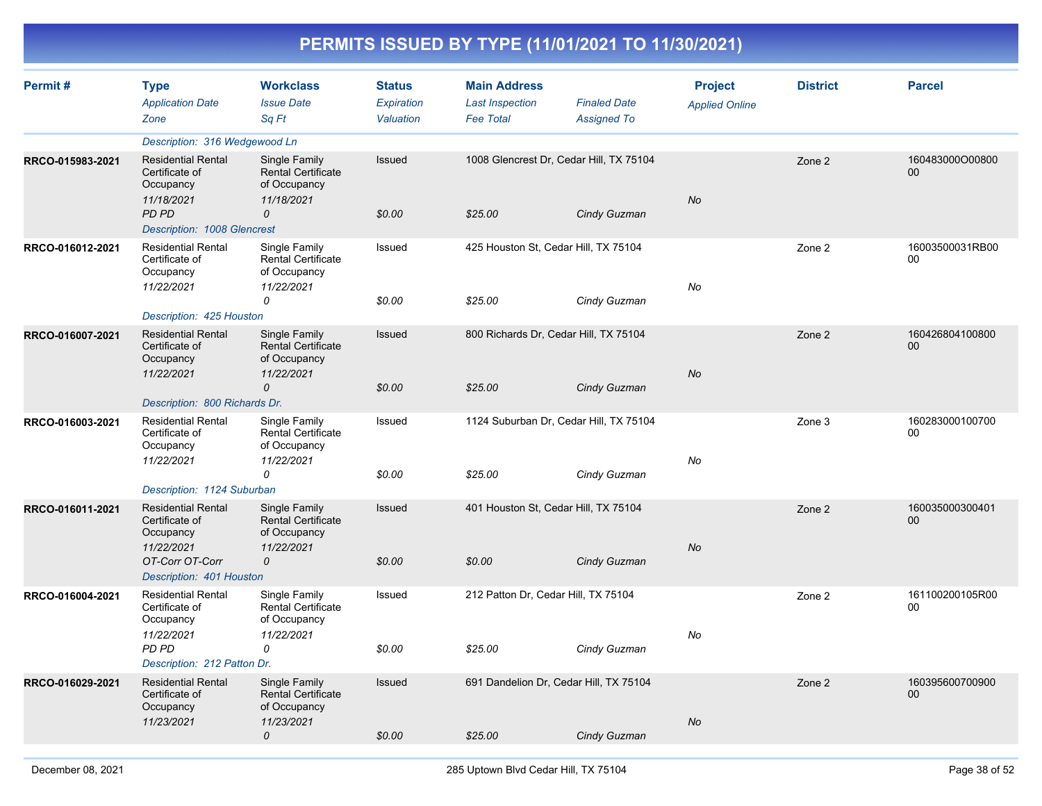| Permit#          | <b>Type</b><br><b>Application Date</b><br>Zone                         | <b>Workclass</b><br><b>Issue Date</b><br>Sq Ft                           | <b>Status</b><br>Expiration<br>Valuation | <b>Main Address</b><br><b>Last Inspection</b><br><b>Fee Total</b> | <b>Finaled Date</b><br><b>Assigned To</b> | <b>Project</b><br><b>Applied Online</b> | <b>District</b> | <b>Parcel</b>             |
|------------------|------------------------------------------------------------------------|--------------------------------------------------------------------------|------------------------------------------|-------------------------------------------------------------------|-------------------------------------------|-----------------------------------------|-----------------|---------------------------|
|                  | Description: 316 Wedgewood Ln                                          |                                                                          |                                          |                                                                   |                                           |                                         |                 |                           |
| RRCO-015983-2021 | <b>Residential Rental</b><br>Certificate of<br>Occupancy<br>11/18/2021 | Single Family<br><b>Rental Certificate</b><br>of Occupancy<br>11/18/2021 | Issued                                   |                                                                   | 1008 Glencrest Dr, Cedar Hill, TX 75104   | <b>No</b>                               | Zone 2          | 160483000O00800<br>00     |
|                  | PD PD<br>Description: 1008 Glencrest                                   | 0                                                                        | \$0.00                                   | \$25.00                                                           | Cindy Guzman                              |                                         |                 |                           |
| RRCO-016012-2021 | <b>Residential Rental</b><br>Certificate of<br>Occupancy<br>11/22/2021 | Single Family<br><b>Rental Certificate</b><br>of Occupancy<br>11/22/2021 | Issued                                   |                                                                   | 425 Houston St, Cedar Hill, TX 75104      | No                                      | Zone 2          | 16003500031RB00<br>00     |
|                  | Description: 425 Houston                                               | 0                                                                        | \$0.00                                   | \$25.00                                                           | Cindy Guzman                              |                                         |                 |                           |
| RRCO-016007-2021 | <b>Residential Rental</b><br>Certificate of<br>Occupancy<br>11/22/2021 | Single Family<br><b>Rental Certificate</b><br>of Occupancy<br>11/22/2021 | Issued                                   |                                                                   | 800 Richards Dr, Cedar Hill, TX 75104     | <b>No</b>                               | Zone 2          | 160426804100800<br>00     |
|                  | Description: 800 Richards Dr.                                          | 0                                                                        | \$0.00                                   | \$25.00                                                           | Cindy Guzman                              |                                         |                 |                           |
| RRCO-016003-2021 | <b>Residential Rental</b><br>Certificate of<br>Occupancy<br>11/22/2021 | Single Family<br><b>Rental Certificate</b><br>of Occupancy<br>11/22/2021 | Issued                                   |                                                                   | 1124 Suburban Dr, Cedar Hill, TX 75104    | No                                      | Zone 3          | 160283000100700<br>00     |
|                  | Description: 1124 Suburban                                             | 0                                                                        | \$0.00                                   | \$25.00                                                           | Cindy Guzman                              |                                         |                 |                           |
| RRCO-016011-2021 | <b>Residential Rental</b><br>Certificate of<br>Occupancy               | Single Family<br><b>Rental Certificate</b><br>of Occupancy               | Issued                                   |                                                                   | 401 Houston St, Cedar Hill, TX 75104      |                                         | Zone 2          | 160035000300401<br>00     |
|                  | 11/22/2021<br>OT-Corr OT-Corr<br>Description: 401 Houston              | 11/22/2021<br>0                                                          | \$0.00                                   | \$0.00                                                            | Cindy Guzman                              | No                                      |                 |                           |
| RRCO-016004-2021 | <b>Residential Rental</b><br>Certificate of<br>Occupancy<br>11/22/2021 | Single Family<br><b>Rental Certificate</b><br>of Occupancy<br>11/22/2021 | Issued                                   | 212 Patton Dr, Cedar Hill, TX 75104                               |                                           | No                                      | Zone 2          | 161100200105R00<br>00     |
|                  | PD PD<br>Description: 212 Patton Dr.                                   | 0                                                                        | \$0.00                                   | \$25.00                                                           | Cindy Guzman                              |                                         |                 |                           |
| RRCO-016029-2021 | <b>Residential Rental</b><br>Certificate of<br>Occupancy               | Single Family<br><b>Rental Certificate</b><br>of Occupancy               | Issued                                   |                                                                   | 691 Dandelion Dr, Cedar Hill, TX 75104    |                                         | Zone 2          | 160395600700900<br>$00\,$ |
|                  | 11/23/2021                                                             | 11/23/2021<br>0                                                          | \$0.00                                   | \$25.00                                                           | Cindy Guzman                              | No                                      |                 |                           |
|                  |                                                                        |                                                                          |                                          |                                                                   |                                           |                                         |                 |                           |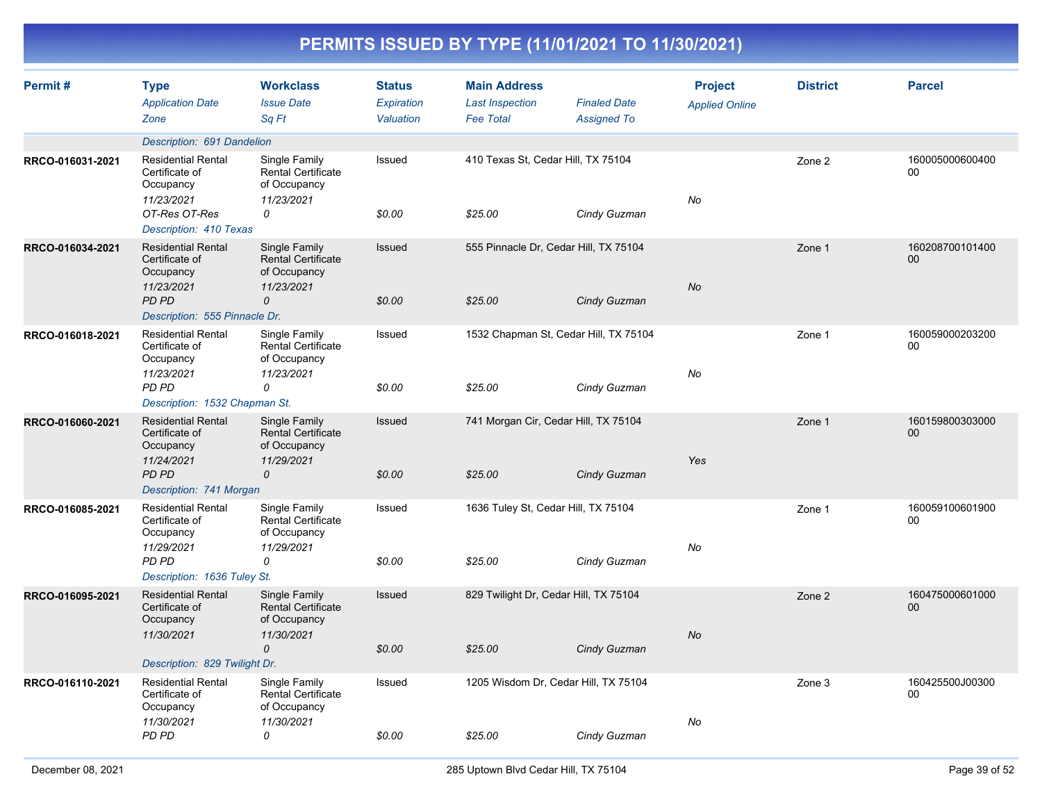| Permit#          | <b>Type</b><br><b>Application Date</b><br>Zone                         | <b>Workclass</b><br><b>Issue Date</b><br>Sq Ft                           | <b>Status</b><br>Expiration<br>Valuation | <b>Main Address</b><br><b>Last Inspection</b><br><b>Fee Total</b> | <b>Finaled Date</b><br><b>Assigned To</b> | <b>Project</b><br><b>Applied Online</b> | <b>District</b> | <b>Parcel</b>         |
|------------------|------------------------------------------------------------------------|--------------------------------------------------------------------------|------------------------------------------|-------------------------------------------------------------------|-------------------------------------------|-----------------------------------------|-----------------|-----------------------|
|                  | Description: 691 Dandelion                                             |                                                                          |                                          |                                                                   |                                           |                                         |                 |                       |
| RRCO-016031-2021 | <b>Residential Rental</b><br>Certificate of<br>Occupancy<br>11/23/2021 | Single Family<br>Rental Certificate<br>of Occupancy<br>11/23/2021        | Issued                                   | 410 Texas St, Cedar Hill, TX 75104                                |                                           | No                                      | Zone 2          | 160005000600400<br>00 |
|                  | OT-Res OT-Res<br>Description: 410 Texas                                | 0                                                                        | \$0.00                                   | \$25.00                                                           | Cindy Guzman                              |                                         |                 |                       |
| RRCO-016034-2021 | <b>Residential Rental</b><br>Certificate of<br>Occupancy<br>11/23/2021 | Single Family<br><b>Rental Certificate</b><br>of Occupancy<br>11/23/2021 | Issued                                   | 555 Pinnacle Dr, Cedar Hill, TX 75104                             |                                           | No                                      | Zone 1          | 160208700101400<br>00 |
|                  | <b>PD PD</b><br>Description: 555 Pinnacle Dr.                          | $\Omega$                                                                 | \$0.00                                   | \$25.00                                                           | Cindy Guzman                              |                                         |                 |                       |
| RRCO-016018-2021 | <b>Residential Rental</b><br>Certificate of<br>Occupancy<br>11/23/2021 | Single Family<br><b>Rental Certificate</b><br>of Occupancy<br>11/23/2021 | Issued                                   | 1532 Chapman St, Cedar Hill, TX 75104                             |                                           | No                                      | Zone 1          | 160059000203200<br>00 |
|                  | PD PD<br>Description: 1532 Chapman St.                                 | 0                                                                        | \$0.00                                   | \$25.00                                                           | Cindy Guzman                              |                                         |                 |                       |
| RRCO-016060-2021 | <b>Residential Rental</b><br>Certificate of<br>Occupancy<br>11/24/2021 | Single Family<br><b>Rental Certificate</b><br>of Occupancy<br>11/29/2021 | Issued                                   | 741 Morgan Cir, Cedar Hill, TX 75104                              |                                           | Yes                                     | Zone 1          | 160159800303000<br>00 |
|                  | <b>PD PD</b><br>Description: 741 Morgan                                | 0                                                                        | \$0.00                                   | \$25.00                                                           | Cindy Guzman                              |                                         |                 |                       |
| RRCO-016085-2021 | <b>Residential Rental</b><br>Certificate of<br>Occupancy               | Single Family<br><b>Rental Certificate</b><br>of Occupancy               | Issued                                   | 1636 Tuley St, Cedar Hill, TX 75104                               |                                           |                                         | Zone 1          | 160059100601900<br>00 |
|                  | 11/29/2021<br>PD PD<br>Description: 1636 Tuley St.                     | 11/29/2021<br>0                                                          | \$0.00                                   | \$25.00                                                           | Cindy Guzman                              | No                                      |                 |                       |
| RRCO-016095-2021 | <b>Residential Rental</b><br>Certificate of<br>Occupancy               | Single Family<br><b>Rental Certificate</b><br>of Occupancy               | Issued                                   | 829 Twilight Dr, Cedar Hill, TX 75104                             |                                           |                                         | Zone 2          | 160475000601000<br>00 |
|                  | 11/30/2021<br>Description: 829 Twilight Dr.                            | 11/30/2021<br>$\mathcal{O}$                                              | \$0.00                                   | \$25.00                                                           | Cindy Guzman                              | No                                      |                 |                       |
| RRCO-016110-2021 | <b>Residential Rental</b><br>Certificate of<br>Occupancy               | Single Family<br>Rental Certificate<br>of Occupancy                      | Issued                                   | 1205 Wisdom Dr, Cedar Hill, TX 75104                              |                                           |                                         | Zone 3          | 160425500J00300<br>00 |
|                  | 11/30/2021<br>PD PD                                                    | 11/30/2021<br>0                                                          | \$0.00                                   | \$25.00                                                           | Cindy Guzman                              | No                                      |                 |                       |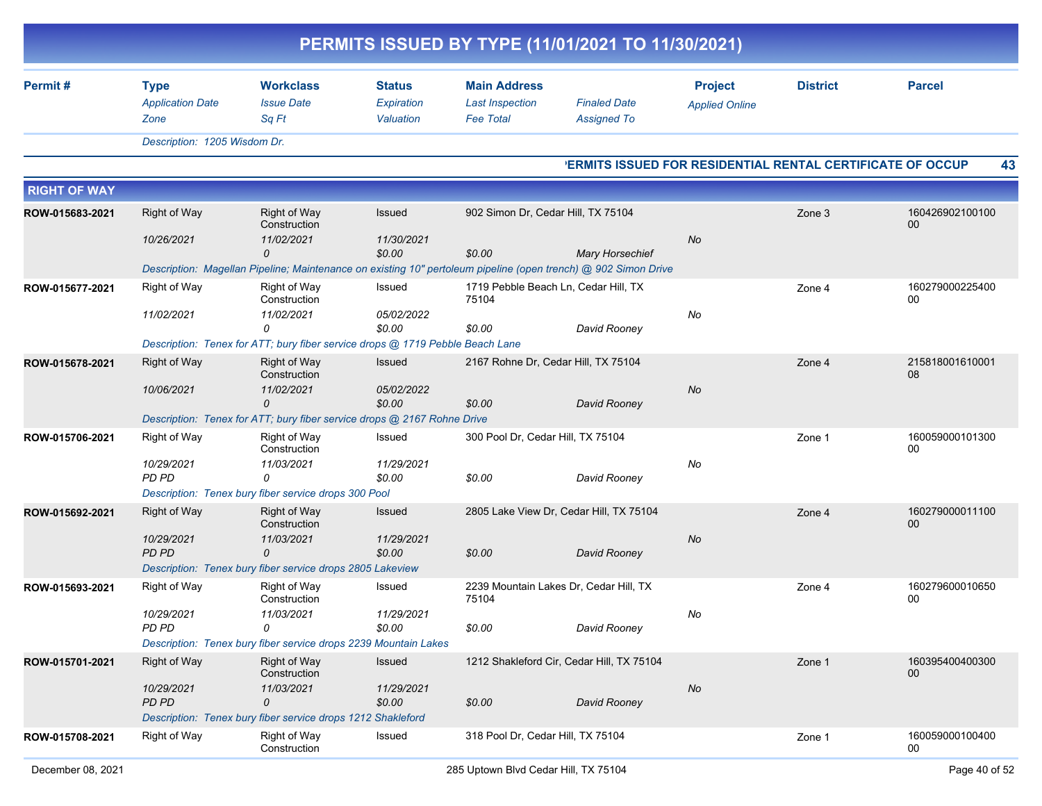| PERMITS ISSUED BY TYPE (11/01/2021 TO 11/30/2021) |                                                |                                                                               |                                          |                                                                   |                                                                                                                                          |                                                                   |                 |                       |  |  |
|---------------------------------------------------|------------------------------------------------|-------------------------------------------------------------------------------|------------------------------------------|-------------------------------------------------------------------|------------------------------------------------------------------------------------------------------------------------------------------|-------------------------------------------------------------------|-----------------|-----------------------|--|--|
| Permit#                                           | <b>Type</b><br><b>Application Date</b><br>Zone | <b>Workclass</b><br><b>Issue Date</b><br>Sq Ft                                | <b>Status</b><br>Expiration<br>Valuation | <b>Main Address</b><br><b>Last Inspection</b><br><b>Fee Total</b> | <b>Finaled Date</b><br><b>Assigned To</b>                                                                                                | <b>Project</b><br><b>Applied Online</b>                           | <b>District</b> | <b>Parcel</b>         |  |  |
|                                                   | Description: 1205 Wisdom Dr.                   |                                                                               |                                          |                                                                   |                                                                                                                                          |                                                                   |                 |                       |  |  |
|                                                   |                                                |                                                                               |                                          |                                                                   |                                                                                                                                          | <b>'ERMITS ISSUED FOR RESIDENTIAL RENTAL CERTIFICATE OF OCCUP</b> |                 | 43                    |  |  |
| <b>RIGHT OF WAY</b>                               |                                                |                                                                               |                                          |                                                                   |                                                                                                                                          |                                                                   |                 |                       |  |  |
| ROW-015683-2021                                   | <b>Right of Way</b>                            | <b>Right of Way</b><br>Construction                                           | Issued                                   | 902 Simon Dr, Cedar Hill, TX 75104                                |                                                                                                                                          |                                                                   | Zone 3          | 160426902100100<br>00 |  |  |
|                                                   | 10/26/2021                                     | 11/02/2021                                                                    | 11/30/2021                               |                                                                   |                                                                                                                                          | No                                                                |                 |                       |  |  |
|                                                   |                                                | $\Omega$                                                                      | \$0.00                                   | \$0.00                                                            | <b>Mary Horsechief</b><br>Description: Magellan Pipeline; Maintenance on existing 10" pertoleum pipeline (open trench) @ 902 Simon Drive |                                                                   |                 |                       |  |  |
| ROW-015677-2021                                   | Right of Way                                   | Right of Way<br>Construction                                                  | Issued                                   | 75104                                                             | 1719 Pebble Beach Ln, Cedar Hill, TX                                                                                                     |                                                                   | Zone 4          | 160279000225400<br>00 |  |  |
|                                                   | 11/02/2021                                     | 11/02/2021<br>$\Omega$                                                        | 05/02/2022<br>\$0.00                     | \$0.00                                                            | David Rooney                                                                                                                             | No                                                                |                 |                       |  |  |
|                                                   |                                                | Description: Tenex for ATT; bury fiber service drops @ 1719 Pebble Beach Lane |                                          |                                                                   |                                                                                                                                          |                                                                   |                 |                       |  |  |
| ROW-015678-2021                                   | <b>Right of Way</b>                            | <b>Right of Way</b><br>Construction                                           | Issued                                   |                                                                   | 2167 Rohne Dr, Cedar Hill, TX 75104                                                                                                      |                                                                   | Zone 4          | 215818001610001<br>08 |  |  |
|                                                   | 10/06/2021                                     | 11/02/2021<br>$\Omega$                                                        | 05/02/2022<br>\$0.00                     | \$0.00                                                            | David Rooney                                                                                                                             | No                                                                |                 |                       |  |  |
|                                                   |                                                | Description: Tenex for ATT; bury fiber service drops @ 2167 Rohne Drive       |                                          |                                                                   |                                                                                                                                          |                                                                   |                 |                       |  |  |
| ROW-015706-2021                                   | Right of Way                                   | Right of Way<br>Construction                                                  | Issued                                   | 300 Pool Dr, Cedar Hill, TX 75104                                 |                                                                                                                                          |                                                                   | Zone 1          | 160059000101300<br>00 |  |  |
|                                                   | 10/29/2021                                     | 11/03/2021                                                                    | 11/29/2021                               |                                                                   |                                                                                                                                          | No                                                                |                 |                       |  |  |
|                                                   | PD PD                                          | $\Omega$<br>Description: Tenex bury fiber service drops 300 Pool              | \$0.00                                   | \$0.00                                                            | David Rooney                                                                                                                             |                                                                   |                 |                       |  |  |
| ROW-015692-2021                                   | <b>Right of Way</b>                            | <b>Right of Way</b>                                                           | Issued                                   |                                                                   | 2805 Lake View Dr, Cedar Hill, TX 75104                                                                                                  |                                                                   | Zone 4          | 160279000011100       |  |  |
|                                                   |                                                | Construction                                                                  |                                          |                                                                   |                                                                                                                                          |                                                                   |                 | 00                    |  |  |
|                                                   | 10/29/2021<br>PD PD                            | 11/03/2021<br>$\Omega$                                                        | 11/29/2021<br>\$0.00                     | \$0.00                                                            | David Rooney                                                                                                                             | No                                                                |                 |                       |  |  |
|                                                   |                                                | Description: Tenex bury fiber service drops 2805 Lakeview                     |                                          |                                                                   |                                                                                                                                          |                                                                   |                 |                       |  |  |
| ROW-015693-2021                                   | <b>Right of Way</b>                            | Right of Way<br>Construction                                                  | Issued                                   | 75104                                                             | 2239 Mountain Lakes Dr, Cedar Hill, TX                                                                                                   |                                                                   | Zone 4          | 160279600010650<br>00 |  |  |
|                                                   | 10/29/2021                                     | 11/03/2021                                                                    | 11/29/2021                               |                                                                   |                                                                                                                                          | No                                                                |                 |                       |  |  |
|                                                   | PD PD                                          | 0<br>Description: Tenex bury fiber service drops 2239 Mountain Lakes          | \$0.00                                   | \$0.00                                                            | David Rooney                                                                                                                             |                                                                   |                 |                       |  |  |
| ROW-015701-2021                                   | Right of Way                                   | <b>Right of Way</b>                                                           | Issued                                   |                                                                   | 1212 Shakleford Cir, Cedar Hill, TX 75104                                                                                                |                                                                   | Zone 1          | 160395400400300       |  |  |
|                                                   |                                                | Construction                                                                  |                                          |                                                                   |                                                                                                                                          |                                                                   |                 | 00                    |  |  |
|                                                   | 10/29/2021                                     | 11/03/2021                                                                    | 11/29/2021                               |                                                                   |                                                                                                                                          | No                                                                |                 |                       |  |  |
|                                                   | PD PD                                          | 0<br>Description: Tenex bury fiber service drops 1212 Shakleford              | \$0.00                                   | \$0.00                                                            | David Rooney                                                                                                                             |                                                                   |                 |                       |  |  |
| ROW-015708-2021                                   | Right of Way                                   | Right of Way<br>Construction                                                  | Issued                                   | 318 Pool Dr, Cedar Hill, TX 75104                                 |                                                                                                                                          |                                                                   | Zone 1          | 160059000100400<br>00 |  |  |
|                                                   |                                                |                                                                               |                                          |                                                                   |                                                                                                                                          |                                                                   |                 |                       |  |  |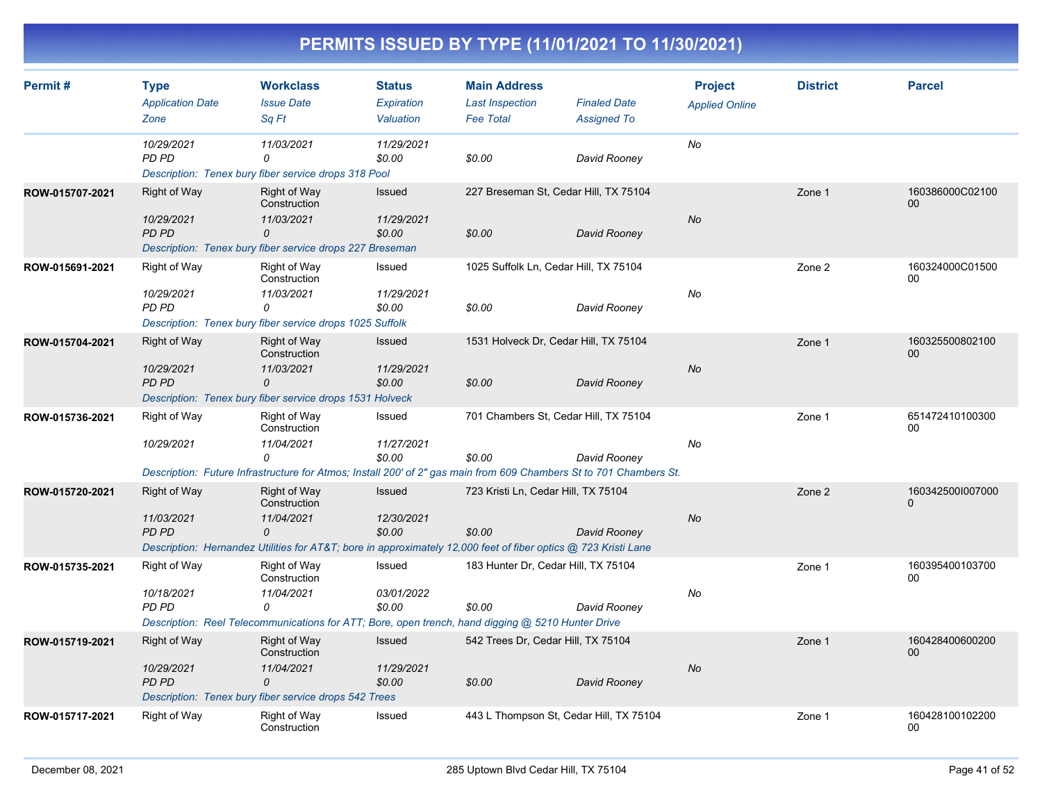| Permit#         | <b>Type</b><br><b>Application Date</b>            | <b>Workclass</b><br><b>Issue Date</b>                                                                                                                                   | <b>Status</b><br><b>Expiration</b>    | <b>Main Address</b><br><b>Last Inspection</b>   | <b>Finaled Date</b> | <b>Project</b>        | <b>District</b> | <b>Parcel</b>                |
|-----------------|---------------------------------------------------|-------------------------------------------------------------------------------------------------------------------------------------------------------------------------|---------------------------------------|-------------------------------------------------|---------------------|-----------------------|-----------------|------------------------------|
|                 | Zone                                              | Sq Ft                                                                                                                                                                   | Valuation                             | <b>Fee Total</b>                                | <b>Assigned To</b>  | <b>Applied Online</b> |                 |                              |
|                 | 10/29/2021<br>PD PD                               | 11/03/2021<br>0<br>Description: Tenex bury fiber service drops 318 Pool                                                                                                 | 11/29/2021<br>\$0.00                  | \$0.00                                          | David Rooney        | No                    |                 |                              |
| ROW-015707-2021 | Right of Way<br>10/29/2021<br>PD PD               | <b>Right of Way</b><br>Construction<br>11/03/2021<br>0<br>Description: Tenex bury fiber service drops 227 Breseman                                                      | <b>Issued</b><br>11/29/2021<br>\$0.00 | 227 Breseman St, Cedar Hill, TX 75104<br>\$0.00 | David Rooney        | No                    | Zone 1          | 160386000C02100<br>$00\,$    |
| ROW-015691-2021 | Right of Way<br>10/29/2021<br>PD PD               | Right of Way<br>Construction<br>11/03/2021<br>0<br>Description: Tenex bury fiber service drops 1025 Suffolk                                                             | Issued<br>11/29/2021<br>\$0.00        | 1025 Suffolk Ln, Cedar Hill, TX 75104<br>\$0.00 | David Rooney        | No                    | Zone 2          | 160324000C01500<br>$00\,$    |
| ROW-015704-2021 | <b>Right of Way</b><br>10/29/2021<br><b>PD PD</b> | <b>Right of Way</b><br>Construction<br>11/03/2021<br>0<br>Description: Tenex bury fiber service drops 1531 Holveck                                                      | <b>Issued</b><br>11/29/2021<br>\$0.00 | 1531 Holveck Dr, Cedar Hill, TX 75104<br>\$0.00 | David Rooney        | No                    | Zone 1          | 160325500802100<br>00        |
| ROW-015736-2021 | Right of Way<br>10/29/2021                        | Right of Way<br>Construction<br>11/04/2021<br>0<br>Description: Future Infrastructure for Atmos; Install 200' of 2" gas main from 609 Chambers St to 701 Chambers St.   | Issued<br>11/27/2021<br>\$0.00        | 701 Chambers St, Cedar Hill, TX 75104<br>\$0.00 | David Rooney        | No                    | Zone 1          | 651472410100300<br>00        |
| ROW-015720-2021 | <b>Right of Way</b><br>11/03/2021<br><b>PD PD</b> | <b>Right of Way</b><br>Construction<br>11/04/2021<br>0<br>Description: Hernandez Utilities for AT&T bore in approximately 12,000 feet of fiber optics @ 723 Kristi Lane | Issued<br>12/30/2021<br>\$0.00        | 723 Kristi Ln, Cedar Hill, TX 75104<br>\$0.00   | David Rooney        | No                    | Zone 2          | 1603425001007000<br>$\Omega$ |
| ROW-015735-2021 | Right of Way<br>10/18/2021<br>PD PD               | Right of Way<br>Construction<br>11/04/2021<br>0<br>Description: Reel Telecommunications for ATT; Bore, open trench, hand digging @ 5210 Hunter Drive                    | Issued<br>03/01/2022<br>\$0.00        | 183 Hunter Dr, Cedar Hill, TX 75104<br>\$0.00   | David Rooney        | No                    | Zone 1          | 160395400103700<br>00        |
| ROW-015719-2021 | Right of Way<br>10/29/2021<br>PD PD               | <b>Right of Way</b><br>Construction<br>11/04/2021<br>0<br>Description: Tenex bury fiber service drops 542 Trees                                                         | Issued<br>11/29/2021<br>\$0.00        | 542 Trees Dr, Cedar Hill, TX 75104<br>\$0.00    | David Rooney        | <b>No</b>             | Zone 1          | 160428400600200<br>00        |
| ROW-015717-2021 | Right of Way                                      | Right of Way<br>Construction                                                                                                                                            | Issued                                | 443 L Thompson St, Cedar Hill, TX 75104         |                     |                       | Zone 1          | 160428100102200<br>00        |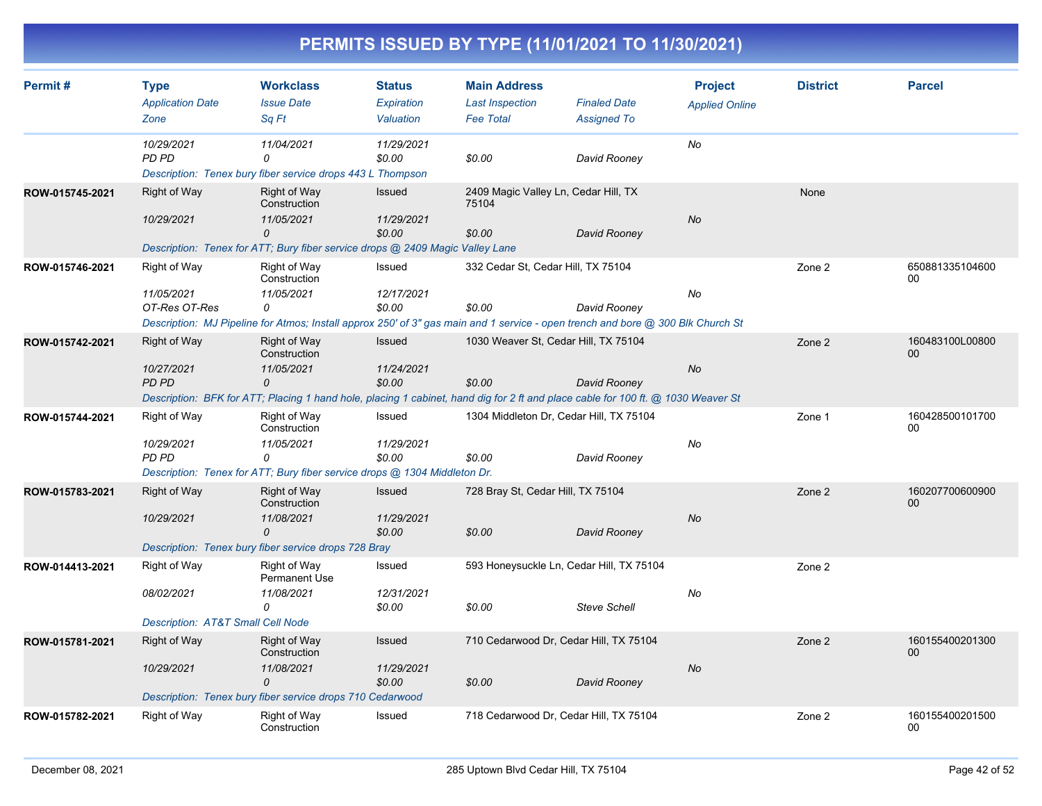| Permit#         | <b>Type</b><br><b>Application Date</b> | <b>Workclass</b><br><b>Issue Date</b>                                                                                            | <b>Status</b><br>Expiration | <b>Main Address</b><br><b>Last Inspection</b> | <b>Finaled Date</b> | <b>Project</b><br><b>Applied Online</b> | <b>District</b> | <b>Parcel</b>             |
|-----------------|----------------------------------------|----------------------------------------------------------------------------------------------------------------------------------|-----------------------------|-----------------------------------------------|---------------------|-----------------------------------------|-----------------|---------------------------|
|                 | Zone                                   | Sa Ft                                                                                                                            | Valuation                   | <b>Fee Total</b>                              | <b>Assigned To</b>  |                                         |                 |                           |
|                 | 10/29/2021<br><b>PD PD</b>             | 11/04/2021<br>$\Omega$<br>Description: Tenex bury fiber service drops 443 L Thompson                                             | 11/29/2021<br>\$0.00        | \$0.00                                        | David Rooney        | No                                      |                 |                           |
| ROW-015745-2021 | Right of Way                           | <b>Right of Way</b><br>Construction                                                                                              | Issued                      | 2409 Magic Valley Ln, Cedar Hill, TX<br>75104 |                     |                                         | None            |                           |
|                 | 10/29/2021                             | 11/05/2021<br>0                                                                                                                  | 11/29/2021<br>\$0.00        | \$0.00                                        | David Rooney        | No                                      |                 |                           |
|                 |                                        | Description: Tenex for ATT; Bury fiber service drops @ 2409 Magic Valley Lane                                                    |                             |                                               |                     |                                         |                 |                           |
| ROW-015746-2021 | Right of Way                           | Right of Way<br>Construction                                                                                                     | Issued                      | 332 Cedar St, Cedar Hill, TX 75104            |                     |                                         | Zone 2          | 650881335104600<br>00     |
|                 | 11/05/2021                             | 11/05/2021                                                                                                                       | 12/17/2021                  |                                               |                     | No                                      |                 |                           |
|                 | OT-Res OT-Res                          | 0                                                                                                                                | \$0.00                      | \$0.00                                        | David Rooney        |                                         |                 |                           |
|                 |                                        | Description: MJ Pipeline for Atmos; Install approx 250' of 3" gas main and 1 service - open trench and bore @ 300 Blk Church St  |                             |                                               |                     |                                         |                 |                           |
| ROW-015742-2021 | Right of Way                           | <b>Right of Way</b><br>Construction                                                                                              | <b>Issued</b>               | 1030 Weaver St, Cedar Hill, TX 75104          |                     |                                         | Zone 2          | 160483100L00800<br>00     |
|                 | 10/27/2021                             | 11/05/2021                                                                                                                       | 11/24/2021                  |                                               |                     | No                                      |                 |                           |
|                 | <b>PD PD</b>                           | 0                                                                                                                                | \$0.00                      | \$0.00                                        | David Rooney        |                                         |                 |                           |
|                 |                                        | Description: BFK for ATT; Placing 1 hand hole, placing 1 cabinet, hand dig for 2 ft and place cable for 100 ft. @ 1030 Weaver St |                             |                                               |                     |                                         |                 |                           |
| ROW-015744-2021 | Right of Way                           | Right of Way<br>Construction                                                                                                     | Issued                      | 1304 Middleton Dr. Cedar Hill, TX 75104       |                     |                                         | Zone 1          | 160428500101700<br>00     |
|                 | 10/29/2021<br>PD PD                    | 11/05/2021<br>0                                                                                                                  | 11/29/2021<br>\$0.00        |                                               |                     | No                                      |                 |                           |
|                 |                                        | Description: Tenex for ATT; Bury fiber service drops @ 1304 Middleton Dr.                                                        |                             | \$0.00                                        | David Rooney        |                                         |                 |                           |
|                 |                                        |                                                                                                                                  |                             |                                               |                     |                                         |                 |                           |
| ROW-015783-2021 | <b>Right of Way</b>                    | <b>Right of Way</b><br>Construction                                                                                              | <b>Issued</b>               | 728 Bray St, Cedar Hill, TX 75104             |                     |                                         | Zone 2          | 160207700600900<br>$00\,$ |
|                 | 10/29/2021                             | 11/08/2021<br>0                                                                                                                  | 11/29/2021<br>\$0.00        | \$0.00                                        | David Rooney        | No                                      |                 |                           |
|                 |                                        | Description: Tenex bury fiber service drops 728 Bray                                                                             |                             |                                               |                     |                                         |                 |                           |
|                 |                                        | Right of Way                                                                                                                     | Issued                      | 593 Honeysuckle Ln, Cedar Hill, TX 75104      |                     |                                         | Zone 2          |                           |
| ROW-014413-2021 | Right of Way                           | Permanent Use                                                                                                                    |                             |                                               |                     |                                         |                 |                           |
|                 | 08/02/2021                             | 11/08/2021<br>0                                                                                                                  | 12/31/2021<br>\$0.00        | \$0.00                                        | <b>Steve Schell</b> | No                                      |                 |                           |
|                 | Description: AT&T Small Cell Node      |                                                                                                                                  |                             |                                               |                     |                                         |                 |                           |
| ROW-015781-2021 | <b>Right of Way</b>                    | <b>Right of Way</b><br>Construction                                                                                              | <b>Issued</b>               | 710 Cedarwood Dr, Cedar Hill, TX 75104        |                     |                                         | Zone 2          | 160155400201300<br>$00\,$ |
|                 | 10/29/2021                             | 11/08/2021                                                                                                                       | 11/29/2021                  |                                               |                     | No                                      |                 |                           |
|                 |                                        | 0<br>Description: Tenex bury fiber service drops 710 Cedarwood                                                                   | \$0.00                      | \$0.00                                        | David Rooney        |                                         |                 |                           |
|                 |                                        |                                                                                                                                  |                             |                                               |                     |                                         |                 |                           |
| ROW-015782-2021 | Right of Way                           | Right of Way<br>Construction                                                                                                     | Issued                      | 718 Cedarwood Dr, Cedar Hill, TX 75104        |                     |                                         | Zone 2          | 160155400201500<br>00     |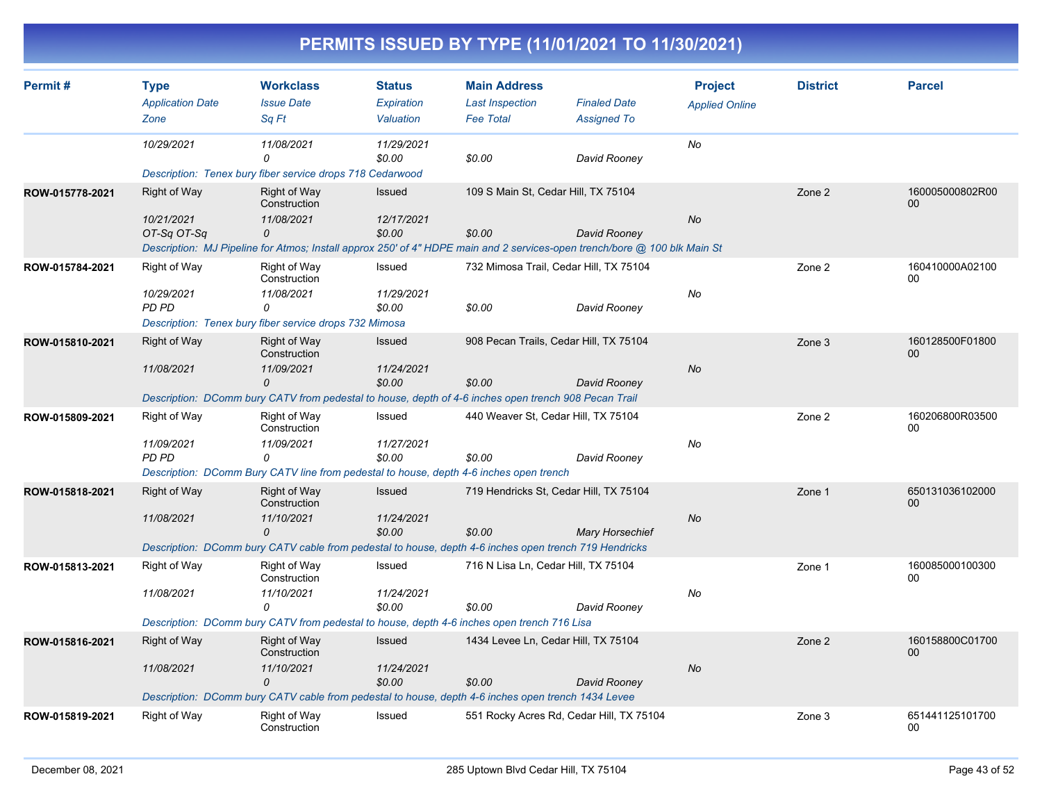| Permit#         | <b>Type</b>                | <b>Workclass</b>                                                                                                          | <b>Status</b>        | <b>Main Address</b>                      |                        | <b>Project</b>        | <b>District</b> | <b>Parcel</b>             |
|-----------------|----------------------------|---------------------------------------------------------------------------------------------------------------------------|----------------------|------------------------------------------|------------------------|-----------------------|-----------------|---------------------------|
|                 | <b>Application Date</b>    | <b>Issue Date</b>                                                                                                         | Expiration           | <b>Last Inspection</b>                   | <b>Finaled Date</b>    | <b>Applied Online</b> |                 |                           |
|                 | Zone                       | Sq Ft                                                                                                                     | Valuation            | <b>Fee Total</b>                         | <b>Assigned To</b>     |                       |                 |                           |
|                 | 10/29/2021                 | 11/08/2021<br>$\Omega$                                                                                                    | 11/29/2021<br>\$0.00 | \$0.00                                   | David Rooney           | No                    |                 |                           |
|                 |                            | Description: Tenex bury fiber service drops 718 Cedarwood                                                                 |                      |                                          |                        |                       |                 |                           |
| ROW-015778-2021 | <b>Right of Way</b>        | <b>Right of Way</b><br>Construction                                                                                       | Issued               | 109 S Main St, Cedar Hill, TX 75104      |                        |                       | Zone 2          | 160005000802R00<br>$00\,$ |
|                 | 10/21/2021<br>OT-Sq OT-Sq  | 11/08/2021<br>0                                                                                                           | 12/17/2021<br>\$0.00 | \$0.00                                   | David Rooney           | <b>No</b>             |                 |                           |
|                 |                            | Description: MJ Pipeline for Atmos; Install approx 250' of 4" HDPE main and 2 services-open trench/bore @ 100 blk Main St |                      |                                          |                        |                       |                 |                           |
| ROW-015784-2021 | Right of Way               | Right of Way<br>Construction                                                                                              | Issued               | 732 Mimosa Trail, Cedar Hill, TX 75104   |                        |                       | Zone 2          | 160410000A02100<br>00     |
|                 | 10/29/2021<br><b>PD PD</b> | 11/08/2021<br>0                                                                                                           | 11/29/2021<br>\$0.00 |                                          |                        | No                    |                 |                           |
|                 |                            | Description: Tenex bury fiber service drops 732 Mimosa                                                                    |                      | \$0.00                                   | David Rooney           |                       |                 |                           |
| ROW-015810-2021 | <b>Right of Way</b>        | <b>Right of Way</b><br>Construction                                                                                       | <b>Issued</b>        | 908 Pecan Trails, Cedar Hill, TX 75104   |                        |                       | Zone 3          | 160128500F01800<br>00     |
|                 | 11/08/2021                 | 11/09/2021<br>$\Omega$                                                                                                    | 11/24/2021<br>\$0.00 | \$0.00                                   | David Rooney           | <b>No</b>             |                 |                           |
|                 |                            | Description: DComm bury CATV from pedestal to house, depth of 4-6 inches open trench 908 Pecan Trail                      |                      |                                          |                        |                       |                 |                           |
| ROW-015809-2021 | Right of Way               | Right of Way<br>Construction                                                                                              | Issued               | 440 Weaver St, Cedar Hill, TX 75104      |                        |                       | Zone 2          | 160206800R03500<br>00     |
|                 | 11/09/2021<br><b>PD PD</b> | 11/09/2021<br>0                                                                                                           | 11/27/2021<br>\$0.00 | \$0.00                                   | David Rooney           | No                    |                 |                           |
|                 |                            | Description: DComm Bury CATV line from pedestal to house, depth 4-6 inches open trench                                    |                      |                                          |                        |                       |                 |                           |
| ROW-015818-2021 | <b>Right of Way</b>        | <b>Right of Way</b><br>Construction                                                                                       | Issued               | 719 Hendricks St, Cedar Hill, TX 75104   |                        |                       | Zone 1          | 650131036102000<br>$00\,$ |
|                 | 11/08/2021                 | 11/10/2021<br>0                                                                                                           | 11/24/2021<br>\$0.00 | \$0.00                                   | <b>Mary Horsechief</b> | <b>No</b>             |                 |                           |
|                 |                            | Description: DComm bury CATV cable from pedestal to house, depth 4-6 inches open trench 719 Hendricks                     |                      |                                          |                        |                       |                 |                           |
| ROW-015813-2021 | <b>Right of Way</b>        | <b>Right of Way</b><br>Construction                                                                                       | Issued               | 716 N Lisa Ln, Cedar Hill, TX 75104      |                        |                       | Zone 1          | 160085000100300<br>$00\,$ |
|                 | 11/08/2021                 | 11/10/2021<br>0                                                                                                           | 11/24/2021<br>\$0.00 | \$0.00                                   | David Rooney           | No                    |                 |                           |
|                 |                            | Description: DComm bury CATV from pedestal to house, depth 4-6 inches open trench 716 Lisa                                |                      |                                          |                        |                       |                 |                           |
| ROW-015816-2021 | Right of Way               | <b>Right of Way</b><br>Construction                                                                                       | Issued               | 1434 Levee Ln, Cedar Hill, TX 75104      |                        |                       | Zone 2          | 160158800C01700<br>00     |
|                 | 11/08/2021                 | 11/10/2021<br>0                                                                                                           | 11/24/2021<br>\$0.00 | \$0.00                                   | David Rooney           | No                    |                 |                           |
|                 |                            | Description: DComm bury CATV cable from pedestal to house, depth 4-6 inches open trench 1434 Levee                        |                      |                                          |                        |                       |                 |                           |
| ROW-015819-2021 | <b>Right of Way</b>        | Right of Way<br>Construction                                                                                              | Issued               | 551 Rocky Acres Rd, Cedar Hill, TX 75104 |                        |                       | Zone 3          | 651441125101700<br>00     |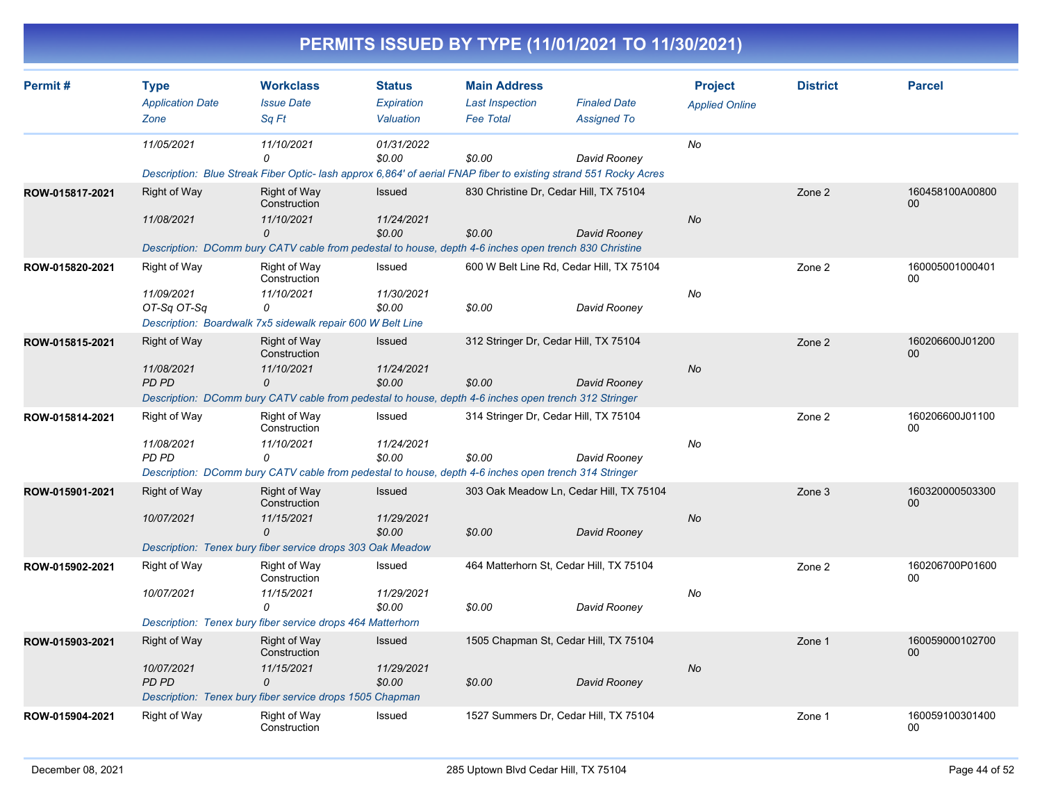|                 |                                                |                                                                                                                                                                |                                          |                                                                   | PERMITS ISSUED BY TYPE (11/01/2021 TO 11/30/2021)                                                                                |                                         |                 |                       |
|-----------------|------------------------------------------------|----------------------------------------------------------------------------------------------------------------------------------------------------------------|------------------------------------------|-------------------------------------------------------------------|----------------------------------------------------------------------------------------------------------------------------------|-----------------------------------------|-----------------|-----------------------|
| Permit#         | <b>Type</b><br><b>Application Date</b><br>Zone | <b>Workclass</b><br><b>Issue Date</b><br>Sq Ft                                                                                                                 | <b>Status</b><br>Expiration<br>Valuation | <b>Main Address</b><br><b>Last Inspection</b><br><b>Fee Total</b> | <b>Finaled Date</b><br><b>Assigned To</b>                                                                                        | <b>Project</b><br><b>Applied Online</b> | <b>District</b> | <b>Parcel</b>         |
|                 | 11/05/2021                                     | 11/10/2021<br>n                                                                                                                                                | 01/31/2022<br>\$0.00                     | \$0.00                                                            | David Rooney<br>Description: Blue Streak Fiber Optic- lash approx 6,864' of aerial FNAP fiber to existing strand 551 Rocky Acres | No                                      |                 |                       |
| ROW-015817-2021 | <b>Right of Way</b><br>11/08/2021              | Right of Way<br>Construction<br>11/10/2021<br>0<br>Description: DComm bury CATV cable from pedestal to house, depth 4-6 inches open trench 830 Christine       | Issued<br>11/24/2021<br>\$0.00           | \$0.00                                                            | 830 Christine Dr, Cedar Hill, TX 75104<br>David Rooney                                                                           | <b>No</b>                               | Zone 2          | 160458100A00800<br>00 |
| ROW-015820-2021 | Right of Way<br>11/09/2021<br>OT-Sq OT-Sq      | Right of Way<br>Construction<br>11/10/2021<br>0<br>Description: Boardwalk 7x5 sidewalk repair 600 W Belt Line                                                  | Issued<br>11/30/2021<br>\$0.00           | \$0.00                                                            | 600 W Belt Line Rd, Cedar Hill, TX 75104<br>David Rooney                                                                         | No                                      | Zone 2          | 160005001000401<br>00 |
| ROW-015815-2021 | <b>Right of Way</b><br>11/08/2021<br>PD PD     | Right of Way<br>Construction<br>11/10/2021<br>0<br>Description: DComm bury CATV cable from pedestal to house, depth 4-6 inches open trench 312 Stringer        | Issued<br>11/24/2021<br>\$0.00           | \$0.00                                                            | 312 Stringer Dr, Cedar Hill, TX 75104<br>David Rooney                                                                            | No                                      | Zone 2          | 160206600J01200<br>00 |
| ROW-015814-2021 | Right of Way<br>11/08/2021<br><b>PD PD</b>     | Right of Way<br>Construction<br>11/10/2021<br>$\Omega$<br>Description: DComm bury CATV cable from pedestal to house, depth 4-6 inches open trench 314 Stringer | Issued<br>11/24/2021<br>\$0.00           | \$0.00                                                            | 314 Stringer Dr, Cedar Hill, TX 75104<br>David Rooney                                                                            | No                                      | Zone 2          | 160206600J01100<br>00 |
| ROW-015901-2021 | Right of Way<br>10/07/2021                     | Right of Way<br>Construction<br>11/15/2021<br>$\Omega$<br>Description: Tenex bury fiber service drops 303 Oak Meadow                                           | Issued<br>11/29/2021<br>\$0.00           | \$0.00                                                            | 303 Oak Meadow Ln, Cedar Hill, TX 75104<br>David Rooney                                                                          | No                                      | Zone 3          | 160320000503300<br>00 |
| ROW-015902-2021 | Right of Way<br>10/07/2021                     | Right of Way<br>Construction<br>11/15/2021<br>$\Omega$<br>Description: Tenex bury fiber service drops 464 Matterhorn                                           | Issued<br>11/29/2021<br>\$0.00           | \$0.00                                                            | 464 Matterhorn St, Cedar Hill, TX 75104<br>David Rooney                                                                          | No                                      | Zone 2          | 160206700P01600<br>00 |
| ROW-015903-2021 | <b>Right of Way</b><br>10/07/2021<br>PD PD     | Right of Way<br>Construction<br>11/15/2021<br>0<br>Description: Tenex bury fiber service drops 1505 Chapman                                                    | Issued<br>11/29/2021<br>\$0.00           | \$0.00                                                            | 1505 Chapman St, Cedar Hill, TX 75104<br>David Rooney                                                                            | No                                      | Zone 1          | 160059000102700<br>00 |
| ROW-015904-2021 | Right of Way                                   | Right of Way<br>Construction                                                                                                                                   | Issued                                   |                                                                   | 1527 Summers Dr, Cedar Hill, TX 75104                                                                                            |                                         | Zone 1          | 160059100301400<br>00 |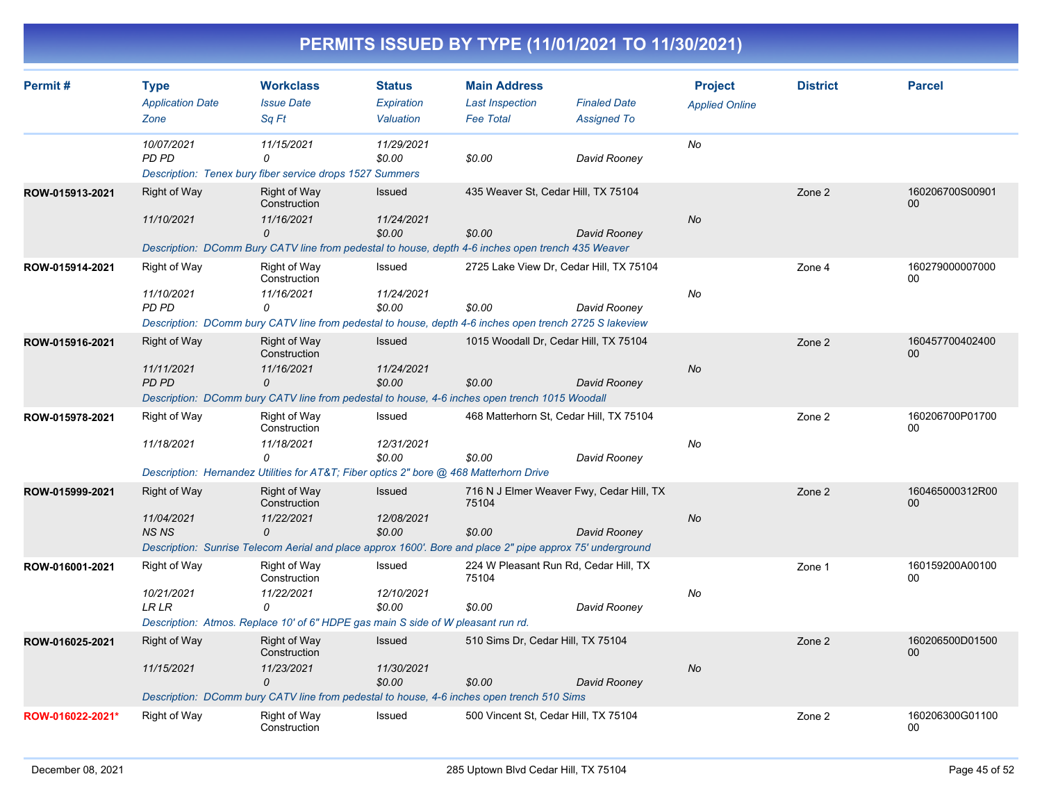| Permit#          | <b>Type</b><br><b>Application Date</b><br>Zone    | <b>Workclass</b><br><b>Issue Date</b><br>Sq Ft                                                                                                                             | <b>Status</b><br>Expiration<br>Valuation | <b>Main Address</b><br><b>Last Inspection</b><br><b>Fee Total</b> | <b>Finaled Date</b><br><b>Assigned To</b> | <b>Project</b><br><b>Applied Online</b> | <b>District</b> | <b>Parcel</b>             |
|------------------|---------------------------------------------------|----------------------------------------------------------------------------------------------------------------------------------------------------------------------------|------------------------------------------|-------------------------------------------------------------------|-------------------------------------------|-----------------------------------------|-----------------|---------------------------|
|                  | 10/07/2021<br><b>PD PD</b>                        | 11/15/2021<br>0<br>Description: Tenex bury fiber service drops 1527 Summers                                                                                                | 11/29/2021<br>\$0.00                     | \$0.00                                                            | David Rooney                              | No                                      |                 |                           |
| ROW-015913-2021  | Right of Way<br>11/10/2021                        | <b>Right of Way</b><br>Construction<br>11/16/2021<br>0<br>Description: DComm Bury CATV line from pedestal to house, depth 4-6 inches open trench 435 Weaver                | Issued<br>11/24/2021<br>\$0.00           | 435 Weaver St, Cedar Hill, TX 75104<br>\$0.00                     | David Rooney                              | <b>No</b>                               | Zone 2          | 160206700S00901<br>$00\,$ |
| ROW-015914-2021  | Right of Way<br>11/10/2021<br>PD PD               | Right of Way<br>Construction<br>11/16/2021<br>0<br>Description: DComm bury CATV line from pedestal to house, depth 4-6 inches open trench 2725 S lakeview                  | Issued<br>11/24/2021<br>\$0.00           | 2725 Lake View Dr, Cedar Hill, TX 75104<br>\$0.00                 | David Rooney                              | No                                      | Zone 4          | 160279000007000<br>00     |
| ROW-015916-2021  | <b>Right of Way</b><br>11/11/2021<br><b>PD PD</b> | Right of Way<br>Construction<br>11/16/2021<br>0<br>Description: DComm bury CATV line from pedestal to house, 4-6 inches open trench 1015 Woodall                           | <b>Issued</b><br>11/24/2021<br>\$0.00    | 1015 Woodall Dr. Cedar Hill, TX 75104<br>\$0.00                   | David Rooney                              | <b>No</b>                               | Zone 2          | 160457700402400<br>$00\,$ |
| ROW-015978-2021  | Right of Way<br>11/18/2021                        | Right of Way<br>Construction<br>11/18/2021<br>0<br>Description: Hernandez Utilities for AT&T Fiber optics 2" bore @ 468 Matterhorn Drive                                   | Issued<br>12/31/2021<br>\$0.00           | 468 Matterhorn St, Cedar Hill, TX 75104<br>\$0.00                 | David Rooney                              | No                                      | Zone 2          | 160206700P01700<br>00     |
| ROW-015999-2021  | <b>Right of Way</b><br>11/04/2021<br><b>NSNS</b>  | <b>Right of Way</b><br>Construction<br>11/22/2021<br>$\Omega$<br>Description: Sunrise Telecom Aerial and place approx 1600'. Bore and place 2" pipe approx 75' underground | <b>Issued</b><br>12/08/2021<br>\$0.00    | 716 N J Elmer Weaver Fwy, Cedar Hill, TX<br>75104<br>\$0.00       | David Rooney                              | No                                      | Zone 2          | 160465000312R00<br>$00\,$ |
| ROW-016001-2021  | Right of Way<br>10/21/2021<br><b>LR LR</b>        | <b>Right of Way</b><br>Construction<br>11/22/2021<br>0<br>Description: Atmos. Replace 10' of 6" HDPE gas main S side of W pleasant run rd.                                 | Issued<br>12/10/2021<br>\$0.00           | 224 W Pleasant Run Rd, Cedar Hill, TX<br>75104<br>\$0.00          | David Rooney                              | No                                      | Zone 1          | 160159200A00100<br>00     |
| ROW-016025-2021  | Right of Way<br>11/15/2021                        | <b>Right of Way</b><br>Construction<br>11/23/2021<br>0<br>Description: DComm bury CATV line from pedestal to house, 4-6 inches open trench 510 Sims                        | <b>Issued</b><br>11/30/2021<br>\$0.00    | 510 Sims Dr, Cedar Hill, TX 75104<br>\$0.00                       | David Rooney                              | <b>No</b>                               | Zone 2          | 160206500D01500<br>00     |
| ROW-016022-2021* | Right of Way                                      | Right of Way<br>Construction                                                                                                                                               | Issued                                   | 500 Vincent St, Cedar Hill, TX 75104                              |                                           |                                         | Zone 2          | 160206300G01100<br>00     |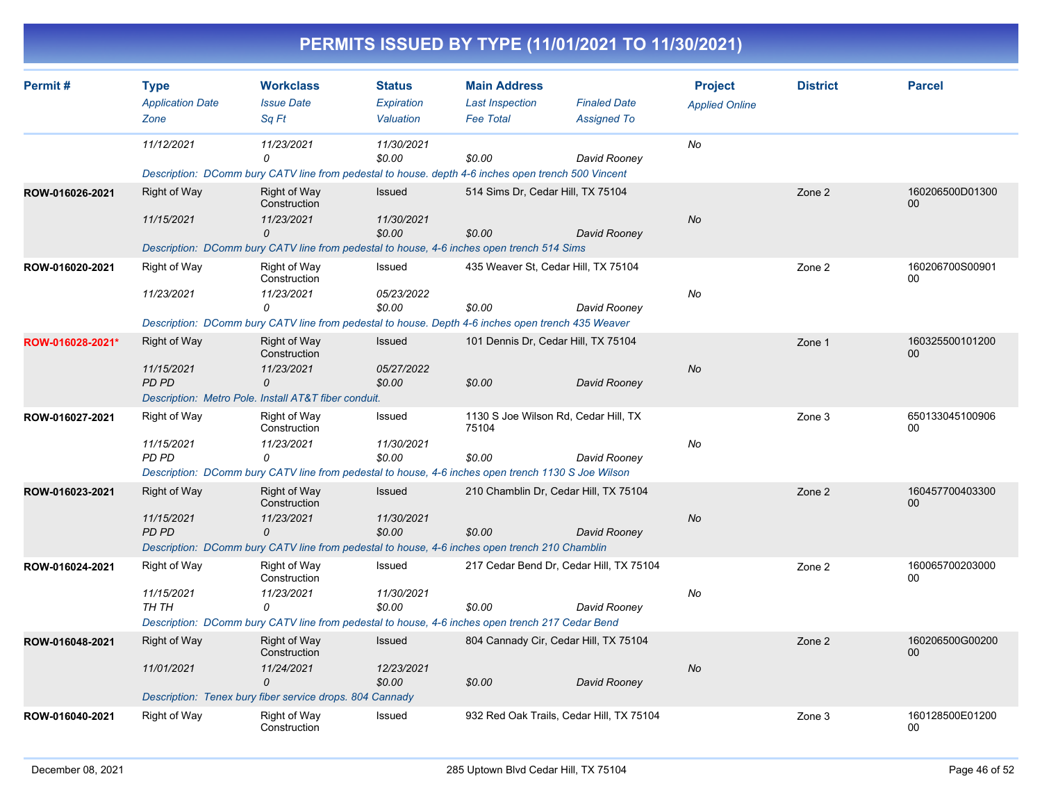|                  |                                                   |                                                                                                                                                              |                                          |                                                                   | PERMITS ISSUED BY TYPE (11/01/2021 TO 11/30/2021)       |                                         |                 |                                    |
|------------------|---------------------------------------------------|--------------------------------------------------------------------------------------------------------------------------------------------------------------|------------------------------------------|-------------------------------------------------------------------|---------------------------------------------------------|-----------------------------------------|-----------------|------------------------------------|
| Permit#          | <b>Type</b><br><b>Application Date</b><br>Zone    | <b>Workclass</b><br><b>Issue Date</b><br>Sq Ft                                                                                                               | <b>Status</b><br>Expiration<br>Valuation | <b>Main Address</b><br><b>Last Inspection</b><br><b>Fee Total</b> | <b>Finaled Date</b><br><b>Assigned To</b>               | <b>Project</b><br><b>Applied Online</b> | <b>District</b> | <b>Parcel</b>                      |
|                  | 11/12/2021                                        | 11/23/2021<br>n<br>Description: DComm bury CATV line from pedestal to house, depth 4-6 inches open trench 500 Vincent                                        | 11/30/2021<br>\$0.00                     | \$0.00                                                            | David Rooney                                            | No                                      |                 |                                    |
| ROW-016026-2021  | <b>Right of Way</b><br>11/15/2021                 | Right of Way<br>Construction<br>11/23/2021<br>0<br>Description: DComm bury CATV line from pedestal to house, 4-6 inches open trench 514 Sims                 | Issued<br>11/30/2021<br>\$0.00           | 514 Sims Dr, Cedar Hill, TX 75104<br>\$0.00                       | David Rooney                                            | No                                      | Zone 2          | 160206500D01300<br>00 <sub>0</sub> |
| ROW-016020-2021  | <b>Right of Way</b><br>11/23/2021                 | Right of Way<br>Construction<br>11/23/2021<br>0<br>Description: DComm bury CATV line from pedestal to house. Depth 4-6 inches open trench 435 Weaver         | Issued<br>05/23/2022<br>\$0.00           | \$0.00                                                            | 435 Weaver St, Cedar Hill, TX 75104<br>David Rooney     | No                                      | Zone 2          | 160206700S00901<br>00              |
| ROW-016028-2021* | <b>Right of Way</b><br>11/15/2021<br>PD PD        | Right of Way<br>Construction<br>11/23/2021<br>0<br>Description: Metro Pole. Install AT&T fiber conduit.                                                      | Issued<br>05/27/2022<br>\$0.00           | \$0.00                                                            | 101 Dennis Dr, Cedar Hill, TX 75104<br>David Rooney     | No                                      | Zone 1          | 160325500101200<br>00              |
| ROW-016027-2021  | Right of Way<br>11/15/2021<br>PD PD               | Right of Way<br>Construction<br>11/23/2021<br>$\Omega$<br>Description: DComm bury CATV line from pedestal to house, 4-6 inches open trench 1130 S Joe Wilson | Issued<br>11/30/2021<br>\$0.00           | 75104<br>\$0.00                                                   | 1130 S Joe Wilson Rd, Cedar Hill, TX<br>David Rooney    | No                                      | Zone 3          | 650133045100906<br>00              |
| ROW-016023-2021  | <b>Right of Way</b><br>11/15/2021<br><b>PD PD</b> | Right of Way<br>Construction<br>11/23/2021<br>$\Omega$<br>Description: DComm bury CATV line from pedestal to house, 4-6 inches open trench 210 Chamblin      | Issued<br>11/30/2021<br>\$0.00           | \$0.00                                                            | 210 Chamblin Dr, Cedar Hill, TX 75104<br>David Rooney   | No                                      | Zone 2          | 160457700403300<br>00              |
| ROW-016024-2021  | Right of Way<br>11/15/2021<br>TH TH               | Right of Way<br>Construction<br>11/23/2021<br>0<br>Description: DComm bury CATV line from pedestal to house, 4-6 inches open trench 217 Cedar Bend           | Issued<br>11/30/2021<br>\$0.00           | \$0.00                                                            | 217 Cedar Bend Dr, Cedar Hill, TX 75104<br>David Rooney | No                                      | Zone 2          | 160065700203000<br>00              |
| ROW-016048-2021  | Right of Way<br>11/01/2021                        | Right of Way<br>Construction<br>11/24/2021<br>0<br>Description: Tenex bury fiber service drops. 804 Cannady                                                  | Issued<br>12/23/2021<br>\$0.00           | \$0.00                                                            | 804 Cannady Cir, Cedar Hill, TX 75104<br>David Rooney   | $N\sigma$                               | Zone 2          | 160206500G00200<br>00              |
| ROW-016040-2021  | Right of Way                                      | Right of Way<br>Construction                                                                                                                                 | Issued                                   |                                                                   | 932 Red Oak Trails, Cedar Hill, TX 75104                |                                         | Zone 3          | 160128500E01200<br>00              |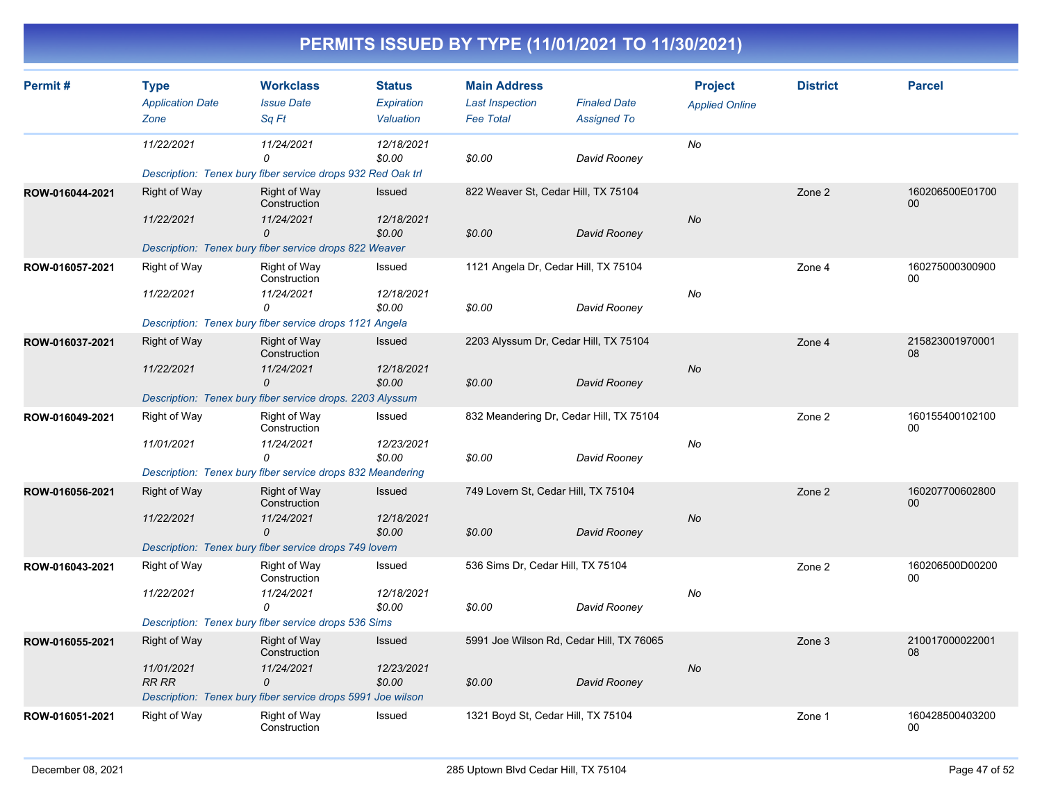| Permit#         | <b>Type</b>                     | <b>Workclass</b>                                            | <b>Status</b>           | <b>Main Address</b>                        |                                           | <b>Project</b>        | <b>District</b> | <b>Parcel</b>         |
|-----------------|---------------------------------|-------------------------------------------------------------|-------------------------|--------------------------------------------|-------------------------------------------|-----------------------|-----------------|-----------------------|
|                 | <b>Application Date</b><br>Zone | <b>Issue Date</b><br>Sq Ft                                  | Expiration<br>Valuation | <b>Last Inspection</b><br><b>Fee Total</b> | <b>Finaled Date</b><br><b>Assigned To</b> | <b>Applied Online</b> |                 |                       |
|                 | 11/22/2021                      | 11/24/2021<br>0                                             | 12/18/2021<br>\$0.00    | \$0.00                                     | David Rooney                              | No                    |                 |                       |
|                 |                                 | Description: Tenex bury fiber service drops 932 Red Oak trl |                         |                                            |                                           |                       |                 |                       |
| ROW-016044-2021 | <b>Right of Way</b>             | <b>Right of Way</b><br>Construction                         | Issued                  | 822 Weaver St, Cedar Hill, TX 75104        |                                           |                       | Zone 2          | 160206500E01700<br>00 |
|                 | 11/22/2021                      | 11/24/2021<br>0                                             | 12/18/2021<br>\$0.00    | \$0.00                                     | David Rooney                              | <b>No</b>             |                 |                       |
|                 |                                 | Description: Tenex bury fiber service drops 822 Weaver      |                         |                                            |                                           |                       |                 |                       |
| ROW-016057-2021 | <b>Right of Way</b>             | Right of Way<br>Construction                                | Issued                  | 1121 Angela Dr, Cedar Hill, TX 75104       |                                           |                       | Zone 4          | 160275000300900<br>00 |
|                 | 11/22/2021                      | 11/24/2021<br>0                                             | 12/18/2021<br>\$0.00    | \$0.00                                     | David Rooney                              | No                    |                 |                       |
|                 |                                 | Description: Tenex bury fiber service drops 1121 Angela     |                         |                                            |                                           |                       |                 |                       |
| ROW-016037-2021 | <b>Right of Way</b>             | <b>Right of Way</b><br>Construction                         | <b>Issued</b>           | 2203 Alyssum Dr, Cedar Hill, TX 75104      |                                           |                       | Zone 4          | 215823001970001<br>08 |
|                 | 11/22/2021                      | 11/24/2021<br>$\Omega$                                      | 12/18/2021<br>\$0.00    | \$0.00                                     | David Rooney                              | <b>No</b>             |                 |                       |
|                 |                                 | Description: Tenex bury fiber service drops. 2203 Alyssum   |                         |                                            |                                           |                       |                 |                       |
| ROW-016049-2021 | <b>Right of Way</b>             | Right of Way<br>Construction                                | Issued                  | 832 Meandering Dr, Cedar Hill, TX 75104    |                                           |                       | Zone 2          | 160155400102100<br>00 |
|                 | 11/01/2021                      | 11/24/2021<br>0                                             | 12/23/2021<br>\$0.00    | \$0.00                                     | David Rooney                              | No                    |                 |                       |
|                 |                                 | Description: Tenex bury fiber service drops 832 Meandering  |                         |                                            |                                           |                       |                 |                       |
| ROW-016056-2021 | Right of Way                    | <b>Right of Way</b><br>Construction                         | Issued                  | 749 Lovern St, Cedar Hill, TX 75104        |                                           |                       | Zone 2          | 160207700602800<br>00 |
|                 | 11/22/2021                      | 11/24/2021<br>0                                             | 12/18/2021<br>\$0.00    | \$0.00                                     | David Rooney                              | <b>No</b>             |                 |                       |
|                 |                                 | Description: Tenex bury fiber service drops 749 lovern      |                         |                                            |                                           |                       |                 |                       |
| ROW-016043-2021 | Right of Way                    | <b>Right of Way</b><br>Construction                         | Issued                  | 536 Sims Dr, Cedar Hill, TX 75104          |                                           |                       | Zone 2          | 160206500D00200<br>00 |
|                 | 11/22/2021                      | 11/24/2021<br>0                                             | 12/18/2021<br>\$0.00    | \$0.00                                     | David Rooney                              | No                    |                 |                       |
|                 |                                 | Description: Tenex bury fiber service drops 536 Sims        |                         |                                            |                                           |                       |                 |                       |
| ROW-016055-2021 | <b>Right of Way</b>             | <b>Right of Way</b><br>Construction                         | Issued                  | 5991 Joe Wilson Rd, Cedar Hill, TX 76065   |                                           |                       | Zone 3          | 210017000022001<br>08 |
|                 | 11/01/2021<br><b>RR RR</b>      | 11/24/2021<br>0                                             | 12/23/2021<br>\$0.00    | \$0.00                                     | David Rooney                              | No                    |                 |                       |
|                 |                                 | Description: Tenex bury fiber service drops 5991 Joe wilson |                         |                                            |                                           |                       |                 |                       |
| ROW-016051-2021 | <b>Right of Way</b>             | Right of Way<br>Construction                                | Issued                  | 1321 Boyd St, Cedar Hill, TX 75104         |                                           |                       | Zone 1          | 160428500403200<br>00 |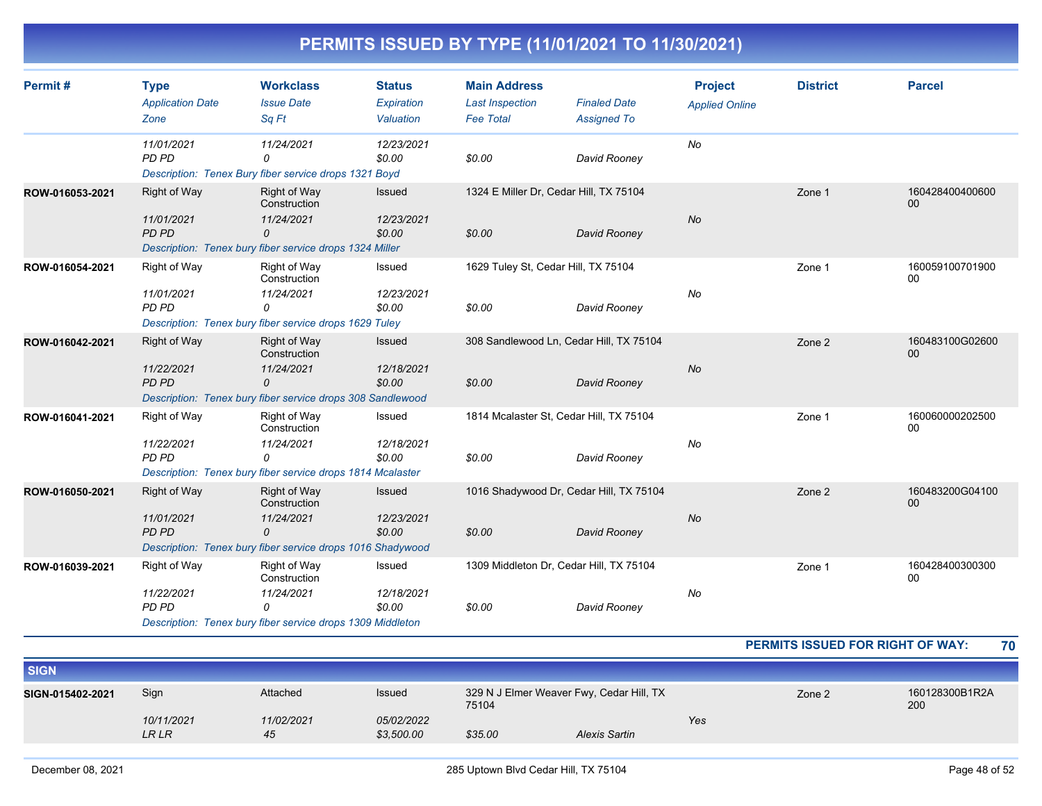| Permit#         | <b>Type</b><br><b>Application Date</b><br>Zone | <b>Workclass</b><br><b>Issue Date</b><br>Sq Ft                                                                | <b>Status</b><br>Expiration<br>Valuation | <b>Main Address</b><br><b>Last Inspection</b><br><b>Fee Total</b> | <b>Finaled Date</b><br><b>Assigned To</b>               | <b>Project</b><br><b>Applied Online</b> | <b>District</b> | <b>Parcel</b>         |
|-----------------|------------------------------------------------|---------------------------------------------------------------------------------------------------------------|------------------------------------------|-------------------------------------------------------------------|---------------------------------------------------------|-----------------------------------------|-----------------|-----------------------|
|                 | 11/01/2021<br>PD PD                            | 11/24/2021<br>0<br>Description: Tenex Bury fiber service drops 1321 Boyd                                      | 12/23/2021<br>\$0.00                     | \$0.00                                                            | David Rooney                                            | No                                      |                 |                       |
| ROW-016053-2021 | <b>Right of Way</b><br>11/01/2021<br>PD PD     | Right of Way<br>Construction<br>11/24/2021<br>0<br>Description: Tenex bury fiber service drops 1324 Miller    | <b>Issued</b><br>12/23/2021<br>\$0.00    | \$0.00                                                            | 1324 E Miller Dr, Cedar Hill, TX 75104<br>David Rooney  | No                                      | Zone 1          | 160428400400600<br>00 |
| ROW-016054-2021 | Right of Way<br>11/01/2021<br>PD PD            | Right of Way<br>Construction<br>11/24/2021<br>0<br>Description: Tenex bury fiber service drops 1629 Tuley     | Issued<br>12/23/2021<br>\$0.00           | 1629 Tuley St, Cedar Hill, TX 75104<br>\$0.00                     | David Rooney                                            | No                                      | Zone 1          | 160059100701900<br>00 |
| ROW-016042-2021 | <b>Right of Way</b><br>11/22/2021<br>PD PD     | Right of Way<br>Construction<br>11/24/2021<br>0<br>Description: Tenex bury fiber service drops 308 Sandlewood | Issued<br>12/18/2021<br>\$0.00           | \$0.00                                                            | 308 Sandlewood Ln, Cedar Hill, TX 75104<br>David Rooney | No                                      | Zone 2          | 160483100G02600<br>00 |
| ROW-016041-2021 | Right of Way<br>11/22/2021<br>PD PD            | Right of Way<br>Construction<br>11/24/2021<br>0<br>Description: Tenex bury fiber service drops 1814 Mcalaster | Issued<br>12/18/2021<br>\$0.00           | \$0.00                                                            | 1814 Mcalaster St, Cedar Hill, TX 75104<br>David Rooney | No                                      | Zone 1          | 160060000202500<br>00 |
| ROW-016050-2021 | <b>Right of Way</b><br>11/01/2021<br>PD PD     | Right of Way<br>Construction<br>11/24/2021<br>0<br>Description: Tenex bury fiber service drops 1016 Shadywood | <b>Issued</b><br>12/23/2021<br>\$0.00    | \$0.00                                                            | 1016 Shadywood Dr, Cedar Hill, TX 75104<br>David Rooney | No                                      | Zone 2          | 160483200G04100<br>00 |
| ROW-016039-2021 | Right of Way<br>11/22/2021<br>PD PD            | Right of Way<br>Construction<br>11/24/2021<br>0<br>Description: Tenex bury fiber service drops 1309 Middleton | Issued<br>12/18/2021<br>\$0.00           | \$0.00                                                            | 1309 Middleton Dr, Cedar Hill, TX 75104<br>David Rooney | No                                      | Zone 1          | 160428400300300<br>00 |

**PERMITS ISSUED FOR RIGHT OF WAY: 70**

| <b>SIGN</b>      |                     |                  |                          |                                                   |                      |     |        |                       |
|------------------|---------------------|------------------|--------------------------|---------------------------------------------------|----------------------|-----|--------|-----------------------|
| SIGN-015402-2021 | Sign                | Attached         | <b>Issued</b>            | 329 N J Elmer Weaver Fwy, Cedar Hill, TX<br>75104 |                      |     | Zone 2 | 160128300B1R2A<br>200 |
|                  | 10/11/2021<br>LR LR | 11/02/2021<br>45 | 05/02/2022<br>\$3,500.00 | \$35.00                                           | <b>Alexis Sartin</b> | Yes |        |                       |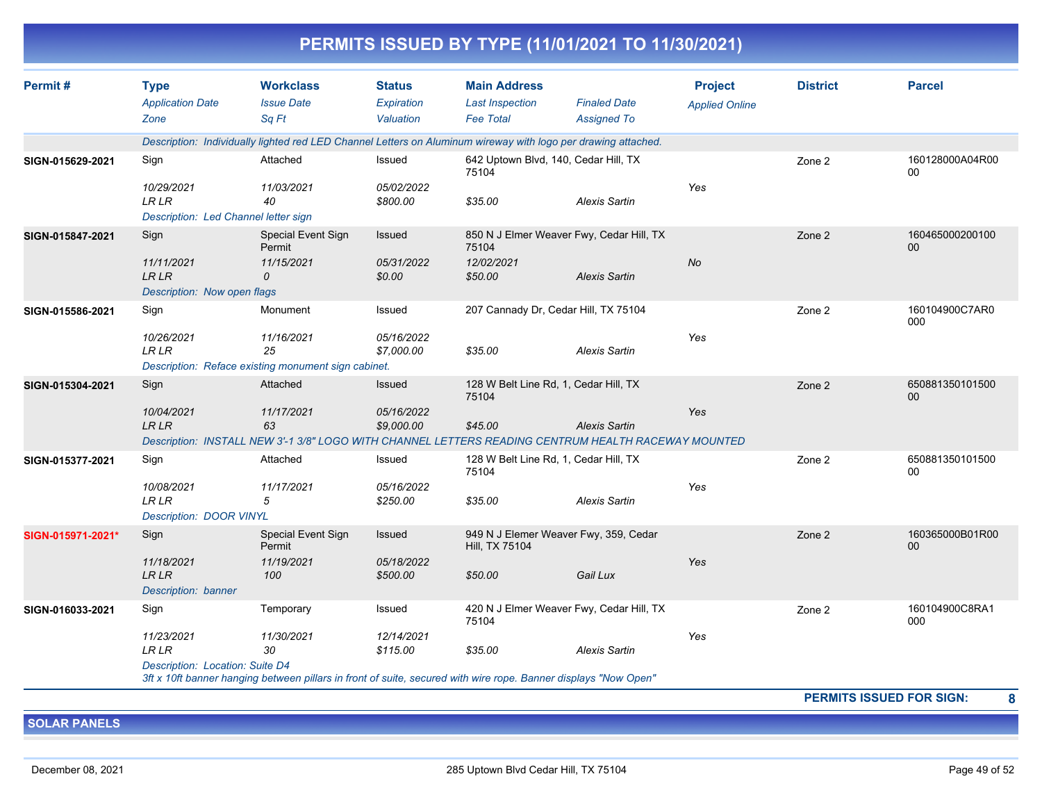|                   |                                                                    |                                                                         |                                          | PERMITS ISSUED BY TYPE (11/01/2021 TO 11/30/2021)                                                                          |                                           |                                         |                 |                       |
|-------------------|--------------------------------------------------------------------|-------------------------------------------------------------------------|------------------------------------------|----------------------------------------------------------------------------------------------------------------------------|-------------------------------------------|-----------------------------------------|-----------------|-----------------------|
| Permit#           | <b>Type</b><br><b>Application Date</b><br>Zone                     | <b>Workclass</b><br><b>Issue Date</b><br>Sa Ft                          | <b>Status</b><br>Expiration<br>Valuation | <b>Main Address</b><br><b>Last Inspection</b><br><b>Fee Total</b>                                                          | <b>Finaled Date</b><br><b>Assigned To</b> | <b>Project</b><br><b>Applied Online</b> | <b>District</b> | <b>Parcel</b>         |
|                   |                                                                    |                                                                         |                                          | Description: Individually lighted red LED Channel Letters on Aluminum wireway with logo per drawing attached.              |                                           |                                         |                 |                       |
| SIGN-015629-2021  | Sign                                                               | Attached                                                                | Issued                                   | 642 Uptown Blvd, 140, Cedar Hill, TX<br>75104                                                                              |                                           |                                         | Zone 2          | 160128000A04R00<br>00 |
|                   | 10/29/2021<br><b>LR LR</b><br>Description: Led Channel letter sign | 11/03/2021<br>40                                                        | 05/02/2022<br>\$800.00                   | \$35.00                                                                                                                    | <b>Alexis Sartin</b>                      | Yes                                     |                 |                       |
| SIGN-015847-2021  | Sign                                                               | Special Event Sign<br>Permit                                            | Issued                                   | 850 N J Elmer Weaver Fwy, Cedar Hill, TX<br>75104                                                                          |                                           |                                         | Zone 2          | 160465000200100<br>00 |
|                   | 11/11/2021<br><b>LR LR</b><br>Description: Now open flags          | 11/15/2021<br>0                                                         | 05/31/2022<br>\$0.00                     | 12/02/2021<br>\$50.00                                                                                                      | <b>Alexis Sartin</b>                      | No                                      |                 |                       |
| SIGN-015586-2021  | Sign                                                               | Monument                                                                | Issued                                   | 207 Cannady Dr, Cedar Hill, TX 75104                                                                                       |                                           |                                         | Zone 2          | 160104900C7AR0<br>000 |
|                   | 10/26/2021<br>LR LR                                                | 11/16/2021<br>25<br>Description: Reface existing monument sign cabinet. | 05/16/2022<br>\$7,000.00                 | \$35.00                                                                                                                    | <b>Alexis Sartin</b>                      | Yes                                     |                 |                       |
| SIGN-015304-2021  | Sign                                                               | Attached                                                                | <b>Issued</b>                            | 128 W Belt Line Rd, 1, Cedar Hill, TX                                                                                      |                                           |                                         | Zone 2          | 650881350101500       |
|                   | 10/04/2021<br><b>LRLR</b>                                          | 11/17/2021<br>63                                                        | 05/16/2022<br>\$9,000.00                 | 75104<br>\$45.00<br>Description: INSTALL NEW 3'-1 3/8" LOGO WITH CHANNEL LETTERS READING CENTRUM HEALTH RACEWAY MOUNTED    | <b>Alexis Sartin</b>                      | Yes                                     |                 | 00                    |
| SIGN-015377-2021  | Sign                                                               | Attached                                                                | Issued                                   | 128 W Belt Line Rd, 1, Cedar Hill, TX<br>75104                                                                             |                                           |                                         | Zone 2          | 650881350101500<br>00 |
|                   | 10/08/2021<br><b>LR LR</b><br><b>Description: DOOR VINYL</b>       | 11/17/2021<br>5                                                         | 05/16/2022<br>\$250.00                   | \$35.00                                                                                                                    | <b>Alexis Sartin</b>                      | Yes                                     |                 |                       |
| SIGN-015971-2021* | Sign                                                               | Special Event Sign<br>Permit                                            | Issued                                   | 949 N J Elemer Weaver Fwy, 359, Cedar<br>Hill, TX 75104                                                                    |                                           |                                         | Zone 2          | 160365000B01R00<br>00 |
|                   | 11/18/2021<br><b>LRLR</b><br>Description: banner                   | 11/19/2021<br>100                                                       | 05/18/2022<br>\$500.00                   | \$50.00                                                                                                                    | Gail Lux                                  | Yes                                     |                 |                       |
| SIGN-016033-2021  | Sign                                                               | Temporary                                                               | Issued                                   | 420 N J Elmer Weaver Fwy, Cedar Hill, TX<br>75104                                                                          |                                           |                                         | Zone 2          | 160104900C8RA1<br>000 |
|                   | 11/23/2021<br><b>LR LR</b><br>Description: Location: Suite D4      | 11/30/2021<br>30                                                        | 12/14/2021<br>\$115.00                   | \$35.00<br>3ft x 10ft banner hanging between pillars in front of suite, secured with wire rope. Banner displays "Now Open" | <b>Alexis Sartin</b>                      | Yes                                     |                 |                       |

**PERMITS ISSUED FOR SIGN: 8**

**SOLAR PANELS**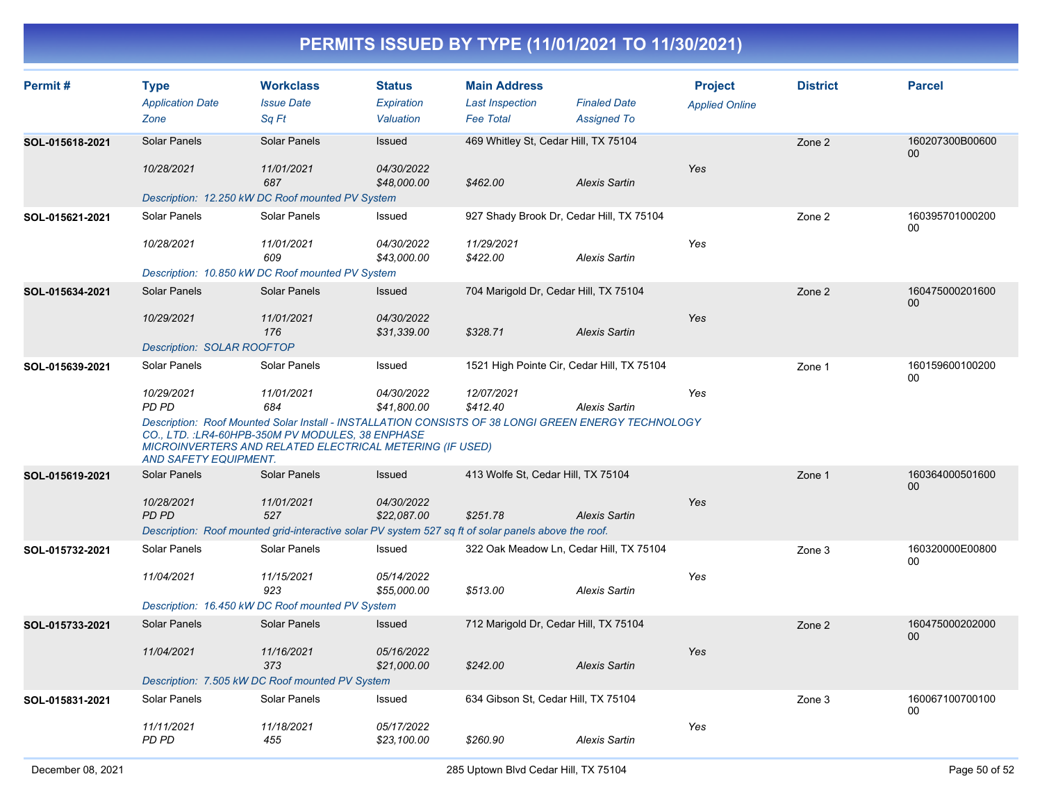| Permit#         | <b>Type</b><br><b>Application Date</b> | <b>Workclass</b><br><b>Issue Date</b>                                                                                                                                                                                | <b>Status</b><br>Expiration | <b>Main Address</b><br><b>Last Inspection</b>            | <b>Finaled Date</b>  | <b>Project</b><br><b>Applied Online</b> | <b>District</b> | <b>Parcel</b>             |
|-----------------|----------------------------------------|----------------------------------------------------------------------------------------------------------------------------------------------------------------------------------------------------------------------|-----------------------------|----------------------------------------------------------|----------------------|-----------------------------------------|-----------------|---------------------------|
| SOL-015618-2021 | Zone<br><b>Solar Panels</b>            | Sq Ft<br>Solar Panels                                                                                                                                                                                                | Valuation<br>Issued         | <b>Fee Total</b><br>469 Whitley St, Cedar Hill, TX 75104 | <b>Assigned To</b>   |                                         | Zone 2          | 160207300B00600           |
|                 | 10/28/2021                             | 11/01/2021<br>687                                                                                                                                                                                                    | 04/30/2022<br>\$48,000.00   | \$462.00                                                 | <b>Alexis Sartin</b> | Yes                                     |                 | $00\,$                    |
|                 |                                        | Description: 12.250 kW DC Roof mounted PV System                                                                                                                                                                     |                             |                                                          |                      |                                         |                 |                           |
| SOL-015621-2021 | Solar Panels                           | Solar Panels                                                                                                                                                                                                         | Issued                      | 927 Shady Brook Dr, Cedar Hill, TX 75104                 |                      |                                         | Zone 2          | 160395701000200<br>$00\,$ |
|                 | 10/28/2021                             | 11/01/2021<br>609                                                                                                                                                                                                    | 04/30/2022<br>\$43,000.00   | 11/29/2021<br>\$422.00                                   | <b>Alexis Sartin</b> | Yes                                     |                 |                           |
|                 |                                        | Description: 10.850 kW DC Roof mounted PV System                                                                                                                                                                     |                             |                                                          |                      |                                         |                 |                           |
| SOL-015634-2021 | Solar Panels                           | Solar Panels                                                                                                                                                                                                         | Issued                      | 704 Marigold Dr, Cedar Hill, TX 75104                    |                      |                                         | Zone 2          | 160475000201600<br>$00\,$ |
|                 | 10/29/2021                             | 11/01/2021<br>176                                                                                                                                                                                                    | 04/30/2022<br>\$31,339.00   | \$328.71                                                 | <b>Alexis Sartin</b> | Yes                                     |                 |                           |
|                 | Description: SOLAR ROOFTOP             |                                                                                                                                                                                                                      |                             |                                                          |                      |                                         |                 |                           |
| SOL-015639-2021 | Solar Panels                           | Solar Panels                                                                                                                                                                                                         | Issued                      | 1521 High Pointe Cir, Cedar Hill, TX 75104               |                      |                                         | Zone 1          | 160159600100200<br>00     |
|                 | 10/29/2021<br>PD PD                    | 11/01/2021<br>684                                                                                                                                                                                                    | 04/30/2022<br>\$41,800.00   | 12/07/2021<br>\$412.40                                   | <b>Alexis Sartin</b> | Yes                                     |                 |                           |
|                 | <b>AND SAFETY EQUIPMENT.</b>           | Description: Roof Mounted Solar Install - INSTALLATION CONSISTS OF 38 LONGI GREEN ENERGY TECHNOLOGY<br>CO., LTD. : LR4-60HPB-350M PV MODULES, 38 ENPHASE<br>MICROINVERTERS AND RELATED ELECTRICAL METERING (IF USED) |                             |                                                          |                      |                                         |                 |                           |
| SOL-015619-2021 | <b>Solar Panels</b>                    | <b>Solar Panels</b>                                                                                                                                                                                                  | Issued                      | 413 Wolfe St, Cedar Hill, TX 75104                       |                      |                                         | Zone 1          | 160364000501600<br>00     |
|                 | 10/28/2021<br><b>PD PD</b>             | 11/01/2021<br>527<br>Description: Roof mounted grid-interactive solar PV system 527 sq ft of solar panels above the roof.                                                                                            | 04/30/2022<br>\$22,087.00   | \$251.78                                                 | <b>Alexis Sartin</b> | Yes                                     |                 |                           |
| SOL-015732-2021 | <b>Solar Panels</b>                    | Solar Panels                                                                                                                                                                                                         | Issued                      | 322 Oak Meadow Ln, Cedar Hill, TX 75104                  |                      |                                         | Zone 3          | 160320000E00800           |
|                 |                                        |                                                                                                                                                                                                                      |                             |                                                          |                      |                                         |                 | 00                        |
|                 | 11/04/2021                             | 11/15/2021<br>923                                                                                                                                                                                                    | 05/14/2022<br>\$55,000.00   | \$513.00                                                 | <b>Alexis Sartin</b> | Yes                                     |                 |                           |
|                 |                                        | Description: 16.450 kW DC Roof mounted PV System                                                                                                                                                                     |                             |                                                          |                      |                                         |                 |                           |
| SOL-015733-2021 | <b>Solar Panels</b>                    | Solar Panels                                                                                                                                                                                                         | Issued                      | 712 Marigold Dr, Cedar Hill, TX 75104                    |                      |                                         | Zone 2          | 160475000202000<br>$00\,$ |
|                 | 11/04/2021                             | 11/16/2021<br>373                                                                                                                                                                                                    | 05/16/2022<br>\$21,000.00   | \$242.00                                                 | <b>Alexis Sartin</b> | Yes                                     |                 |                           |
|                 |                                        | Description: 7.505 kW DC Roof mounted PV System                                                                                                                                                                      |                             |                                                          |                      |                                         |                 |                           |
| SOL-015831-2021 | Solar Panels                           | Solar Panels                                                                                                                                                                                                         | Issued                      | 634 Gibson St, Cedar Hill, TX 75104                      |                      |                                         | Zone 3          | 160067100700100<br>00     |
|                 | 11/11/2021<br><b>PD PD</b>             | 11/18/2021<br>455                                                                                                                                                                                                    | 05/17/2022<br>\$23,100.00   | \$260.90                                                 | <b>Alexis Sartin</b> | Yes                                     |                 |                           |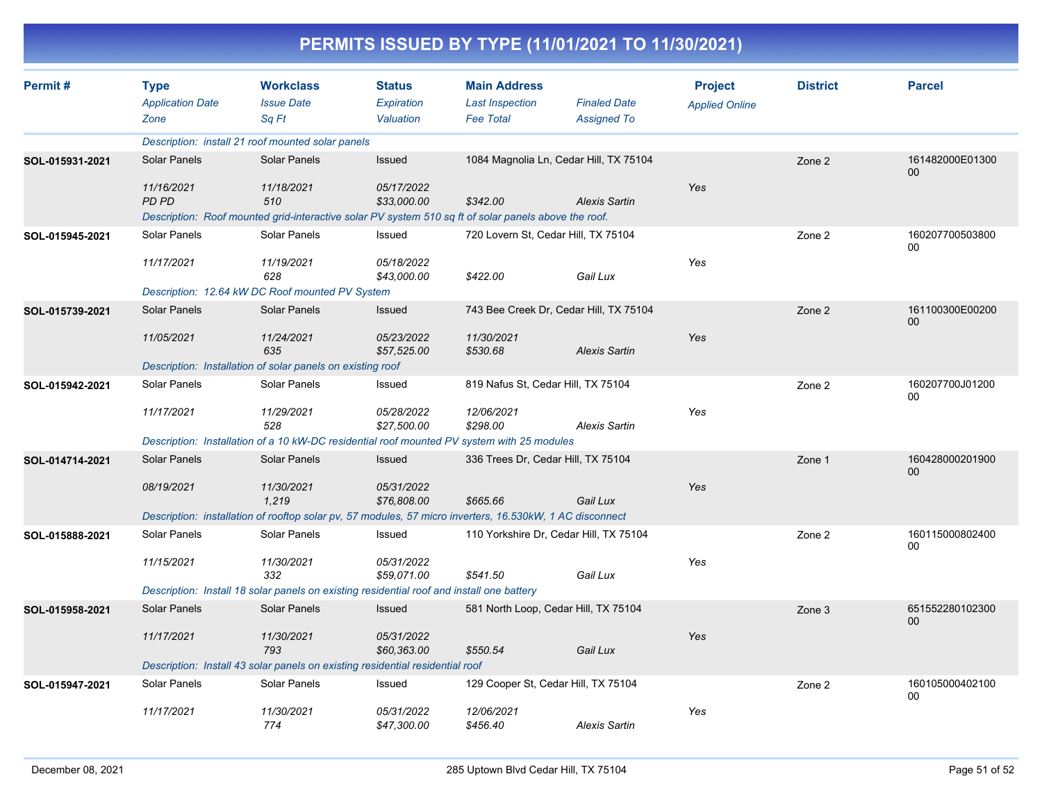| Permit#         | <b>Type</b>             | <b>Workclass</b>                                                                                         | <b>Status</b>                    | <b>Main Address</b>                |                                        | <b>Project</b>        | <b>District</b> | <b>Parcel</b>             |
|-----------------|-------------------------|----------------------------------------------------------------------------------------------------------|----------------------------------|------------------------------------|----------------------------------------|-----------------------|-----------------|---------------------------|
|                 | <b>Application Date</b> | <b>Issue Date</b>                                                                                        | Expiration                       | <b>Last Inspection</b>             | <b>Finaled Date</b>                    | <b>Applied Online</b> |                 |                           |
|                 | Zone                    | Sq Ft                                                                                                    | Valuation                        | <b>Fee Total</b>                   | <b>Assigned To</b>                     |                       |                 |                           |
|                 |                         | Description: install 21 roof mounted solar panels                                                        |                                  |                                    |                                        |                       |                 |                           |
| SOL-015931-2021 | Solar Panels            | Solar Panels                                                                                             | Issued                           |                                    | 1084 Magnolia Ln, Cedar Hill, TX 75104 |                       | Zone 2          | 161482000E01300<br>00     |
|                 | 11/16/2021              | 11/18/2021                                                                                               | 05/17/2022                       |                                    |                                        | Yes                   |                 |                           |
|                 | <b>PD PD</b>            | 510                                                                                                      | \$33,000.00                      | \$342.00                           | <b>Alexis Sartin</b>                   |                       |                 |                           |
|                 |                         | Description: Roof mounted grid-interactive solar PV system 510 sq ft of solar panels above the roof.     |                                  |                                    |                                        |                       |                 |                           |
| SOL-015945-2021 | Solar Panels            | Solar Panels                                                                                             | Issued                           |                                    | 720 Lovern St, Cedar Hill, TX 75104    |                       | Zone 2          | 160207700503800<br>00     |
|                 | 11/17/2021              | 11/19/2021<br>628                                                                                        | 05/18/2022<br>\$43,000.00        | \$422.00                           | Gail Lux                               | Yes                   |                 |                           |
|                 |                         | Description: 12.64 kW DC Roof mounted PV System                                                          |                                  |                                    |                                        |                       |                 |                           |
| SOL-015739-2021 | <b>Solar Panels</b>     | Solar Panels                                                                                             | Issued                           |                                    | 743 Bee Creek Dr, Cedar Hill, TX 75104 |                       | Zone 2          | 161100300E00200<br>00     |
|                 | 11/05/2021              | 11/24/2021<br>635                                                                                        | 05/23/2022<br>\$57,525.00        | 11/30/2021<br>\$530.68             | <b>Alexis Sartin</b>                   | Yes                   |                 |                           |
|                 |                         | Description: Installation of solar panels on existing roof                                               |                                  |                                    |                                        |                       |                 |                           |
| SOL-015942-2021 | Solar Panels            | Solar Panels                                                                                             | Issued                           | 819 Nafus St, Cedar Hill, TX 75104 |                                        |                       | Zone 2          | 160207700J01200<br>00     |
|                 | 11/17/2021              | 11/29/2021<br>528                                                                                        | 05/28/2022<br>\$27,500.00        | 12/06/2021<br>\$298.00             | <b>Alexis Sartin</b>                   | Yes                   |                 |                           |
|                 |                         | Description: Installation of a 10 kW-DC residential roof mounted PV system with 25 modules               |                                  |                                    |                                        |                       |                 |                           |
| SOL-014714-2021 | <b>Solar Panels</b>     | Solar Panels                                                                                             | Issued                           | 336 Trees Dr, Cedar Hill, TX 75104 |                                        |                       | Zone 1          | 160428000201900<br>$00\,$ |
|                 | 08/19/2021              | 11/30/2021<br>1,219                                                                                      | <i>05/31/2022</i><br>\$76,808.00 | \$665.66                           | Gail Lux                               | Yes                   |                 |                           |
|                 |                         | Description: installation of rooftop solar pv, 57 modules, 57 micro inverters, 16.530kW, 1 AC disconnect |                                  |                                    |                                        |                       |                 |                           |
| SOL-015888-2021 | Solar Panels            | Solar Panels                                                                                             | Issued                           |                                    | 110 Yorkshire Dr, Cedar Hill, TX 75104 |                       | Zone 2          | 160115000802400<br>00     |
|                 | 11/15/2021              | 11/30/2021<br>332                                                                                        | 05/31/2022<br>\$59,071.00        | \$541.50                           | Gail Lux                               | Yes                   |                 |                           |
|                 |                         | Description: Install 18 solar panels on existing residential roof and install one battery                |                                  |                                    |                                        |                       |                 |                           |
| SOL-015958-2021 | <b>Solar Panels</b>     | Solar Panels                                                                                             | Issued                           |                                    | 581 North Loop, Cedar Hill, TX 75104   |                       | Zone 3          | 651552280102300<br>00     |
|                 | 11/17/2021              | 11/30/2021                                                                                               | 05/31/2022                       |                                    |                                        | Yes                   |                 |                           |
|                 |                         | 793                                                                                                      | \$60,363.00                      | \$550.54                           | Gail Lux                               |                       |                 |                           |
|                 |                         | Description: Install 43 solar panels on existing residential residential roof                            |                                  |                                    |                                        |                       |                 |                           |
| SOL-015947-2021 | Solar Panels            | Solar Panels                                                                                             | Issued                           |                                    | 129 Cooper St, Cedar Hill, TX 75104    |                       | Zone 2          | 160105000402100<br>00     |
|                 | 11/17/2021              | 11/30/2021<br>774                                                                                        | 05/31/2022<br>\$47,300.00        | 12/06/2021<br>\$456.40             | <b>Alexis Sartin</b>                   | Yes                   |                 |                           |